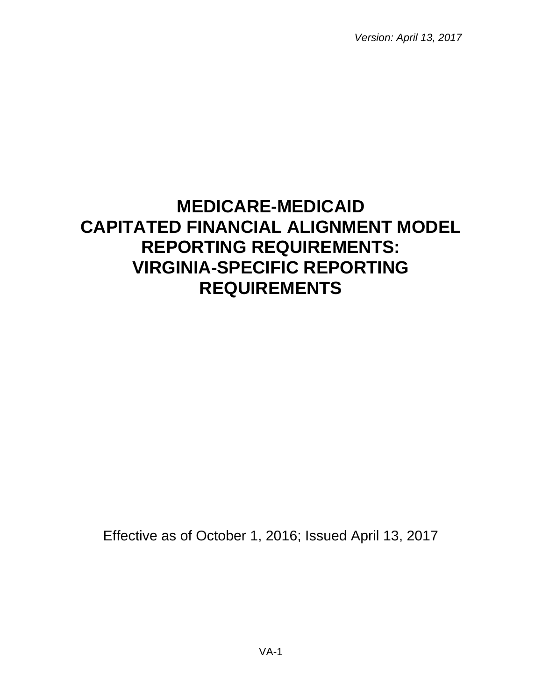*Version: April 13, 2017*

# **MEDICARE-MEDICAID CAPITATED FINANCIAL ALIGNMENT MODEL REPORTING REQUIREMENTS: VIRGINIA-SPECIFIC REPORTING REQUIREMENTS**

Effective as of October 1, 2016; Issued April 13, 2017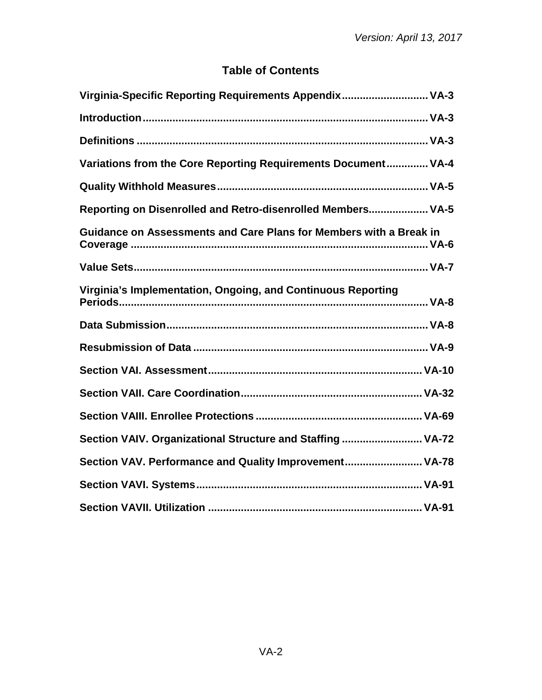# **Table of Contents**

| Virginia-Specific Reporting Requirements Appendix VA-3             |
|--------------------------------------------------------------------|
|                                                                    |
|                                                                    |
| Variations from the Core Reporting Requirements Document VA-4      |
|                                                                    |
| Reporting on Disenrolled and Retro-disenrolled Members VA-5        |
| Guidance on Assessments and Care Plans for Members with a Break in |
|                                                                    |
| Virginia's Implementation, Ongoing, and Continuous Reporting       |
|                                                                    |
|                                                                    |
|                                                                    |
|                                                                    |
|                                                                    |
| Section VAIV. Organizational Structure and Staffing  VA-72         |
| Section VAV. Performance and Quality Improvement VA-78             |
|                                                                    |
|                                                                    |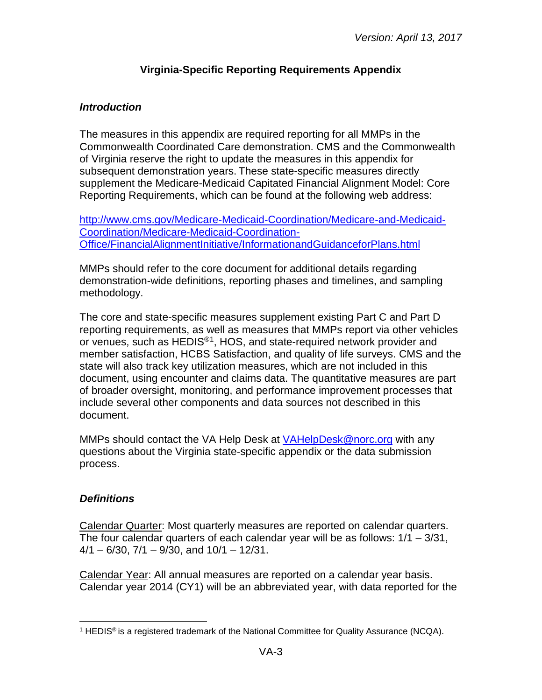## **Virginia-Specific Reporting Requirements Appendix**

#### <span id="page-2-1"></span><span id="page-2-0"></span>*Introduction*

The measures in this appendix are required reporting for all MMPs in the Commonwealth Coordinated Care demonstration. CMS and the Commonwealth of Virginia reserve the right to update the measures in this appendix for subsequent demonstration years. These state-specific measures directly supplement the Medicare-Medicaid Capitated Financial Alignment Model: Core Reporting Requirements, which can be found at the following web address:

[http://www.cms.gov/Medicare-Medicaid-Coordination/Medicare-and-Medicaid-](http://www.cms.gov/Medicare-Medicaid-Coordination/Medicare-and-Medicaid-Coordination/Medicare-Medicaid-Coordination-Office/FinancialAlignmentInitiative/InformationandGuidanceforPlans.html)[Coordination/Medicare-Medicaid-Coordination-](http://www.cms.gov/Medicare-Medicaid-Coordination/Medicare-and-Medicaid-Coordination/Medicare-Medicaid-Coordination-Office/FinancialAlignmentInitiative/InformationandGuidanceforPlans.html)[Office/FinancialAlignmentInitiative/InformationandGuidanceforPlans.html](http://www.cms.gov/Medicare-Medicaid-Coordination/Medicare-and-Medicaid-Coordination/Medicare-Medicaid-Coordination-Office/FinancialAlignmentInitiative/InformationandGuidanceforPlans.html)

MMPs should refer to the core document for additional details regarding demonstration-wide definitions, reporting phases and timelines, and sampling methodology.

The core and state-specific measures supplement existing Part C and Part D reporting requirements, as well as measures that MMPs report via other vehicles or venues, such as HEDIS®[1,](#page-2-3) HOS, and state-required network provider and member satisfaction, HCBS Satisfaction, and quality of life surveys. CMS and the state will also track key utilization measures, which are not included in this document, using encounter and claims data. The quantitative measures are part of broader oversight, monitoring, and performance improvement processes that include several other components and data sources not described in this document.

MMPs should contact the VA Help Desk at [VAHelpDesk@norc.org](mailto:VAHelpDesk@norc.org) with any questions about the Virginia state-specific appendix or the data submission process.

#### <span id="page-2-2"></span>*Definitions*

Calendar Quarter: Most quarterly measures are reported on calendar quarters. The four calendar quarters of each calendar year will be as follows: 1/1 – 3/31,  $4/1 - 6/30$ ,  $7/1 - 9/30$ , and  $10/1 - 12/31$ .

Calendar Year: All annual measures are reported on a calendar year basis. Calendar year 2014 (CY1) will be an abbreviated year, with data reported for the

<span id="page-2-3"></span><sup>&</sup>lt;sup>1</sup> HEDIS<sup>®</sup> is a registered trademark of the National Committee for Quality Assurance (NCQA).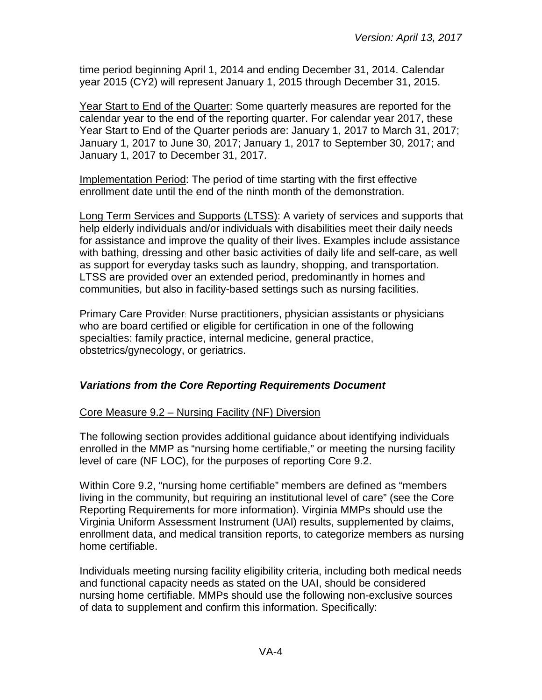time period beginning April 1, 2014 and ending December 31, 2014. Calendar year 2015 (CY2) will represent January 1, 2015 through December 31, 2015.

Year Start to End of the Quarter: Some quarterly measures are reported for the calendar year to the end of the reporting quarter. For calendar year 2017, these Year Start to End of the Quarter periods are: January 1, 2017 to March 31, 2017; January 1, 2017 to June 30, 2017; January 1, 2017 to September 30, 2017; and January 1, 2017 to December 31, 2017.

Implementation Period: The period of time starting with the first effective enrollment date until the end of the ninth month of the demonstration.

Long Term Services and Supports (LTSS): A variety of services and supports that help elderly individuals and/or individuals with disabilities meet their daily needs for assistance and improve the quality of their lives. Examples include assistance with bathing, dressing and other basic activities of daily life and self-care, as well as support for everyday tasks such as laundry, shopping, and transportation. LTSS are provided over an extended period, predominantly in homes and communities, but also in facility-based settings such as nursing facilities.

Primary Care Provider: Nurse practitioners, physician assistants or physicians who are board certified or eligible for certification in one of the following specialties: family practice, internal medicine, general practice, obstetrics/gynecology, or geriatrics.

# <span id="page-3-0"></span>*Variations from the Core Reporting Requirements Document*

#### Core Measure 9.2 – Nursing Facility (NF) Diversion

The following section provides additional guidance about identifying individuals enrolled in the MMP as "nursing home certifiable," or meeting the nursing facility level of care (NF LOC), for the purposes of reporting Core 9.2.

Within Core 9.2, "nursing home certifiable" members are defined as "members living in the community, but requiring an institutional level of care" (see the Core Reporting Requirements for more information). Virginia MMPs should use the Virginia Uniform Assessment Instrument (UAI) results, supplemented by claims, enrollment data, and medical transition reports, to categorize members as nursing home certifiable.

Individuals meeting nursing facility eligibility criteria, including both medical needs and functional capacity needs as stated on the UAI, should be considered nursing home certifiable. MMPs should use the following non-exclusive sources of data to supplement and confirm this information. Specifically: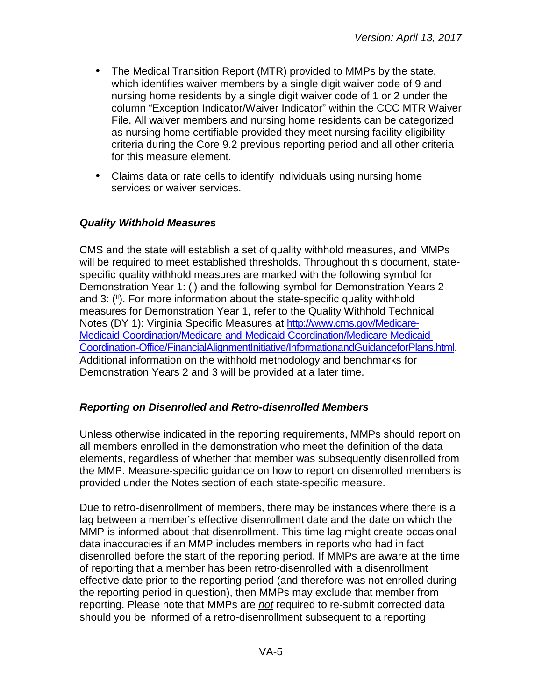- The Medical Transition Report (MTR) provided to MMPs by the state, which identifies waiver members by a single digit waiver code of 9 and nursing home residents by a single digit waiver code of 1 or 2 under the column "Exception Indicator/Waiver Indicator" within the CCC MTR Waiver File. All waiver members and nursing home residents can be categorized as nursing home certifiable provided they meet nursing facility eligibility criteria during the Core 9.2 previous reporting period and all other criteria for this measure element.
- Claims data or rate cells to identify individuals using nursing home services or waiver services.

#### <span id="page-4-0"></span>*Quality Withhold Measures*

CMS and the state will establish a set of quality withhold measures, and MMPs will be required to meet established thresholds. Throughout this document, statespecific quality withhold measures are marked with the following symbol for Demonstration Year 1: (i) and the following symbol for Demonstration Years 2 and 3: (ii). For more information about the state-specific quality withhold measures for Demonstration Year 1, refer to the Quality Withhold Technical Notes (DY 1): Virginia Specific Measures at [http://www.cms.gov/Medicare-](http://www.cms.gov/Medicare-Medicaid-Coordination/Medicare-and-Medicaid-Coordination/Medicare-Medicaid-Coordination-Office/FinancialAlignmentInitiative/InformationandGuidanceforPlans.html)[Medicaid-Coordination/Medicare-and-Medicaid-Coordination/Medicare-Medicaid-](http://www.cms.gov/Medicare-Medicaid-Coordination/Medicare-and-Medicaid-Coordination/Medicare-Medicaid-Coordination-Office/FinancialAlignmentInitiative/InformationandGuidanceforPlans.html)[Coordination-Office/FinancialAlignmentInitiative/InformationandGuidanceforPlans.html.](http://www.cms.gov/Medicare-Medicaid-Coordination/Medicare-and-Medicaid-Coordination/Medicare-Medicaid-Coordination-Office/FinancialAlignmentInitiative/InformationandGuidanceforPlans.html) Additional information on the withhold methodology and benchmarks for Demonstration Years 2 and 3 will be provided at a later time.

#### <span id="page-4-1"></span>*Reporting on Disenrolled and Retro-disenrolled Members*

Unless otherwise indicated in the reporting requirements, MMPs should report on all members enrolled in the demonstration who meet the definition of the data elements, regardless of whether that member was subsequently disenrolled from the MMP. Measure-specific guidance on how to report on disenrolled members is provided under the Notes section of each state-specific measure.

Due to retro-disenrollment of members, there may be instances where there is a lag between a member's effective disenrollment date and the date on which the MMP is informed about that disenrollment. This time lag might create occasional data inaccuracies if an MMP includes members in reports who had in fact disenrolled before the start of the reporting period. If MMPs are aware at the time of reporting that a member has been retro-disenrolled with a disenrollment effective date prior to the reporting period (and therefore was not enrolled during the reporting period in question), then MMPs may exclude that member from reporting. Please note that MMPs are *not* required to re-submit corrected data should you be informed of a retro-disenrollment subsequent to a reporting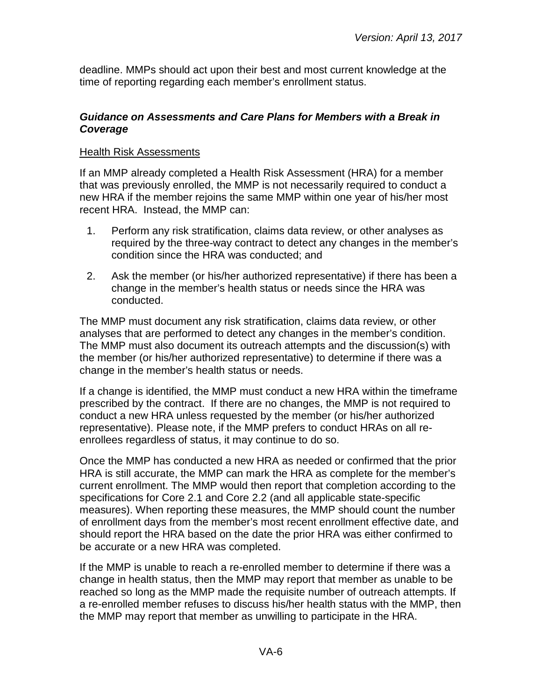deadline. MMPs should act upon their best and most current knowledge at the time of reporting regarding each member's enrollment status.

#### <span id="page-5-0"></span>*Guidance on Assessments and Care Plans for Members with a Break in Coverage*

#### Health Risk Assessments

If an MMP already completed a Health Risk Assessment (HRA) for a member that was previously enrolled, the MMP is not necessarily required to conduct a new HRA if the member rejoins the same MMP within one year of his/her most recent HRA. Instead, the MMP can:

- 1. Perform any risk stratification, claims data review, or other analyses as required by the three-way contract to detect any changes in the member's condition since the HRA was conducted; and
- 2. Ask the member (or his/her authorized representative) if there has been a change in the member's health status or needs since the HRA was conducted.

The MMP must document any risk stratification, claims data review, or other analyses that are performed to detect any changes in the member's condition. The MMP must also document its outreach attempts and the discussion(s) with the member (or his/her authorized representative) to determine if there was a change in the member's health status or needs.

If a change is identified, the MMP must conduct a new HRA within the timeframe prescribed by the contract. If there are no changes, the MMP is not required to conduct a new HRA unless requested by the member (or his/her authorized representative). Please note, if the MMP prefers to conduct HRAs on all reenrollees regardless of status, it may continue to do so.

Once the MMP has conducted a new HRA as needed or confirmed that the prior HRA is still accurate, the MMP can mark the HRA as complete for the member's current enrollment. The MMP would then report that completion according to the specifications for Core 2.1 and Core 2.2 (and all applicable state-specific measures). When reporting these measures, the MMP should count the number of enrollment days from the member's most recent enrollment effective date, and should report the HRA based on the date the prior HRA was either confirmed to be accurate or a new HRA was completed.

If the MMP is unable to reach a re-enrolled member to determine if there was a change in health status, then the MMP may report that member as unable to be reached so long as the MMP made the requisite number of outreach attempts. If a re-enrolled member refuses to discuss his/her health status with the MMP, then the MMP may report that member as unwilling to participate in the HRA.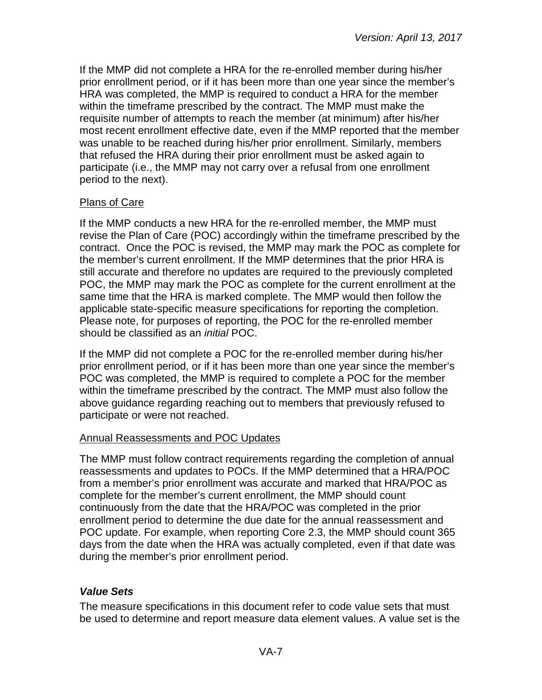If the MMP did not complete a HRA for the re-enrolled member during his/her prior enrollment period, or if it has been more than one year since the member's HRA was completed, the MMP is required to conduct a HRA for the member within the timeframe prescribed by the contract. The MMP must make the requisite number of attempts to reach the member (at minimum) after his/her most recent enrollment effective date, even if the MMP reported that the member was unable to be reached during his/her prior enrollment. Similarly, members that refused the HRA during their prior enrollment must be asked again to participate (i.e., the MMP may not carry over a refusal from one enrollment period to the next).

## Plans of Care

If the MMP conducts a new HRA for the re-enrolled member, the MMP must revise the Plan of Care (POC) accordingly within the timeframe prescribed by the contract. Once the POC is revised, the MMP may mark the POC as complete for the member's current enrollment. If the MMP determines that the prior HRA is still accurate and therefore no updates are required to the previously completed POC, the MMP may mark the POC as complete for the current enrollment at the same time that the HRA is marked complete. The MMP would then follow the applicable state-specific measure specifications for reporting the completion. Please note, for purposes of reporting, the POC for the re-enrolled member should be classified as an *initial* POC.

If the MMP did not complete a POC for the re-enrolled member during his/her prior enrollment period, or if it has been more than one year since the member's POC was completed, the MMP is required to complete a POC for the member within the timeframe prescribed by the contract. The MMP must also follow the above guidance regarding reaching out to members that previously refused to participate or were not reached.

#### Annual Reassessments and POC Updates

The MMP must follow contract requirements regarding the completion of annual reassessments and updates to POCs. If the MMP determined that a HRA/POC from a member's prior enrollment was accurate and marked that HRA/POC as complete for the member's current enrollment, the MMP should count continuously from the date that the HRA/POC was completed in the prior enrollment period to determine the due date for the annual reassessment and POC update. For example, when reporting Core 2.3, the MMP should count 365 days from the date when the HRA was actually completed, even if that date was during the member's prior enrollment period.

#### <span id="page-6-0"></span>*Value Sets*

The measure specifications in this document refer to code value sets that must be used to determine and report measure data element values. A value set is the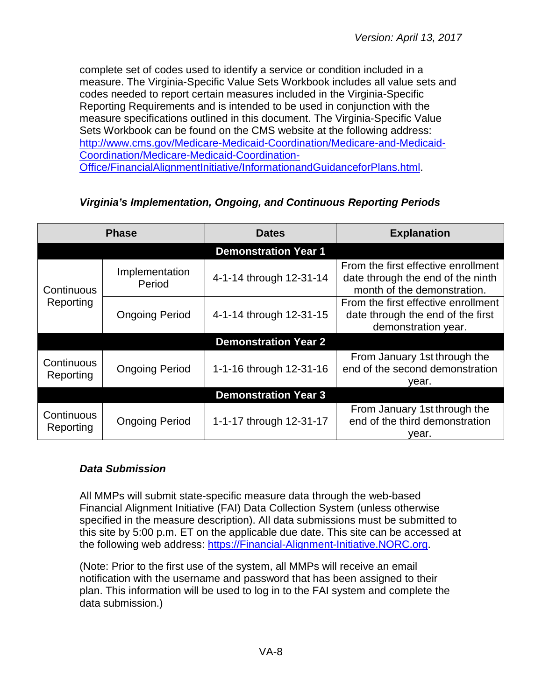complete set of codes used to identify a service or condition included in a measure. The Virginia-Specific Value Sets Workbook includes all value sets and codes needed to report certain measures included in the Virginia-Specific Reporting Requirements and is intended to be used in conjunction with the measure specifications outlined in this document. The Virginia-Specific Value Sets Workbook can be found on the CMS website at the following address: [http://www.cms.gov/Medicare-Medicaid-Coordination/Medicare-and-Medicaid-](http://www.cms.gov/Medicare-Medicaid-Coordination/Medicare-and-Medicaid-Coordination/Medicare-Medicaid-Coordination-Office/FinancialAlignmentInitiative/InformationandGuidanceforPlans.html)[Coordination/Medicare-Medicaid-Coordination-](http://www.cms.gov/Medicare-Medicaid-Coordination/Medicare-and-Medicaid-Coordination/Medicare-Medicaid-Coordination-Office/FinancialAlignmentInitiative/InformationandGuidanceforPlans.html)[Office/FinancialAlignmentInitiative/InformationandGuidanceforPlans.html.](http://www.cms.gov/Medicare-Medicaid-Coordination/Medicare-and-Medicaid-Coordination/Medicare-Medicaid-Coordination-Office/FinancialAlignmentInitiative/InformationandGuidanceforPlans.html)

| <b>Phase</b>                |                          | <b>Dates</b>                | <b>Explanation</b>                                                                                      |  |
|-----------------------------|--------------------------|-----------------------------|---------------------------------------------------------------------------------------------------------|--|
|                             |                          | <b>Demonstration Year 1</b> |                                                                                                         |  |
| Continuous<br>Reporting     | Implementation<br>Period | 4-1-14 through 12-31-14     | From the first effective enrollment<br>date through the end of the ninth<br>month of the demonstration. |  |
|                             | <b>Ongoing Period</b>    | 4-1-14 through 12-31-15     | From the first effective enrollment<br>date through the end of the first<br>demonstration year.         |  |
|                             |                          | <b>Demonstration Year 2</b> |                                                                                                         |  |
| Continuous<br>Reporting     | <b>Ongoing Period</b>    | 1-1-16 through 12-31-16     | From January 1st through the<br>end of the second demonstration<br>year.                                |  |
| <b>Demonstration Year 3</b> |                          |                             |                                                                                                         |  |
| Continuous<br>Reporting     | <b>Ongoing Period</b>    | 1-1-17 through 12-31-17     | From January 1st through the<br>end of the third demonstration<br>vear.                                 |  |

## <span id="page-7-0"></span>*Virginia's Implementation, Ongoing, and Continuous Reporting Periods*

#### <span id="page-7-1"></span>*Data Submission*

All MMPs will submit state-specific measure data through the web-based Financial Alignment Initiative (FAI) Data Collection System (unless otherwise specified in the measure description). All data submissions must be submitted to this site by 5:00 p.m. ET on the applicable due date. This site can be accessed at the following web address: [https://Financial-Alignment-Initiative.NORC.org.](https://financial-alignment-initiative.norc.org/)

(Note: Prior to the first use of the system, all MMPs will receive an email notification with the username and password that has been assigned to their plan. This information will be used to log in to the FAI system and complete the data submission.)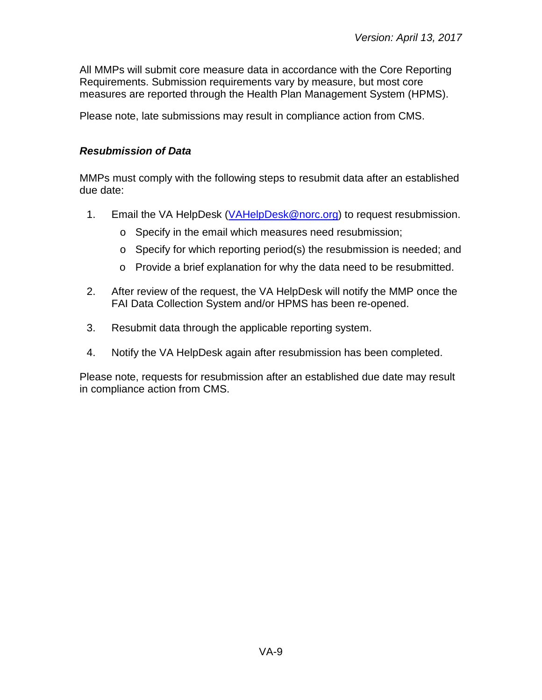All MMPs will submit core measure data in accordance with the Core Reporting Requirements. Submission requirements vary by measure, but most core measures are reported through the Health Plan Management System (HPMS).

Please note, late submissions may result in compliance action from CMS.

#### <span id="page-8-0"></span>*Resubmission of Data*

MMPs must comply with the following steps to resubmit data after an established due date:

- 1. Email the VA HelpDesk [\(VAHelpDesk@norc.org\)](mailto:VAHelpDesk@norc.org) to request resubmission.
	- o Specify in the email which measures need resubmission;
	- o Specify for which reporting period(s) the resubmission is needed; and
	- o Provide a brief explanation for why the data need to be resubmitted.
- 2. After review of the request, the VA HelpDesk will notify the MMP once the FAI Data Collection System and/or HPMS has been re-opened.
- 3. Resubmit data through the applicable reporting system.
- 4. Notify the VA HelpDesk again after resubmission has been completed.

Please note, requests for resubmission after an established due date may result in compliance action from CMS.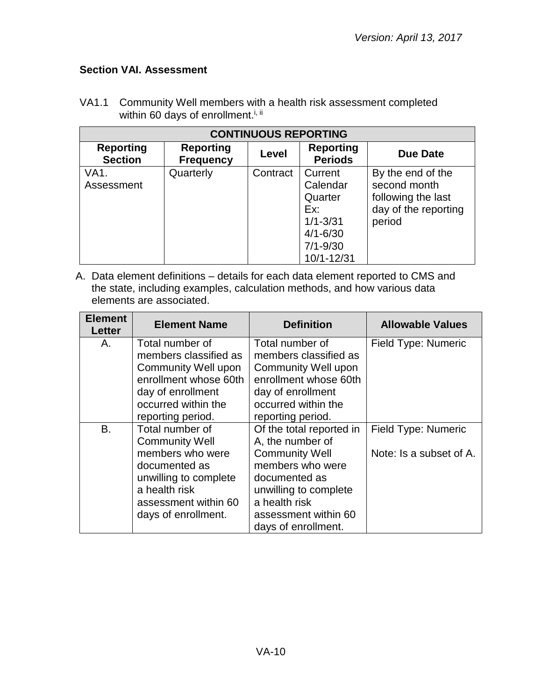# <span id="page-9-0"></span>**Section VAI. Assessment**

| <b>CONTINUOUS REPORTING</b>        |                                      |          |                                                                                                     |                                                                                           |
|------------------------------------|--------------------------------------|----------|-----------------------------------------------------------------------------------------------------|-------------------------------------------------------------------------------------------|
| <b>Reporting</b><br><b>Section</b> | <b>Reporting</b><br><b>Frequency</b> | Level    | <b>Reporting</b><br><b>Periods</b>                                                                  | Due Date                                                                                  |
| VA <sub>1</sub> .<br>Assessment    | Quarterly                            | Contract | Current<br>Calendar<br>Quarter<br>Ex:<br>$1/1 - 3/31$<br>$4/1 - 6/30$<br>$7/1 - 9/30$<br>10/1-12/31 | By the end of the<br>second month<br>following the last<br>day of the reporting<br>period |

VA1.1 Community Well members with a health risk assessment completed within 60 days of enrollment.<sup>i, ii</sup>

| <b>Element</b><br>Letter | <b>Element Name</b>                      | <b>Definition</b>                        | <b>Allowable Values</b>    |
|--------------------------|------------------------------------------|------------------------------------------|----------------------------|
| А.                       | Total number of<br>members classified as | Total number of<br>members classified as | Field Type: Numeric        |
|                          | Community Well upon                      | <b>Community Well upon</b>               |                            |
|                          | enrollment whose 60th                    | enrollment whose 60th                    |                            |
|                          | day of enrollment                        | day of enrollment                        |                            |
|                          | occurred within the                      | occurred within the                      |                            |
|                          | reporting period.                        | reporting period.                        |                            |
| B.                       | Total number of                          | Of the total reported in                 | <b>Field Type: Numeric</b> |
|                          | <b>Community Well</b>                    | A, the number of                         |                            |
|                          | members who were                         | <b>Community Well</b>                    | Note: Is a subset of A.    |
|                          | documented as                            | members who were                         |                            |
|                          | unwilling to complete                    | documented as                            |                            |
|                          | a health risk                            | unwilling to complete                    |                            |
|                          | assessment within 60                     | a health risk                            |                            |
|                          | days of enrollment.                      | assessment within 60                     |                            |
|                          |                                          | days of enrollment.                      |                            |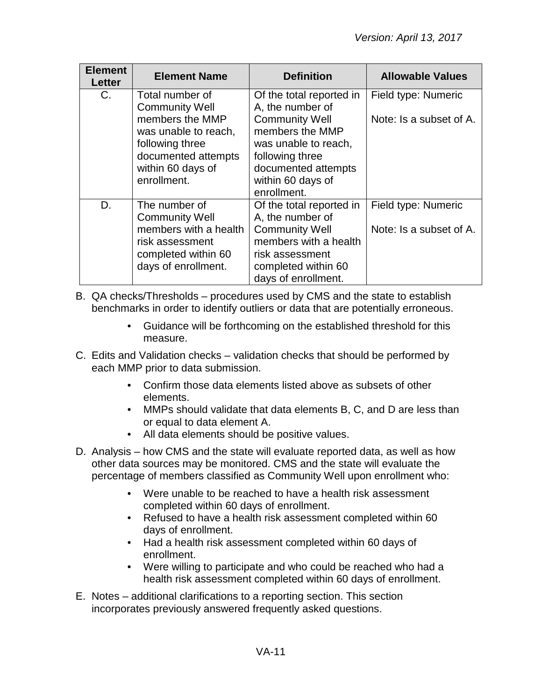| <b>Element</b><br>Letter | <b>Element Name</b>                                                                                                                                               | <b>Definition</b>                                                                                                                                                                              | <b>Allowable Values</b>                        |
|--------------------------|-------------------------------------------------------------------------------------------------------------------------------------------------------------------|------------------------------------------------------------------------------------------------------------------------------------------------------------------------------------------------|------------------------------------------------|
| C.                       | Total number of<br><b>Community Well</b><br>members the MMP<br>was unable to reach,<br>following three<br>documented attempts<br>within 60 days of<br>enrollment. | Of the total reported in<br>A, the number of<br><b>Community Well</b><br>members the MMP<br>was unable to reach,<br>following three<br>documented attempts<br>within 60 days of<br>enrollment. | Field type: Numeric<br>Note: Is a subset of A. |
| D.                       | The number of<br><b>Community Well</b><br>members with a health<br>risk assessment<br>completed within 60<br>days of enrollment.                                  | Of the total reported in<br>A, the number of<br><b>Community Well</b><br>members with a health<br>risk assessment<br>completed within 60<br>days of enrollment.                                | Field type: Numeric<br>Note: Is a subset of A. |

B. QA checks/Thresholds – procedures used by CMS and the state to establish benchmarks in order to identify outliers or data that are potentially erroneous.

- Guidance will be forthcoming on the established threshold for this measure.
- C. Edits and Validation checks validation checks that should be performed by each MMP prior to data submission.
	- Confirm those data elements listed above as subsets of other elements.
	- MMPs should validate that data elements B, C, and D are less than or equal to data element A.
	- All data elements should be positive values.
- D. Analysis how CMS and the state will evaluate reported data, as well as how other data sources may be monitored. CMS and the state will evaluate the percentage of members classified as Community Well upon enrollment who:
	- Were unable to be reached to have a health risk assessment completed within 60 days of enrollment.
	- Refused to have a health risk assessment completed within 60 days of enrollment.
	- Had a health risk assessment completed within 60 days of enrollment.
	- Were willing to participate and who could be reached who had a health risk assessment completed within 60 days of enrollment.
- E. Notes additional clarifications to a reporting section. This section incorporates previously answered frequently asked questions.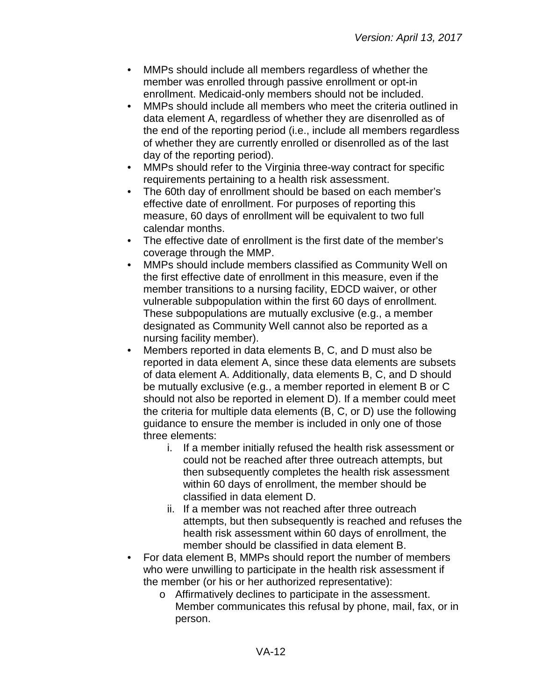- MMPs should include all members regardless of whether the member was enrolled through passive enrollment or opt-in enrollment. Medicaid-only members should not be included.
- MMPs should include all members who meet the criteria outlined in data element A, regardless of whether they are disenrolled as of the end of the reporting period (i.e., include all members regardless of whether they are currently enrolled or disenrolled as of the last day of the reporting period).
- MMPs should refer to the Virginia three-way contract for specific requirements pertaining to a health risk assessment.
- The 60th day of enrollment should be based on each member's effective date of enrollment. For purposes of reporting this measure, 60 days of enrollment will be equivalent to two full calendar months.
- The effective date of enrollment is the first date of the member's coverage through the MMP.
- MMPs should include members classified as Community Well on the first effective date of enrollment in this measure, even if the member transitions to a nursing facility, EDCD waiver, or other vulnerable subpopulation within the first 60 days of enrollment. These subpopulations are mutually exclusive (e.g., a member designated as Community Well cannot also be reported as a nursing facility member).
- Members reported in data elements B, C, and D must also be reported in data element A, since these data elements are subsets of data element A. Additionally, data elements B, C, and D should be mutually exclusive (e.g., a member reported in element B or C should not also be reported in element D). If a member could meet the criteria for multiple data elements (B, C, or D) use the following guidance to ensure the member is included in only one of those three elements:
	- i. If a member initially refused the health risk assessment or could not be reached after three outreach attempts, but then subsequently completes the health risk assessment within 60 days of enrollment, the member should be classified in data element D.
	- ii. If a member was not reached after three outreach attempts, but then subsequently is reached and refuses the health risk assessment within 60 days of enrollment, the member should be classified in data element B.
- For data element B, MMPs should report the number of members who were unwilling to participate in the health risk assessment if the member (or his or her authorized representative):
	- o Affirmatively declines to participate in the assessment. Member communicates this refusal by phone, mail, fax, or in person.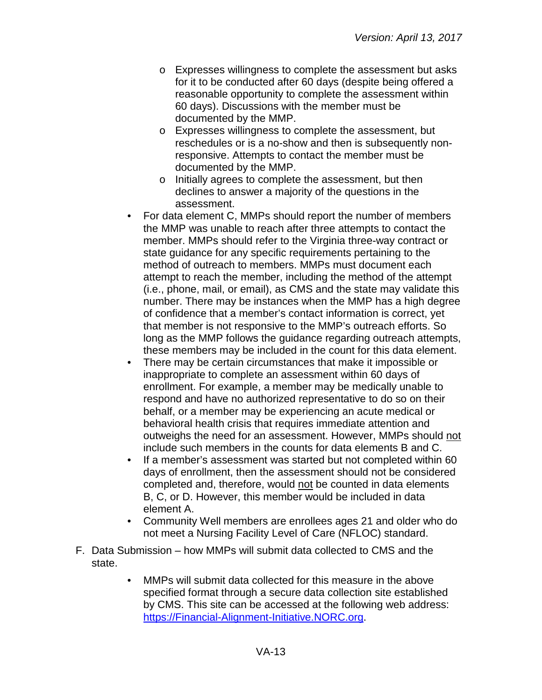- o Expresses willingness to complete the assessment but asks for it to be conducted after 60 days (despite being offered a reasonable opportunity to complete the assessment within 60 days). Discussions with the member must be documented by the MMP.
- o Expresses willingness to complete the assessment, but reschedules or is a no-show and then is subsequently nonresponsive. Attempts to contact the member must be documented by the MMP.
- o Initially agrees to complete the assessment, but then declines to answer a majority of the questions in the assessment.
- For data element C, MMPs should report the number of members the MMP was unable to reach after three attempts to contact the member. MMPs should refer to the Virginia three-way contract or state guidance for any specific requirements pertaining to the method of outreach to members. MMPs must document each attempt to reach the member, including the method of the attempt (i.e., phone, mail, or email), as CMS and the state may validate this number. There may be instances when the MMP has a high degree of confidence that a member's contact information is correct, yet that member is not responsive to the MMP's outreach efforts. So long as the MMP follows the guidance regarding outreach attempts, these members may be included in the count for this data element.
- There may be certain circumstances that make it impossible or inappropriate to complete an assessment within 60 days of enrollment. For example, a member may be medically unable to respond and have no authorized representative to do so on their behalf, or a member may be experiencing an acute medical or behavioral health crisis that requires immediate attention and outweighs the need for an assessment. However, MMPs should not include such members in the counts for data elements B and C.
- If a member's assessment was started but not completed within 60 days of enrollment, then the assessment should not be considered completed and, therefore, would not be counted in data elements B, C, or D. However, this member would be included in data element A.
- Community Well members are enrollees ages 21 and older who do not meet a Nursing Facility Level of Care (NFLOC) standard.
- F. Data Submission how MMPs will submit data collected to CMS and the state.
	- MMPs will submit data collected for this measure in the above specified format through a secure data collection site established by CMS. This site can be accessed at the following web address: [https://Financial-Alignment-Initiative.NORC.org.](https://financial-alignment-initiative.norc.org/)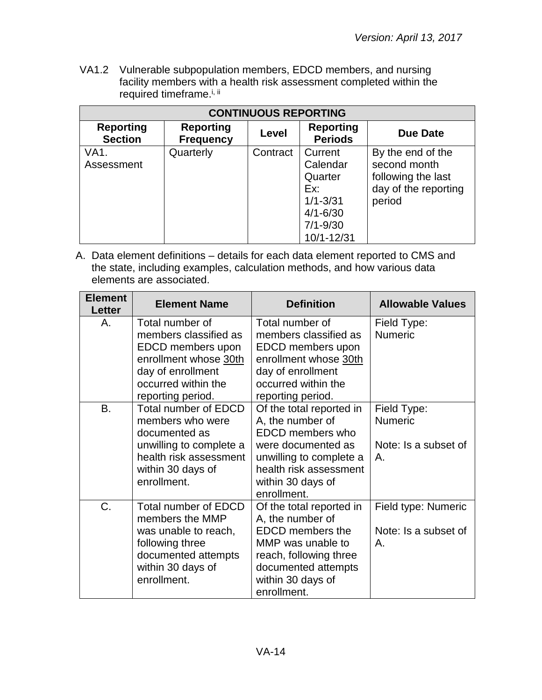VA1.2 Vulnerable subpopulation members, EDCD members, and nursing facility members with a health risk assessment completed within the required timeframe.<sup>i, ii</sup>

| <b>CONTINUOUS REPORTING</b>        |                                      |          |                                                                                                     |                                                                                           |
|------------------------------------|--------------------------------------|----------|-----------------------------------------------------------------------------------------------------|-------------------------------------------------------------------------------------------|
| <b>Reporting</b><br><b>Section</b> | <b>Reporting</b><br><b>Frequency</b> | Level    | <b>Reporting</b><br><b>Periods</b>                                                                  | Due Date                                                                                  |
| VA1.<br>Assessment                 | Quarterly                            | Contract | Current<br>Calendar<br>Quarter<br>Ex:<br>$1/1 - 3/31$<br>$4/1 - 6/30$<br>$7/1 - 9/30$<br>10/1-12/31 | By the end of the<br>second month<br>following the last<br>day of the reporting<br>period |

| <b>Element</b><br><b>Letter</b> | <b>Element Name</b>                                                                                                                                       | <b>Definition</b>                                                                                                                                                                      | <b>Allowable Values</b>                                             |
|---------------------------------|-----------------------------------------------------------------------------------------------------------------------------------------------------------|----------------------------------------------------------------------------------------------------------------------------------------------------------------------------------------|---------------------------------------------------------------------|
| Α.                              | Total number of<br>members classified as<br>EDCD members upon<br>enrollment whose 30th<br>day of enrollment<br>occurred within the<br>reporting period.   | Total number of<br>members classified as<br>EDCD members upon<br>enrollment whose 30th<br>day of enrollment<br>occurred within the<br>reporting period.                                | Field Type:<br><b>Numeric</b>                                       |
| B.                              | <b>Total number of EDCD</b><br>members who were<br>documented as<br>unwilling to complete a<br>health risk assessment<br>within 30 days of<br>enrollment. | Of the total reported in<br>A, the number of<br><b>EDCD</b> members who<br>were documented as<br>unwilling to complete a<br>health risk assessment<br>within 30 days of<br>enrollment. | Field Type:<br><b>Numeric</b><br>Note: Is a subset of<br>Α.         |
| C.                              | <b>Total number of EDCD</b><br>members the MMP<br>was unable to reach,<br>following three<br>documented attempts<br>within 30 days of<br>enrollment.      | Of the total reported in<br>A, the number of<br><b>EDCD</b> members the<br>MMP was unable to<br>reach, following three<br>documented attempts<br>within 30 days of<br>enrollment.      | Field type: Numeric<br>Note: Is a subset of<br>$\mathsf{A}_{\cdot}$ |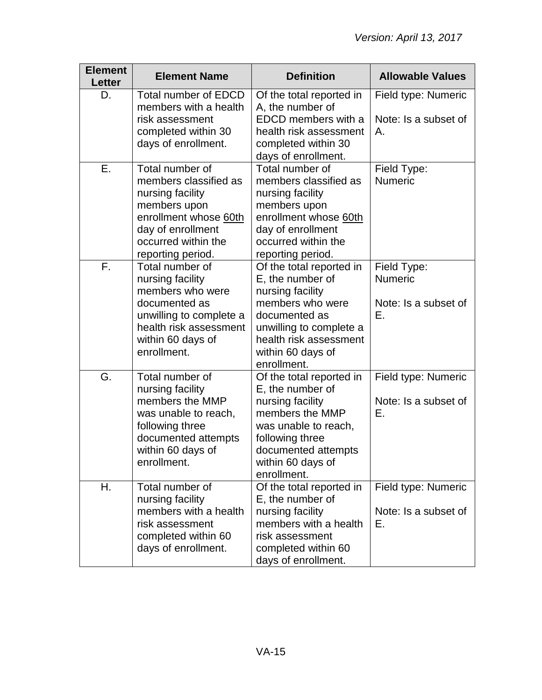| <b>Element</b><br><b>Letter</b> | <b>Element Name</b>                                                                                                                                                    | <b>Definition</b>                                                                                                                                                                              | <b>Allowable Values</b>                                     |
|---------------------------------|------------------------------------------------------------------------------------------------------------------------------------------------------------------------|------------------------------------------------------------------------------------------------------------------------------------------------------------------------------------------------|-------------------------------------------------------------|
| D.                              | <b>Total number of EDCD</b><br>members with a health<br>risk assessment<br>completed within 30<br>days of enrollment.                                                  | Of the total reported in<br>A, the number of<br>EDCD members with a<br>health risk assessment<br>completed within 30<br>days of enrollment.                                                    | Field type: Numeric<br>Note: Is a subset of<br>Α.           |
| Ε.                              | Total number of<br>members classified as<br>nursing facility<br>members upon<br>enrollment whose 60th<br>day of enrollment<br>occurred within the<br>reporting period. | Total number of<br>members classified as<br>nursing facility<br>members upon<br>enrollment whose 60th<br>day of enrollment<br>occurred within the<br>reporting period.                         | Field Type:<br><b>Numeric</b>                               |
| F.                              | Total number of<br>nursing facility<br>members who were<br>documented as<br>unwilling to complete a<br>health risk assessment<br>within 60 days of<br>enrollment.      | Of the total reported in<br>E, the number of<br>nursing facility<br>members who were<br>documented as<br>unwilling to complete a<br>health risk assessment<br>within 60 days of<br>enrollment. | Field Type:<br><b>Numeric</b><br>Note: Is a subset of<br>Е. |
| G.                              | Total number of<br>nursing facility<br>members the MMP<br>was unable to reach,<br>following three<br>documented attempts<br>within 60 days of<br>enrollment.           | Of the total reported in<br>E, the number of<br>nursing facility<br>members the MMP<br>was unable to reach,<br>following three<br>documented attempts<br>within 60 days of<br>enrollment.      | Field type: Numeric<br>Note: Is a subset of<br>Е.           |
| Η.                              | Total number of<br>nursing facility<br>members with a health<br>risk assessment<br>completed within 60<br>days of enrollment.                                          | Of the total reported in<br>E, the number of<br>nursing facility<br>members with a health<br>risk assessment<br>completed within 60<br>days of enrollment.                                     | Field type: Numeric<br>Note: Is a subset of<br>Е.           |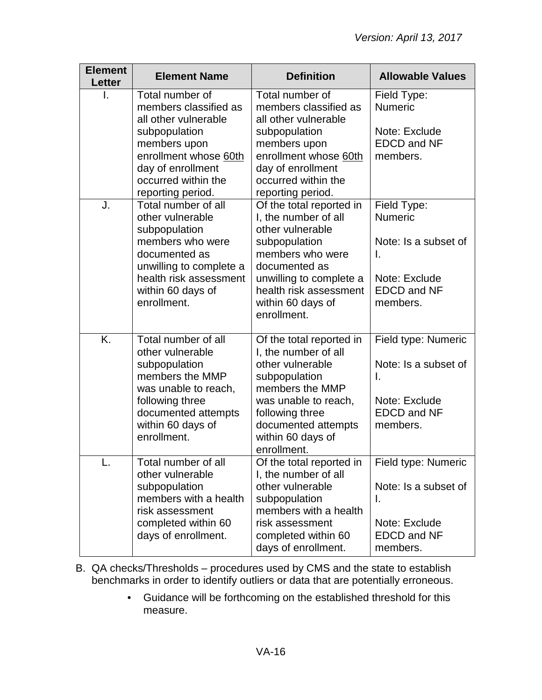| <b>Element</b><br><b>Letter</b> | <b>Element Name</b>                                                                                                                                                                         | <b>Definition</b>                                                                                                                                                                                                   | <b>Allowable Values</b>                                                                                        |
|---------------------------------|---------------------------------------------------------------------------------------------------------------------------------------------------------------------------------------------|---------------------------------------------------------------------------------------------------------------------------------------------------------------------------------------------------------------------|----------------------------------------------------------------------------------------------------------------|
| I.                              | Total number of<br>members classified as<br>all other vulnerable<br>subpopulation<br>members upon<br>enrollment whose 60th<br>day of enrollment<br>occurred within the<br>reporting period. | Total number of<br>members classified as<br>all other vulnerable<br>subpopulation<br>members upon<br>enrollment whose 60th<br>day of enrollment<br>occurred within the<br>reporting period.                         | Field Type:<br><b>Numeric</b><br>Note: Exclude<br><b>EDCD and NF</b><br>members.                               |
| J.                              | Total number of all<br>other vulnerable<br>subpopulation<br>members who were<br>documented as<br>unwilling to complete a<br>health risk assessment<br>within 60 days of<br>enrollment.      | Of the total reported in<br>I, the number of all<br>other vulnerable<br>subpopulation<br>members who were<br>documented as<br>unwilling to complete a<br>health risk assessment<br>within 60 days of<br>enrollment. | Field Type:<br><b>Numeric</b><br>Note: Is a subset of<br>Ι.<br>Note: Exclude<br><b>EDCD and NF</b><br>members. |
| K.                              | Total number of all<br>other vulnerable<br>subpopulation<br>members the MMP<br>was unable to reach,<br>following three<br>documented attempts<br>within 60 days of<br>enrollment.           | Of the total reported in<br>I, the number of all<br>other vulnerable<br>subpopulation<br>members the MMP<br>was unable to reach,<br>following three<br>documented attempts<br>within 60 days of<br>enrollment.      | Field type: Numeric<br>Note: Is a subset of<br>I.<br>Note: Exclude<br><b>EDCD and NF</b><br>members.           |
| L.                              | Total number of all<br>other vulnerable<br>subpopulation<br>members with a health<br>risk assessment<br>completed within 60<br>days of enrollment.                                          | Of the total reported in<br>I, the number of all<br>other vulnerable<br>subpopulation<br>members with a health<br>risk assessment<br>completed within 60<br>days of enrollment.                                     | Field type: Numeric<br>Note: Is a subset of<br>Τ.<br>Note: Exclude<br><b>EDCD and NF</b><br>members.           |

- B. QA checks/Thresholds procedures used by CMS and the state to establish benchmarks in order to identify outliers or data that are potentially erroneous.
	- Guidance will be forthcoming on the established threshold for this measure.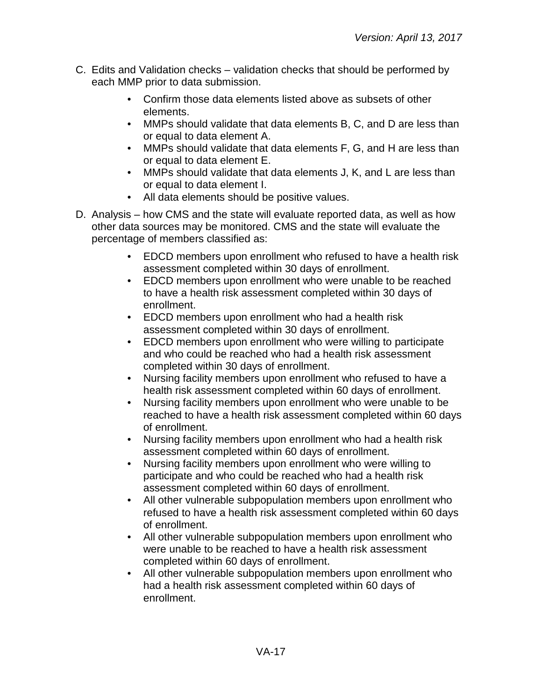- C. Edits and Validation checks validation checks that should be performed by each MMP prior to data submission.
	- Confirm those data elements listed above as subsets of other elements.
	- MMPs should validate that data elements B, C, and D are less than or equal to data element A.
	- MMPs should validate that data elements F, G, and H are less than or equal to data element E.
	- MMPs should validate that data elements J, K, and L are less than or equal to data element I.
	- All data elements should be positive values.
- D. Analysis how CMS and the state will evaluate reported data, as well as how other data sources may be monitored. CMS and the state will evaluate the percentage of members classified as:
	- EDCD members upon enrollment who refused to have a health risk assessment completed within 30 days of enrollment.
	- EDCD members upon enrollment who were unable to be reached to have a health risk assessment completed within 30 days of enrollment.
	- EDCD members upon enrollment who had a health risk assessment completed within 30 days of enrollment.
	- EDCD members upon enrollment who were willing to participate and who could be reached who had a health risk assessment completed within 30 days of enrollment.
	- Nursing facility members upon enrollment who refused to have a health risk assessment completed within 60 days of enrollment.
	- Nursing facility members upon enrollment who were unable to be reached to have a health risk assessment completed within 60 days of enrollment.
	- Nursing facility members upon enrollment who had a health risk assessment completed within 60 days of enrollment.
	- Nursing facility members upon enrollment who were willing to participate and who could be reached who had a health risk assessment completed within 60 days of enrollment.
	- All other vulnerable subpopulation members upon enrollment who refused to have a health risk assessment completed within 60 days of enrollment.
	- All other vulnerable subpopulation members upon enrollment who were unable to be reached to have a health risk assessment completed within 60 days of enrollment.
	- All other vulnerable subpopulation members upon enrollment who had a health risk assessment completed within 60 days of enrollment.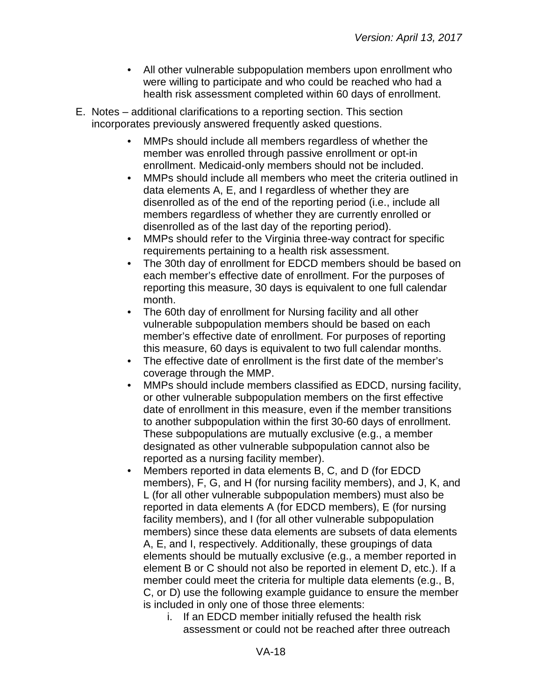- All other vulnerable subpopulation members upon enrollment who were willing to participate and who could be reached who had a health risk assessment completed within 60 days of enrollment.
- E. Notes additional clarifications to a reporting section. This section incorporates previously answered frequently asked questions.
	- MMPs should include all members regardless of whether the member was enrolled through passive enrollment or opt-in enrollment. Medicaid-only members should not be included.
	- MMPs should include all members who meet the criteria outlined in data elements A, E, and I regardless of whether they are disenrolled as of the end of the reporting period (i.e., include all members regardless of whether they are currently enrolled or disenrolled as of the last day of the reporting period).
	- MMPs should refer to the Virginia three-way contract for specific requirements pertaining to a health risk assessment.
	- The 30th day of enrollment for EDCD members should be based on each member's effective date of enrollment. For the purposes of reporting this measure, 30 days is equivalent to one full calendar month.
	- The 60th day of enrollment for Nursing facility and all other vulnerable subpopulation members should be based on each member's effective date of enrollment. For purposes of reporting this measure, 60 days is equivalent to two full calendar months.
	- The effective date of enrollment is the first date of the member's coverage through the MMP.
	- MMPs should include members classified as EDCD, nursing facility, or other vulnerable subpopulation members on the first effective date of enrollment in this measure, even if the member transitions to another subpopulation within the first 30-60 days of enrollment. These subpopulations are mutually exclusive (e.g., a member designated as other vulnerable subpopulation cannot also be reported as a nursing facility member).
	- Members reported in data elements B, C, and D (for EDCD members), F, G, and H (for nursing facility members), and J, K, and L (for all other vulnerable subpopulation members) must also be reported in data elements A (for EDCD members), E (for nursing facility members), and I (for all other vulnerable subpopulation members) since these data elements are subsets of data elements A, E, and I, respectively. Additionally, these groupings of data elements should be mutually exclusive (e.g., a member reported in element B or C should not also be reported in element D, etc.). If a member could meet the criteria for multiple data elements (e.g., B, C, or D) use the following example guidance to ensure the member is included in only one of those three elements:
		- i. If an EDCD member initially refused the health risk assessment or could not be reached after three outreach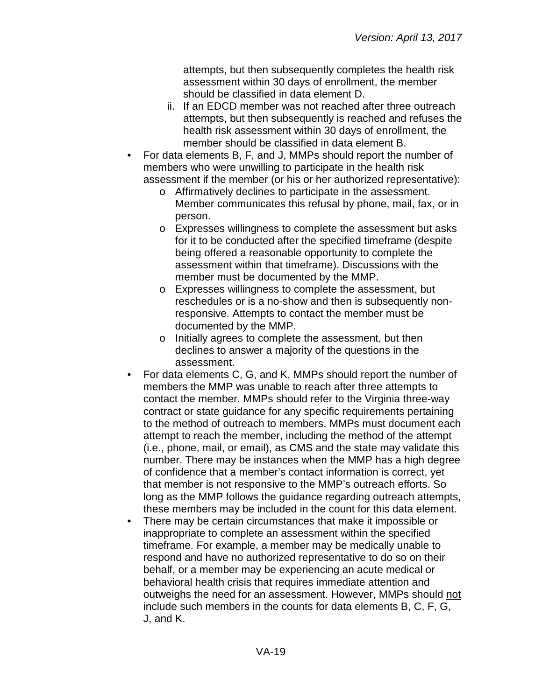attempts, but then subsequently completes the health risk assessment within 30 days of enrollment, the member should be classified in data element D.

- ii. If an EDCD member was not reached after three outreach attempts, but then subsequently is reached and refuses the health risk assessment within 30 days of enrollment, the member should be classified in data element B.
- For data elements B, F, and J, MMPs should report the number of members who were unwilling to participate in the health risk assessment if the member (or his or her authorized representative):
	- o Affirmatively declines to participate in the assessment. Member communicates this refusal by phone, mail, fax, or in person.
	- o Expresses willingness to complete the assessment but asks for it to be conducted after the specified timeframe (despite being offered a reasonable opportunity to complete the assessment within that timeframe). Discussions with the member must be documented by the MMP.
	- o Expresses willingness to complete the assessment, but reschedules or is a no-show and then is subsequently nonresponsive. Attempts to contact the member must be documented by the MMP.
	- o Initially agrees to complete the assessment, but then declines to answer a majority of the questions in the assessment.
- For data elements C, G, and K, MMPs should report the number of members the MMP was unable to reach after three attempts to contact the member. MMPs should refer to the Virginia three-way contract or state guidance for any specific requirements pertaining to the method of outreach to members. MMPs must document each attempt to reach the member, including the method of the attempt (i.e., phone, mail, or email), as CMS and the state may validate this number. There may be instances when the MMP has a high degree of confidence that a member's contact information is correct, yet that member is not responsive to the MMP's outreach efforts. So long as the MMP follows the guidance regarding outreach attempts, these members may be included in the count for this data element.
- There may be certain circumstances that make it impossible or inappropriate to complete an assessment within the specified timeframe. For example, a member may be medically unable to respond and have no authorized representative to do so on their behalf, or a member may be experiencing an acute medical or behavioral health crisis that requires immediate attention and outweighs the need for an assessment. However, MMPs should not include such members in the counts for data elements B, C, F, G, J, and K.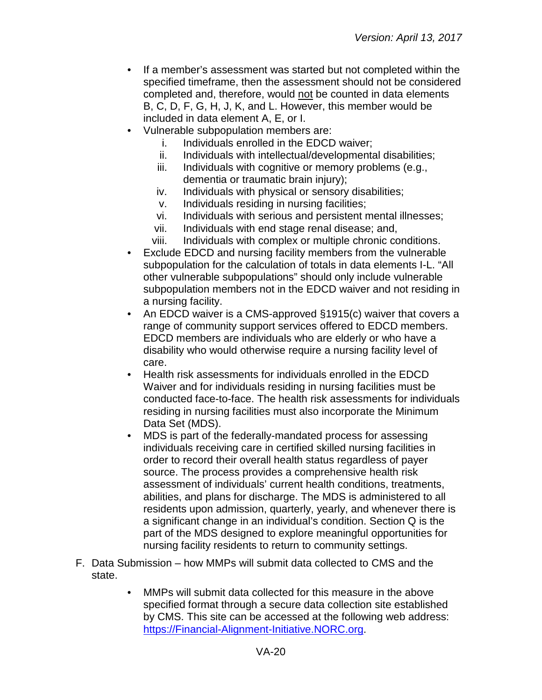- If a member's assessment was started but not completed within the specified timeframe, then the assessment should not be considered completed and, therefore, would not be counted in data elements B, C, D, F, G, H, J, K, and L. However, this member would be included in data element A, E, or I.
- Vulnerable subpopulation members are:
	- i. Individuals enrolled in the EDCD waiver;
	- ii. Individuals with intellectual/developmental disabilities;
	- iii. Individuals with cognitive or memory problems (e.g., dementia or traumatic brain injury);
	- iv. Individuals with physical or sensory disabilities;
	- v. Individuals residing in nursing facilities;
	- vi. Individuals with serious and persistent mental illnesses;
	- vii. Individuals with end stage renal disease; and,
	- viii. Individuals with complex or multiple chronic conditions.
- Exclude EDCD and nursing facility members from the vulnerable subpopulation for the calculation of totals in data elements I-L. "All other vulnerable subpopulations" should only include vulnerable subpopulation members not in the EDCD waiver and not residing in a nursing facility.
- An EDCD waiver is a CMS-approved §1915(c) waiver that covers a range of community support services offered to EDCD members. EDCD members are individuals who are elderly or who have a disability who would otherwise require a nursing facility level of care.
- Health risk assessments for individuals enrolled in the EDCD Waiver and for individuals residing in nursing facilities must be conducted face-to-face. The health risk assessments for individuals residing in nursing facilities must also incorporate the Minimum Data Set (MDS).
- MDS is part of the federally-mandated process for assessing individuals receiving care in certified skilled nursing facilities in order to record their overall health status regardless of payer source. The process provides a comprehensive health risk assessment of individuals' current health conditions, treatments, abilities, and plans for discharge. The MDS is administered to all residents upon admission, quarterly, yearly, and whenever there is a significant change in an individual's condition. Section Q is the part of the MDS designed to explore meaningful opportunities for nursing facility residents to return to community settings.
- F. Data Submission how MMPs will submit data collected to CMS and the state.
	- MMPs will submit data collected for this measure in the above specified format through a secure data collection site established by CMS. This site can be accessed at the following web address: [https://Financial-Alignment-Initiative.NORC.org.](https://financial-alignment-initiative.norc.org/)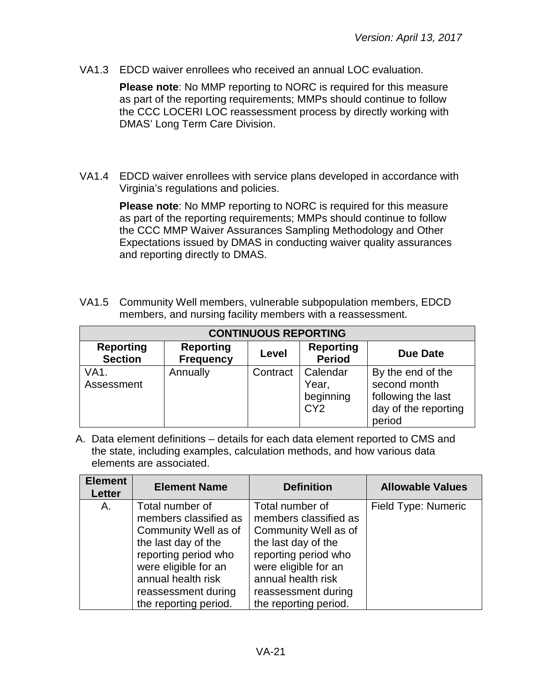VA1.3 EDCD waiver enrollees who received an annual LOC evaluation.

**Please note**: No MMP reporting to NORC is required for this measure as part of the reporting requirements; MMPs should continue to follow the CCC LOCERI LOC reassessment process by directly working with DMAS' Long Term Care Division.

VA1.4 EDCD waiver enrollees with service plans developed in accordance with Virginia's regulations and policies.

> **Please note**: No MMP reporting to NORC is required for this measure as part of the reporting requirements; MMPs should continue to follow the CCC MMP Waiver Assurances Sampling Methodology and Other Expectations issued by DMAS in conducting waiver quality assurances and reporting directly to DMAS.

VA1.5 Community Well members, vulnerable subpopulation members, EDCD members, and nursing facility members with a reassessment.

| <b>CONTINUOUS REPORTING</b>        |                                      |          |                                                   |                                                                                           |
|------------------------------------|--------------------------------------|----------|---------------------------------------------------|-------------------------------------------------------------------------------------------|
| <b>Reporting</b><br><b>Section</b> | <b>Reporting</b><br><b>Frequency</b> | Level    | <b>Reporting</b><br><b>Period</b>                 | Due Date                                                                                  |
| VA1.<br>Assessment                 | Annually                             | Contract | Calendar<br>Year,<br>beginning<br>CY <sub>2</sub> | By the end of the<br>second month<br>following the last<br>day of the reporting<br>period |

| <b>Element</b><br><b>Letter</b> | <b>Element Name</b>                                                                                                                                                                                           | <b>Definition</b>                                                                                                                                                                                             | <b>Allowable Values</b> |
|---------------------------------|---------------------------------------------------------------------------------------------------------------------------------------------------------------------------------------------------------------|---------------------------------------------------------------------------------------------------------------------------------------------------------------------------------------------------------------|-------------------------|
| А.                              | Total number of<br>members classified as<br>Community Well as of<br>the last day of the<br>reporting period who<br>were eligible for an<br>annual health risk<br>reassessment during<br>the reporting period. | Total number of<br>members classified as<br>Community Well as of<br>the last day of the<br>reporting period who<br>were eligible for an<br>annual health risk<br>reassessment during<br>the reporting period. | Field Type: Numeric     |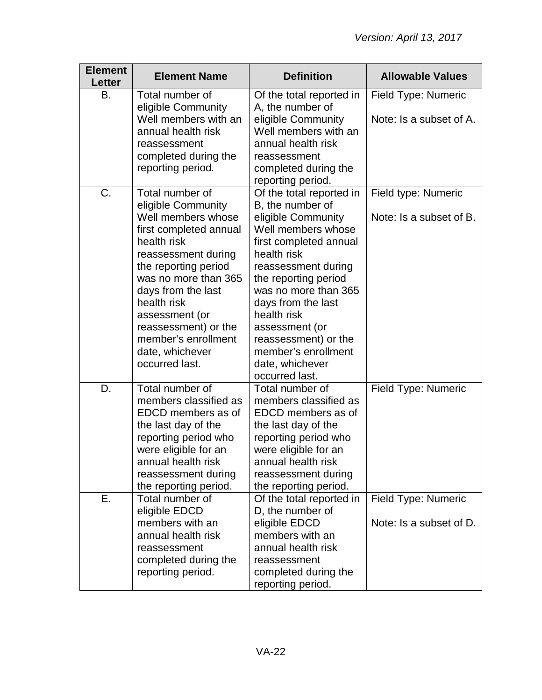| <b>Element</b><br><b>Letter</b> | <b>Element Name</b>                                                                                                                                                                                                                                                                                                    | <b>Definition</b>                                                                                                                                                                                                                                                                                                                                   | <b>Allowable Values</b>                        |
|---------------------------------|------------------------------------------------------------------------------------------------------------------------------------------------------------------------------------------------------------------------------------------------------------------------------------------------------------------------|-----------------------------------------------------------------------------------------------------------------------------------------------------------------------------------------------------------------------------------------------------------------------------------------------------------------------------------------------------|------------------------------------------------|
| В.                              | Total number of<br>eligible Community<br>Well members with an<br>annual health risk<br>reassessment<br>completed during the<br>reporting period.                                                                                                                                                                       | Of the total reported in<br>A, the number of<br>eligible Community<br>Well members with an<br>annual health risk<br>reassessment<br>completed during the<br>reporting period.                                                                                                                                                                       | Field Type: Numeric<br>Note: Is a subset of A. |
| C.                              | Total number of<br>eligible Community<br>Well members whose<br>first completed annual<br>health risk<br>reassessment during<br>the reporting period<br>was no more than 365<br>days from the last<br>health risk<br>assessment (or<br>reassessment) or the<br>member's enrollment<br>date, whichever<br>occurred last. | Of the total reported in<br>B, the number of<br>eligible Community<br>Well members whose<br>first completed annual<br>health risk<br>reassessment during<br>the reporting period<br>was no more than 365<br>days from the last<br>health risk<br>assessment (or<br>reassessment) or the<br>member's enrollment<br>date, whichever<br>occurred last. | Field type: Numeric<br>Note: Is a subset of B. |
| D.                              | Total number of<br>members classified as<br>EDCD members as of<br>the last day of the<br>reporting period who<br>were eligible for an<br>annual health risk<br>reassessment during<br>the reporting period.                                                                                                            | Total number of<br>members classified as<br>EDCD members as of<br>the last day of the<br>reporting period who<br>were eligible for an<br>annual health risk<br>reassessment during<br>the reporting period.                                                                                                                                         | Field Type: Numeric                            |
| Е.                              | Total number of<br>eligible EDCD<br>members with an<br>annual health risk<br>reassessment<br>completed during the<br>reporting period.                                                                                                                                                                                 | Of the total reported in<br>D, the number of<br>eligible EDCD<br>members with an<br>annual health risk<br>reassessment<br>completed during the<br>reporting period.                                                                                                                                                                                 | Field Type: Numeric<br>Note: Is a subset of D. |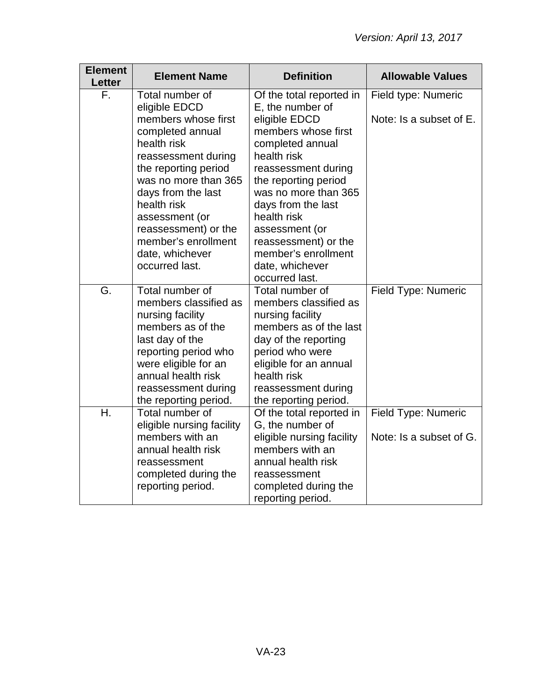| <b>Element</b><br><b>Letter</b> | <b>Element Name</b>                                                                                                                                                                                                        | <b>Definition</b>                                                                                                                                                                                                          | <b>Allowable Values</b>                        |
|---------------------------------|----------------------------------------------------------------------------------------------------------------------------------------------------------------------------------------------------------------------------|----------------------------------------------------------------------------------------------------------------------------------------------------------------------------------------------------------------------------|------------------------------------------------|
| F.                              | Total number of                                                                                                                                                                                                            | Of the total reported in                                                                                                                                                                                                   | Field type: Numeric                            |
|                                 | eligible EDCD<br>members whose first<br>completed annual<br>health risk<br>reassessment during<br>the reporting period<br>was no more than 365<br>days from the last<br>health risk<br>assessment (or                      | E, the number of<br>eligible EDCD<br>members whose first<br>completed annual<br>health risk<br>reassessment during<br>the reporting period<br>was no more than 365<br>days from the last<br>health risk                    | Note: Is a subset of E.                        |
|                                 | reassessment) or the                                                                                                                                                                                                       | assessment (or                                                                                                                                                                                                             |                                                |
|                                 | member's enrollment<br>date, whichever<br>occurred last.                                                                                                                                                                   | reassessment) or the<br>member's enrollment<br>date, whichever<br>occurred last.                                                                                                                                           |                                                |
| G.                              | Total number of<br>members classified as<br>nursing facility<br>members as of the<br>last day of the<br>reporting period who<br>were eligible for an<br>annual health risk<br>reassessment during<br>the reporting period. | Total number of<br>members classified as<br>nursing facility<br>members as of the last<br>day of the reporting<br>period who were<br>eligible for an annual<br>health risk<br>reassessment during<br>the reporting period. | Field Type: Numeric                            |
| Η.                              | Total number of<br>eligible nursing facility<br>members with an<br>annual health risk<br>reassessment<br>completed during the<br>reporting period.                                                                         | Of the total reported in<br>G, the number of<br>eligible nursing facility<br>members with an<br>annual health risk<br>reassessment<br>completed during the<br>reporting period.                                            | Field Type: Numeric<br>Note: Is a subset of G. |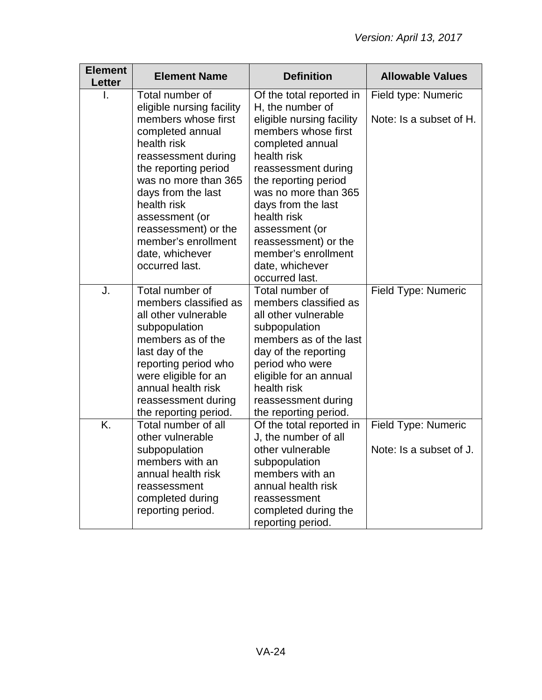| <b>Element</b><br><b>Letter</b> | <b>Element Name</b>                                                                                                                                                                                                                                                                                   | <b>Definition</b>                                                                                                                                                                                                                                                                                                         | <b>Allowable Values</b>                        |
|---------------------------------|-------------------------------------------------------------------------------------------------------------------------------------------------------------------------------------------------------------------------------------------------------------------------------------------------------|---------------------------------------------------------------------------------------------------------------------------------------------------------------------------------------------------------------------------------------------------------------------------------------------------------------------------|------------------------------------------------|
|                                 | Total number of                                                                                                                                                                                                                                                                                       | Of the total reported in                                                                                                                                                                                                                                                                                                  | Field type: Numeric                            |
|                                 | eligible nursing facility<br>members whose first<br>completed annual<br>health risk<br>reassessment during<br>the reporting period<br>was no more than 365<br>days from the last<br>health risk<br>assessment (or<br>reassessment) or the<br>member's enrollment<br>date, whichever<br>occurred last. | H, the number of<br>eligible nursing facility<br>members whose first<br>completed annual<br>health risk<br>reassessment during<br>the reporting period<br>was no more than 365<br>days from the last<br>health risk<br>assessment (or<br>reassessment) or the<br>member's enrollment<br>date, whichever<br>occurred last. | Note: Is a subset of H.                        |
| J.                              | Total number of<br>members classified as<br>all other vulnerable<br>subpopulation<br>members as of the<br>last day of the<br>reporting period who<br>were eligible for an<br>annual health risk<br>reassessment during<br>the reporting period.                                                       | Total number of<br>members classified as<br>all other vulnerable<br>subpopulation<br>members as of the last<br>day of the reporting<br>period who were<br>eligible for an annual<br>health risk<br>reassessment during<br>the reporting period.                                                                           | Field Type: Numeric                            |
| K.                              | Total number of all<br>other vulnerable<br>subpopulation<br>members with an<br>annual health risk<br>reassessment<br>completed during<br>reporting period.                                                                                                                                            | Of the total reported in<br>J, the number of all<br>other vulnerable<br>subpopulation<br>members with an<br>annual health risk<br>reassessment<br>completed during the<br>reporting period.                                                                                                                               | Field Type: Numeric<br>Note: Is a subset of J. |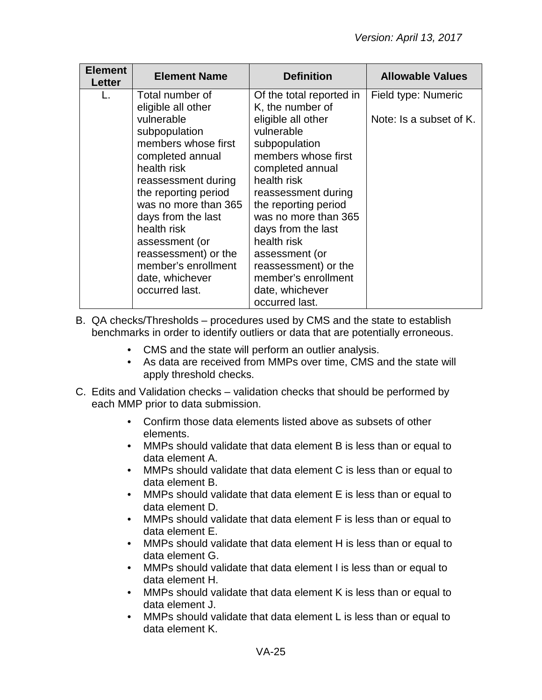| <b>Element</b><br><b>Letter</b> | <b>Element Name</b>                                                                                                                                                                                                                                                                                                                              | <b>Definition</b>                                                                                                                                                                                                                                                                                                                                                             | <b>Allowable Values</b>                        |
|---------------------------------|--------------------------------------------------------------------------------------------------------------------------------------------------------------------------------------------------------------------------------------------------------------------------------------------------------------------------------------------------|-------------------------------------------------------------------------------------------------------------------------------------------------------------------------------------------------------------------------------------------------------------------------------------------------------------------------------------------------------------------------------|------------------------------------------------|
|                                 | Total number of<br>eligible all other<br>vulnerable<br>subpopulation<br>members whose first<br>completed annual<br>health risk<br>reassessment during<br>the reporting period<br>was no more than 365<br>days from the last<br>health risk<br>assessment (or<br>reassessment) or the<br>member's enrollment<br>date, whichever<br>occurred last. | Of the total reported in<br>K, the number of<br>eligible all other<br>vulnerable<br>subpopulation<br>members whose first<br>completed annual<br>health risk<br>reassessment during<br>the reporting period<br>was no more than 365<br>days from the last<br>health risk<br>assessment (or<br>reassessment) or the<br>member's enrollment<br>date, whichever<br>occurred last. | Field type: Numeric<br>Note: Is a subset of K. |

- B. QA checks/Thresholds procedures used by CMS and the state to establish benchmarks in order to identify outliers or data that are potentially erroneous.
	- CMS and the state will perform an outlier analysis.
	- As data are received from MMPs over time, CMS and the state will apply threshold checks.
- C. Edits and Validation checks validation checks that should be performed by each MMP prior to data submission.
	- Confirm those data elements listed above as subsets of other elements.
	- MMPs should validate that data element B is less than or equal to data element A.
	- MMPs should validate that data element C is less than or equal to data element B.
	- MMPs should validate that data element E is less than or equal to data element D.
	- MMPs should validate that data element F is less than or equal to data element E.
	- MMPs should validate that data element H is less than or equal to data element G.
	- MMPs should validate that data element I is less than or equal to data element H.
	- MMPs should validate that data element K is less than or equal to data element J.
	- MMPs should validate that data element L is less than or equal to data element K.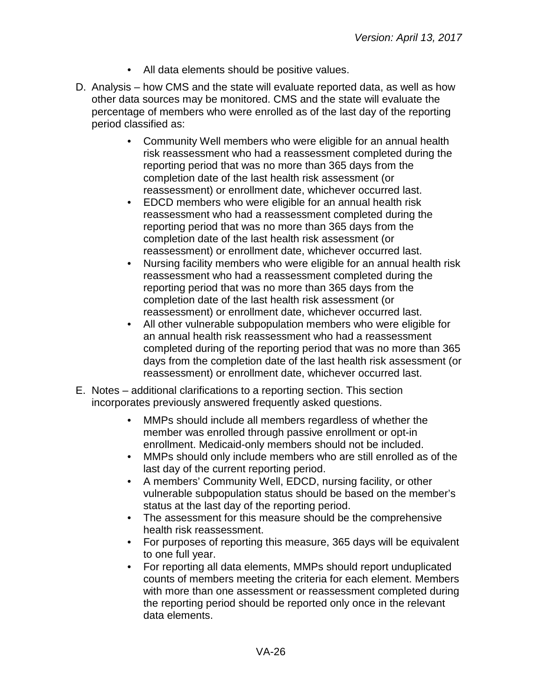- All data elements should be positive values.
- D. Analysis how CMS and the state will evaluate reported data, as well as how other data sources may be monitored. CMS and the state will evaluate the percentage of members who were enrolled as of the last day of the reporting period classified as:
	- Community Well members who were eligible for an annual health risk reassessment who had a reassessment completed during the reporting period that was no more than 365 days from the completion date of the last health risk assessment (or reassessment) or enrollment date, whichever occurred last.
	- EDCD members who were eligible for an annual health risk reassessment who had a reassessment completed during the reporting period that was no more than 365 days from the completion date of the last health risk assessment (or reassessment) or enrollment date, whichever occurred last.
	- Nursing facility members who were eligible for an annual health risk reassessment who had a reassessment completed during the reporting period that was no more than 365 days from the completion date of the last health risk assessment (or reassessment) or enrollment date, whichever occurred last.
	- All other vulnerable subpopulation members who were eligible for an annual health risk reassessment who had a reassessment completed during of the reporting period that was no more than 365 days from the completion date of the last health risk assessment (or reassessment) or enrollment date, whichever occurred last.
- E. Notes additional clarifications to a reporting section. This section incorporates previously answered frequently asked questions.
	- MMPs should include all members regardless of whether the member was enrolled through passive enrollment or opt-in enrollment. Medicaid-only members should not be included.
	- MMPs should only include members who are still enrolled as of the last day of the current reporting period.
	- A members' Community Well, EDCD, nursing facility, or other vulnerable subpopulation status should be based on the member's status at the last day of the reporting period.
	- The assessment for this measure should be the comprehensive health risk reassessment.
	- For purposes of reporting this measure, 365 days will be equivalent to one full year.
	- For reporting all data elements, MMPs should report unduplicated counts of members meeting the criteria for each element. Members with more than one assessment or reassessment completed during the reporting period should be reported only once in the relevant data elements.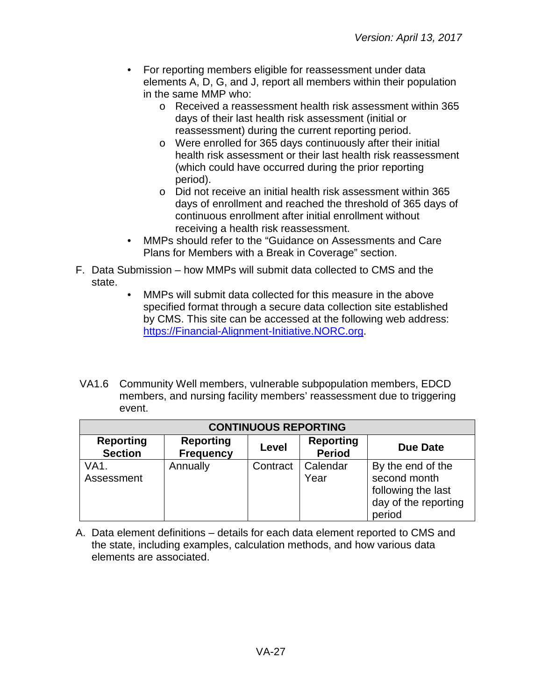- For reporting members eligible for reassessment under data elements A, D, G, and J, report all members within their population in the same MMP who:
	- o Received a reassessment health risk assessment within 365 days of their last health risk assessment (initial or reassessment) during the current reporting period.
	- o Were enrolled for 365 days continuously after their initial health risk assessment or their last health risk reassessment (which could have occurred during the prior reporting period).
	- o Did not receive an initial health risk assessment within 365 days of enrollment and reached the threshold of 365 days of continuous enrollment after initial enrollment without receiving a health risk reassessment.
- MMPs should refer to the "Guidance on Assessments and Care Plans for Members with a Break in Coverage" section.
- F. Data Submission how MMPs will submit data collected to CMS and the state.
	- MMPs will submit data collected for this measure in the above specified format through a secure data collection site established by CMS. This site can be accessed at the following web address: [https://Financial-Alignment-Initiative.NORC.org.](https://financial-alignment-initiative.norc.org/)
- VA1.6 Community Well members, vulnerable subpopulation members, EDCD members, and nursing facility members' reassessment due to triggering event.

| <b>CONTINUOUS REPORTING</b>        |                                      |          |                                   |                                                                                           |
|------------------------------------|--------------------------------------|----------|-----------------------------------|-------------------------------------------------------------------------------------------|
| <b>Reporting</b><br><b>Section</b> | <b>Reporting</b><br><b>Frequency</b> | Level    | <b>Reporting</b><br><b>Period</b> | Due Date                                                                                  |
| VA1.<br>Assessment                 | Annually                             | Contract | Calendar<br>Year                  | By the end of the<br>second month<br>following the last<br>day of the reporting<br>period |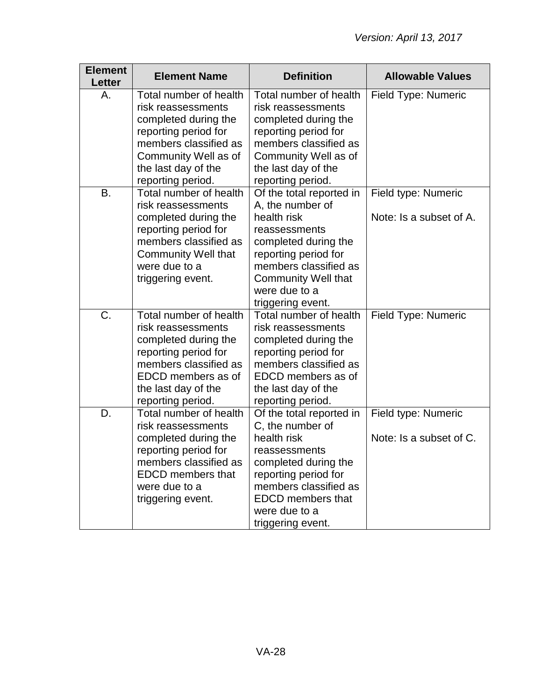| <b>Element</b><br><b>Letter</b> | <b>Element Name</b>                                                                                                                                                                       | <b>Definition</b>                                                                                                                                                                                                         | <b>Allowable Values</b>                        |
|---------------------------------|-------------------------------------------------------------------------------------------------------------------------------------------------------------------------------------------|---------------------------------------------------------------------------------------------------------------------------------------------------------------------------------------------------------------------------|------------------------------------------------|
| Α.                              | Total number of health<br>risk reassessments<br>completed during the<br>reporting period for<br>members classified as<br>Community Well as of<br>the last day of the<br>reporting period. | Total number of health<br>risk reassessments<br>completed during the<br>reporting period for<br>members classified as<br>Community Well as of<br>the last day of the<br>reporting period.                                 | Field Type: Numeric                            |
| <b>B.</b>                       | Total number of health<br>risk reassessments<br>completed during the<br>reporting period for<br>members classified as<br><b>Community Well that</b><br>were due to a<br>triggering event. | Of the total reported in<br>A, the number of<br>health risk<br>reassessments<br>completed during the<br>reporting period for<br>members classified as<br><b>Community Well that</b><br>were due to a<br>triggering event. | Field type: Numeric<br>Note: Is a subset of A. |
| C.                              | Total number of health<br>risk reassessments<br>completed during the<br>reporting period for<br>members classified as<br>EDCD members as of<br>the last day of the<br>reporting period.   | Total number of health<br>risk reassessments<br>completed during the<br>reporting period for<br>members classified as<br>EDCD members as of<br>the last day of the<br>reporting period.                                   | <b>Field Type: Numeric</b>                     |
| D.                              | Total number of health<br>risk reassessments<br>completed during the<br>reporting period for<br>members classified as<br><b>EDCD</b> members that<br>were due to a<br>triggering event.   | Of the total reported in<br>C, the number of<br>health risk<br>reassessments<br>completed during the<br>reporting period for<br>members classified as<br><b>EDCD</b> members that<br>were due to a<br>triggering event.   | Field type: Numeric<br>Note: Is a subset of C. |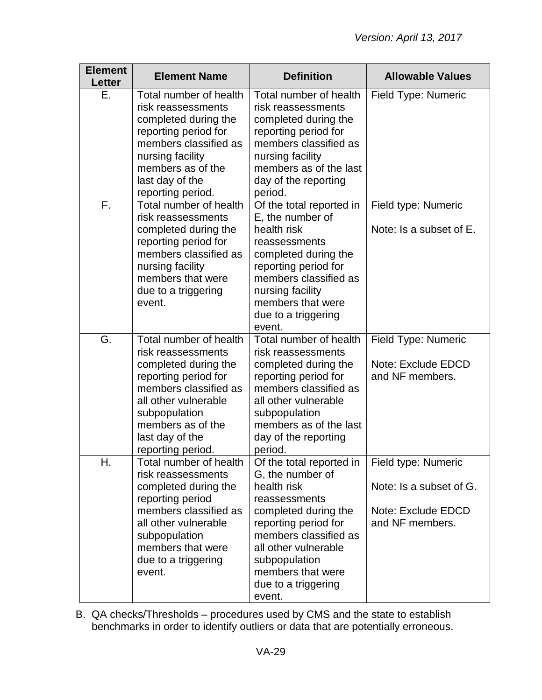| <b>Element</b><br>Letter | <b>Element Name</b>                                                                                                                                                                                                         | <b>Definition</b>                                                                                                                                                                                                                                    | <b>Allowable Values</b>                                                                 |
|--------------------------|-----------------------------------------------------------------------------------------------------------------------------------------------------------------------------------------------------------------------------|------------------------------------------------------------------------------------------------------------------------------------------------------------------------------------------------------------------------------------------------------|-----------------------------------------------------------------------------------------|
| Ε.                       | Total number of health<br>risk reassessments<br>completed during the<br>reporting period for<br>members classified as<br>nursing facility<br>members as of the<br>last day of the<br>reporting period.                      | Total number of health<br>risk reassessments<br>completed during the<br>reporting period for<br>members classified as<br>nursing facility<br>members as of the last<br>day of the reporting<br>period.                                               | Field Type: Numeric                                                                     |
| F.                       | Total number of health<br>risk reassessments<br>completed during the<br>reporting period for<br>members classified as<br>nursing facility<br>members that were<br>due to a triggering<br>event.                             | Of the total reported in<br>E, the number of<br>health risk<br>reassessments<br>completed during the<br>reporting period for<br>members classified as<br>nursing facility<br>members that were<br>due to a triggering<br>event.                      | Field type: Numeric<br>Note: Is a subset of E.                                          |
| G.                       | Total number of health<br>risk reassessments<br>completed during the<br>reporting period for<br>members classified as<br>all other vulnerable<br>subpopulation<br>members as of the<br>last day of the<br>reporting period. | Total number of health<br>risk reassessments<br>completed during the<br>reporting period for<br>members classified as<br>all other vulnerable<br>subpopulation<br>members as of the last<br>day of the reporting<br>period.                          | Field Type: Numeric<br>Note: Exclude EDCD<br>and NF members.                            |
| Н.                       | Total number of health<br>risk reassessments<br>completed during the<br>reporting period<br>members classified as<br>all other vulnerable<br>subpopulation<br>members that were<br>due to a triggering<br>event.            | Of the total reported in<br>G, the number of<br>health risk<br>reassessments<br>completed during the<br>reporting period for<br>members classified as<br>all other vulnerable<br>subpopulation<br>members that were<br>due to a triggering<br>event. | Field type: Numeric<br>Note: Is a subset of G.<br>Note: Exclude EDCD<br>and NF members. |

B. QA checks/Thresholds – procedures used by CMS and the state to establish benchmarks in order to identify outliers or data that are potentially erroneous.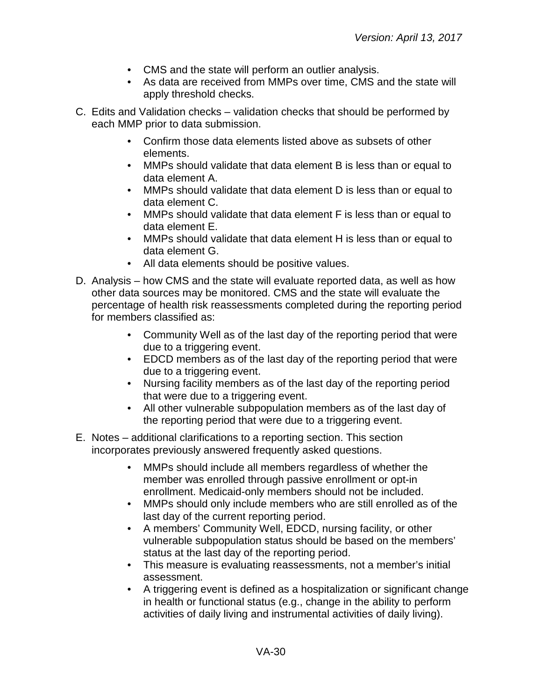- CMS and the state will perform an outlier analysis.
- As data are received from MMPs over time, CMS and the state will apply threshold checks.
- C. Edits and Validation checks validation checks that should be performed by each MMP prior to data submission.
	- Confirm those data elements listed above as subsets of other elements.
	- MMPs should validate that data element B is less than or equal to data element A.
	- MMPs should validate that data element D is less than or equal to data element C.
	- MMPs should validate that data element F is less than or equal to data element E.
	- MMPs should validate that data element H is less than or equal to data element G.
	- All data elements should be positive values.
- D. Analysis how CMS and the state will evaluate reported data, as well as how other data sources may be monitored. CMS and the state will evaluate the percentage of health risk reassessments completed during the reporting period for members classified as:
	- Community Well as of the last day of the reporting period that were due to a triggering event.
	- EDCD members as of the last day of the reporting period that were due to a triggering event.
	- Nursing facility members as of the last day of the reporting period that were due to a triggering event.
	- All other vulnerable subpopulation members as of the last day of the reporting period that were due to a triggering event.
- E. Notes additional clarifications to a reporting section. This section incorporates previously answered frequently asked questions.
	- MMPs should include all members regardless of whether the member was enrolled through passive enrollment or opt-in enrollment. Medicaid-only members should not be included.
	- MMPs should only include members who are still enrolled as of the last day of the current reporting period.
	- A members' Community Well, EDCD, nursing facility, or other vulnerable subpopulation status should be based on the members' status at the last day of the reporting period.
	- This measure is evaluating reassessments, not a member's initial assessment.
	- A triggering event is defined as a hospitalization or significant change in health or functional status (e.g., change in the ability to perform activities of daily living and instrumental activities of daily living).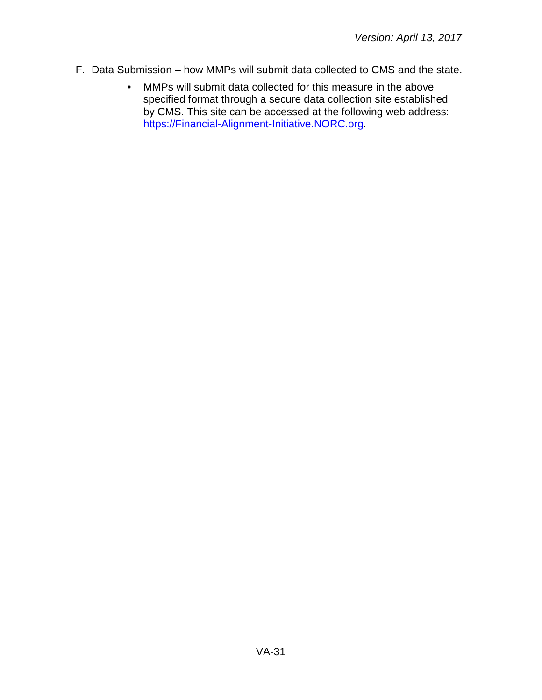- F. Data Submission how MMPs will submit data collected to CMS and the state.
	- MMPs will submit data collected for this measure in the above specified format through a secure data collection site established by CMS. This site can be accessed at the following web address: [https://Financial-Alignment-Initiative.NORC.org.](https://financial-alignment-initiative.norc.org/)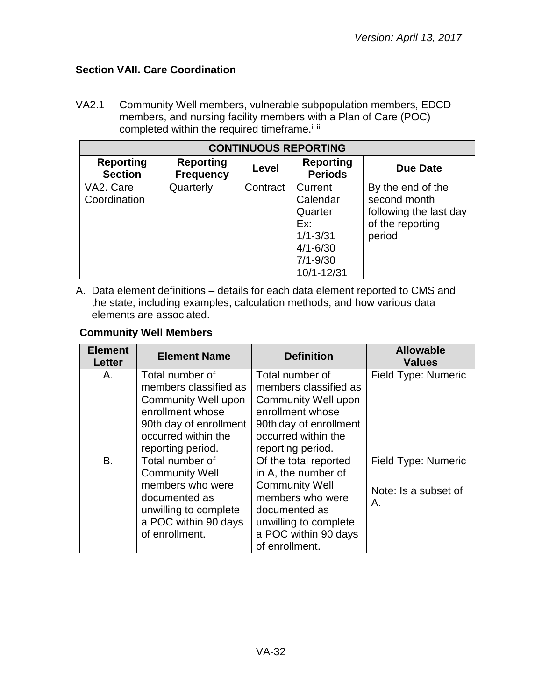# <span id="page-31-0"></span>**Section VAII. Care Coordination**

VA2.1 Community Well members, vulnerable subpopulation members, EDCD members, and nursing facility members with a Plan of Care (POC) completed within the required timeframe.<sup>i, ii</sup>

| <b>CONTINUOUS REPORTING</b>        |                                      |          |                                                                                                     |                                                                                           |
|------------------------------------|--------------------------------------|----------|-----------------------------------------------------------------------------------------------------|-------------------------------------------------------------------------------------------|
| <b>Reporting</b><br><b>Section</b> | <b>Reporting</b><br><b>Frequency</b> | Level    | <b>Reporting</b><br><b>Periods</b>                                                                  | Due Date                                                                                  |
| VA2. Care<br>Coordination          | Quarterly                            | Contract | Current<br>Calendar<br>Quarter<br>Ex:<br>$1/1 - 3/31$<br>$4/1 - 6/30$<br>$7/1 - 9/30$<br>10/1-12/31 | By the end of the<br>second month<br>following the last day<br>of the reporting<br>period |

A. Data element definitions – details for each data element reported to CMS and the state, including examples, calculation methods, and how various data elements are associated.

#### **Community Well Members**

| <b>Element</b><br>Letter | <b>Element Name</b>                                                                                                                                              | <b>Definition</b>                                                                                                                                                             | <b>Allowable</b><br><b>Values</b>                 |
|--------------------------|------------------------------------------------------------------------------------------------------------------------------------------------------------------|-------------------------------------------------------------------------------------------------------------------------------------------------------------------------------|---------------------------------------------------|
| Α.                       | Total number of<br>members classified as<br><b>Community Well upon</b><br>enrollment whose<br>90th day of enrollment<br>occurred within the<br>reporting period. | Total number of<br>members classified as<br><b>Community Well upon</b><br>enrollment whose<br>90th day of enrollment<br>occurred within the<br>reporting period.              | Field Type: Numeric                               |
| B.                       | Total number of<br><b>Community Well</b><br>members who were<br>documented as<br>unwilling to complete<br>a POC within 90 days<br>of enrollment.                 | Of the total reported<br>in A, the number of<br><b>Community Well</b><br>members who were<br>documented as<br>unwilling to complete<br>a POC within 90 days<br>of enrollment. | Field Type: Numeric<br>Note: Is a subset of<br>Α. |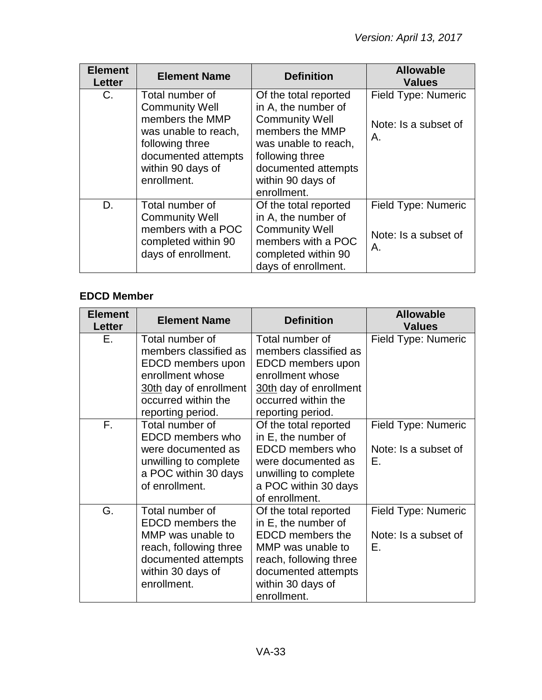| <b>Element</b><br><b>Letter</b> | <b>Element Name</b>                                                                                                                                               | <b>Definition</b>                                                                                                                                                                              | <b>Allowable</b><br><b>Values</b>                 |
|---------------------------------|-------------------------------------------------------------------------------------------------------------------------------------------------------------------|------------------------------------------------------------------------------------------------------------------------------------------------------------------------------------------------|---------------------------------------------------|
| $C_{1}$                         | Total number of<br><b>Community Well</b><br>members the MMP<br>was unable to reach,<br>following three<br>documented attempts<br>within 90 days of<br>enrollment. | Of the total reported<br>in A, the number of<br><b>Community Well</b><br>members the MMP<br>was unable to reach,<br>following three<br>documented attempts<br>within 90 days of<br>enrollment. | Field Type: Numeric<br>Note: Is a subset of<br>Α. |
| D.                              | Total number of<br><b>Community Well</b><br>members with a POC<br>completed within 90<br>days of enrollment.                                                      | Of the total reported<br>in A, the number of<br><b>Community Well</b><br>members with a POC<br>completed within 90<br>days of enrollment.                                                      | Field Type: Numeric<br>Note: Is a subset of<br>Α. |

# **EDCD Member**

| <b>Element</b><br>Letter | <b>Element Name</b>                                                                                                                                     | <b>Definition</b>                                                                                                                                                                 | <b>Allowable</b><br><b>Values</b>                 |
|--------------------------|---------------------------------------------------------------------------------------------------------------------------------------------------------|-----------------------------------------------------------------------------------------------------------------------------------------------------------------------------------|---------------------------------------------------|
| Е.                       | Total number of<br>members classified as<br>EDCD members upon<br>enrollment whose<br>30th day of enrollment<br>occurred within the<br>reporting period. | Total number of<br>members classified as<br>EDCD members upon<br>enrollment whose<br>30th day of enrollment<br>occurred within the<br>reporting period.                           | Field Type: Numeric                               |
| F.                       | Total number of<br>EDCD members who<br>were documented as<br>unwilling to complete<br>a POC within 30 days<br>of enrollment.                            | Of the total reported<br>in E, the number of<br><b>EDCD</b> members who<br>were documented as<br>unwilling to complete<br>a POC within 30 days<br>of enrollment.                  | Field Type: Numeric<br>Note: Is a subset of<br>Ε. |
| G.                       | Total number of<br><b>EDCD</b> members the<br>MMP was unable to<br>reach, following three<br>documented attempts<br>within 30 days of<br>enrollment.    | Of the total reported<br>in E, the number of<br><b>EDCD</b> members the<br>MMP was unable to<br>reach, following three<br>documented attempts<br>within 30 days of<br>enrollment. | Field Type: Numeric<br>Note: Is a subset of<br>Ε. |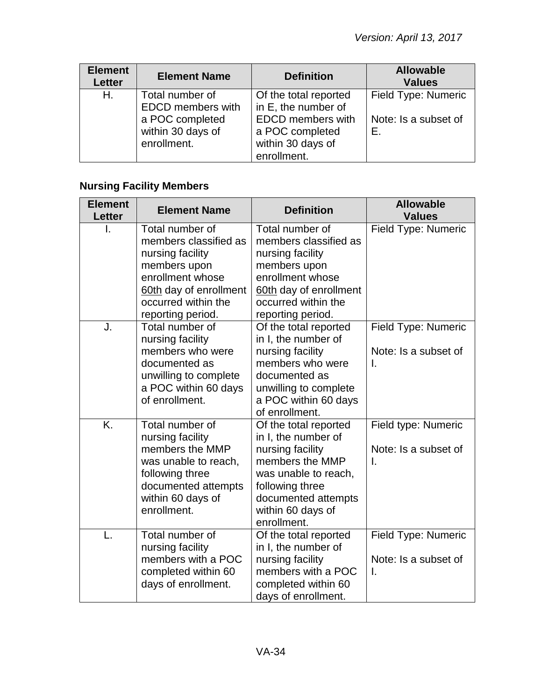| <b>Element</b><br>Letter | <b>Element Name</b>                                                                                | <b>Definition</b>                                                                                                               | <b>Allowable</b><br><b>Values</b>                 |
|--------------------------|----------------------------------------------------------------------------------------------------|---------------------------------------------------------------------------------------------------------------------------------|---------------------------------------------------|
| Н.                       | Total number of<br><b>EDCD</b> members with<br>a POC completed<br>within 30 days of<br>enrollment. | Of the total reported<br>in E, the number of<br><b>EDCD</b> members with<br>a POC completed<br>within 30 days of<br>enrollment. | Field Type: Numeric<br>Note: Is a subset of<br>Е. |

# **Nursing Facility Members**

| <b>Element</b><br><b>Letter</b> | <b>Element Name</b>                                                                                                                                                    | <b>Definition</b>                                                                                                                                                                         | <b>Allowable</b><br><b>Values</b>                 |
|---------------------------------|------------------------------------------------------------------------------------------------------------------------------------------------------------------------|-------------------------------------------------------------------------------------------------------------------------------------------------------------------------------------------|---------------------------------------------------|
| I.                              | Total number of<br>members classified as<br>nursing facility<br>members upon<br>enrollment whose<br>60th day of enrollment<br>occurred within the<br>reporting period. | Total number of<br>members classified as<br>nursing facility<br>members upon<br>enrollment whose<br>60th day of enrollment<br>occurred within the<br>reporting period.                    | Field Type: Numeric                               |
| J.                              | Total number of<br>nursing facility<br>members who were<br>documented as<br>unwilling to complete<br>a POC within 60 days<br>of enrollment.                            | Of the total reported<br>in I, the number of<br>nursing facility<br>members who were<br>documented as<br>unwilling to complete<br>a POC within 60 days<br>of enrollment.                  | Field Type: Numeric<br>Note: Is a subset of<br>I. |
| $\overline{K}$                  | Total number of<br>nursing facility<br>members the MMP<br>was unable to reach,<br>following three<br>documented attempts<br>within 60 days of<br>enrollment.           | Of the total reported<br>in I, the number of<br>nursing facility<br>members the MMP<br>was unable to reach,<br>following three<br>documented attempts<br>within 60 days of<br>enrollment. | Field type: Numeric<br>Note: Is a subset of<br>Ī. |
| L.                              | Total number of<br>nursing facility<br>members with a POC<br>completed within 60<br>days of enrollment.                                                                | Of the total reported<br>in I, the number of<br>nursing facility<br>members with a POC<br>completed within 60<br>days of enrollment.                                                      | Field Type: Numeric<br>Note: Is a subset of<br>I. |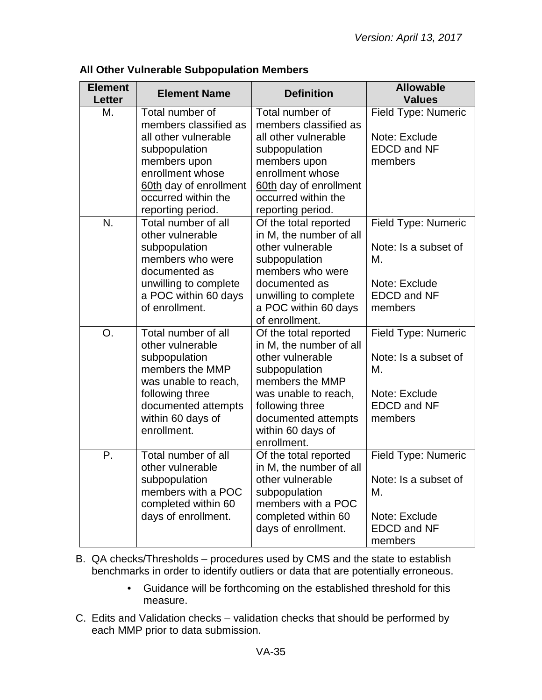| <b>Element</b><br><b>Letter</b> | <b>Element Name</b>                           | <b>Definition</b>                             | <b>Allowable</b><br><b>Values</b> |
|---------------------------------|-----------------------------------------------|-----------------------------------------------|-----------------------------------|
| М.                              | Total number of<br>members classified as      | Total number of<br>members classified as      | Field Type: Numeric               |
|                                 | all other vulnerable                          | all other vulnerable                          | Note: Exclude                     |
|                                 | subpopulation                                 | subpopulation                                 | <b>EDCD and NF</b>                |
|                                 | members upon                                  | members upon                                  | members                           |
|                                 | enrollment whose                              | enrollment whose                              |                                   |
|                                 | 60th day of enrollment                        | 60th day of enrollment                        |                                   |
|                                 | occurred within the                           | occurred within the                           |                                   |
|                                 | reporting period.                             | reporting period.                             |                                   |
| N.                              | Total number of all                           | Of the total reported                         | Field Type: Numeric               |
|                                 | other vulnerable                              | in M, the number of all                       |                                   |
|                                 | subpopulation                                 | other vulnerable                              | Note: Is a subset of              |
|                                 | members who were                              | subpopulation                                 | М.                                |
|                                 | documented as                                 | members who were                              | Note: Exclude                     |
|                                 | unwilling to complete<br>a POC within 60 days | documented as                                 | <b>EDCD</b> and NF                |
|                                 | of enrollment.                                | unwilling to complete<br>a POC within 60 days | members                           |
|                                 |                                               | of enrollment.                                |                                   |
| O.                              | Total number of all                           | Of the total reported                         | Field Type: Numeric               |
|                                 | other vulnerable                              | in M, the number of all                       |                                   |
|                                 | subpopulation                                 | other vulnerable                              | Note: Is a subset of              |
|                                 | members the MMP                               | subpopulation                                 | М.                                |
|                                 | was unable to reach,                          | members the MMP                               |                                   |
|                                 | following three                               | was unable to reach,                          | Note: Exclude                     |
|                                 | documented attempts                           | following three                               | <b>EDCD and NF</b>                |
|                                 | within 60 days of                             | documented attempts                           | members                           |
|                                 | enrollment.                                   | within 60 days of                             |                                   |
|                                 |                                               | enrollment.                                   |                                   |
| Ρ.                              | Total number of all                           | Of the total reported                         | Field Type: Numeric               |
|                                 | other vulnerable                              | in M, the number of all                       |                                   |
|                                 | subpopulation                                 | other vulnerable                              | Note: Is a subset of              |
|                                 | members with a POC                            | subpopulation                                 | М.                                |
|                                 | completed within 60                           | members with a POC                            |                                   |
|                                 | days of enrollment.                           | completed within 60                           | Note: Exclude                     |
|                                 |                                               | days of enrollment.                           | <b>EDCD and NF</b>                |
|                                 |                                               |                                               | members                           |

#### **All Other Vulnerable Subpopulation Members**

- B. QA checks/Thresholds procedures used by CMS and the state to establish benchmarks in order to identify outliers or data that are potentially erroneous.
	- Guidance will be forthcoming on the established threshold for this measure.
- C. Edits and Validation checks validation checks that should be performed by each MMP prior to data submission.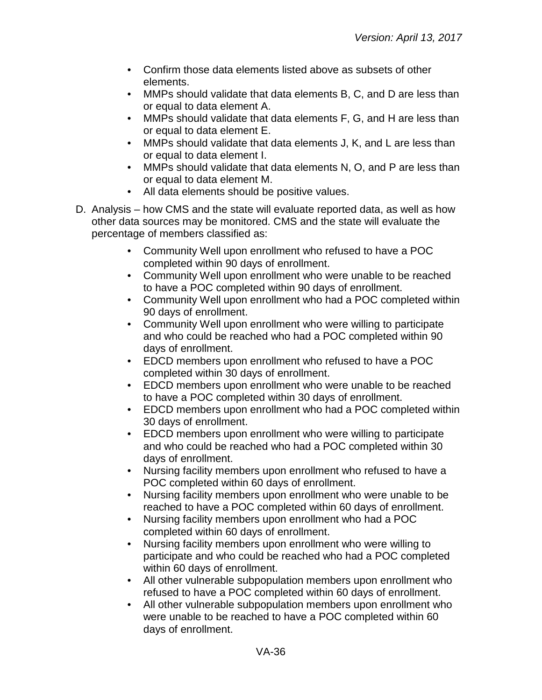- Confirm those data elements listed above as subsets of other elements.
- MMPs should validate that data elements B, C, and D are less than or equal to data element A.
- MMPs should validate that data elements F, G, and H are less than or equal to data element E.
- MMPs should validate that data elements J, K, and L are less than or equal to data element I.
- MMPs should validate that data elements N, O, and P are less than or equal to data element M.
- All data elements should be positive values.
- D. Analysis how CMS and the state will evaluate reported data, as well as how other data sources may be monitored. CMS and the state will evaluate the percentage of members classified as:
	- Community Well upon enrollment who refused to have a POC completed within 90 days of enrollment.
	- Community Well upon enrollment who were unable to be reached to have a POC completed within 90 days of enrollment.
	- Community Well upon enrollment who had a POC completed within 90 days of enrollment.
	- Community Well upon enrollment who were willing to participate and who could be reached who had a POC completed within 90 days of enrollment.
	- EDCD members upon enrollment who refused to have a POC completed within 30 days of enrollment.
	- EDCD members upon enrollment who were unable to be reached to have a POC completed within 30 days of enrollment.
	- EDCD members upon enrollment who had a POC completed within 30 days of enrollment.
	- EDCD members upon enrollment who were willing to participate and who could be reached who had a POC completed within 30 days of enrollment.
	- Nursing facility members upon enrollment who refused to have a POC completed within 60 days of enrollment.
	- Nursing facility members upon enrollment who were unable to be reached to have a POC completed within 60 days of enrollment.
	- Nursing facility members upon enrollment who had a POC completed within 60 days of enrollment.
	- Nursing facility members upon enrollment who were willing to participate and who could be reached who had a POC completed within 60 days of enrollment.
	- All other vulnerable subpopulation members upon enrollment who refused to have a POC completed within 60 days of enrollment.
	- All other vulnerable subpopulation members upon enrollment who were unable to be reached to have a POC completed within 60 days of enrollment.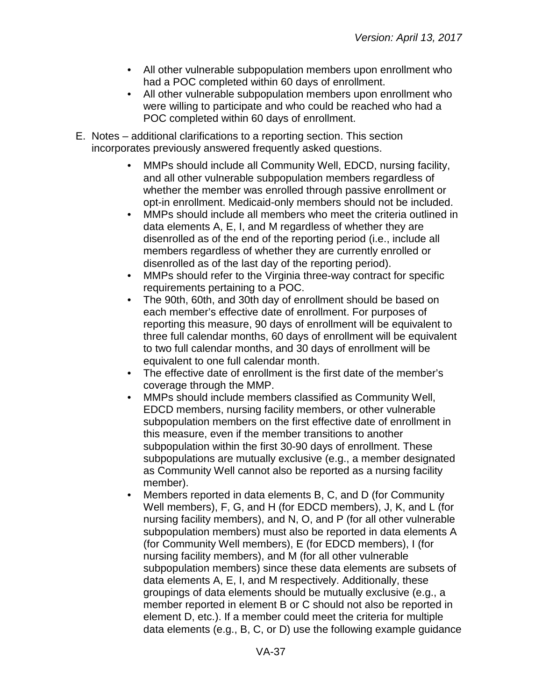- All other vulnerable subpopulation members upon enrollment who had a POC completed within 60 days of enrollment.
- All other vulnerable subpopulation members upon enrollment who were willing to participate and who could be reached who had a POC completed within 60 days of enrollment.
- E. Notes additional clarifications to a reporting section. This section incorporates previously answered frequently asked questions.
	- MMPs should include all Community Well, EDCD, nursing facility, and all other vulnerable subpopulation members regardless of whether the member was enrolled through passive enrollment or opt-in enrollment. Medicaid-only members should not be included.
	- MMPs should include all members who meet the criteria outlined in data elements A, E, I, and M regardless of whether they are disenrolled as of the end of the reporting period (i.e., include all members regardless of whether they are currently enrolled or disenrolled as of the last day of the reporting period).
	- MMPs should refer to the Virginia three-way contract for specific requirements pertaining to a POC.
	- The 90th, 60th, and 30th day of enrollment should be based on each member's effective date of enrollment. For purposes of reporting this measure, 90 days of enrollment will be equivalent to three full calendar months, 60 days of enrollment will be equivalent to two full calendar months, and 30 days of enrollment will be equivalent to one full calendar month.
	- The effective date of enrollment is the first date of the member's coverage through the MMP.
	- MMPs should include members classified as Community Well, EDCD members, nursing facility members, or other vulnerable subpopulation members on the first effective date of enrollment in this measure, even if the member transitions to another subpopulation within the first 30-90 days of enrollment. These subpopulations are mutually exclusive (e.g., a member designated as Community Well cannot also be reported as a nursing facility member).
	- Members reported in data elements B, C, and D (for Community Well members), F, G, and H (for EDCD members), J, K, and L (for nursing facility members), and N, O, and P (for all other vulnerable subpopulation members) must also be reported in data elements A (for Community Well members), E (for EDCD members), I (for nursing facility members), and M (for all other vulnerable subpopulation members) since these data elements are subsets of data elements A, E, I, and M respectively. Additionally, these groupings of data elements should be mutually exclusive (e.g., a member reported in element B or C should not also be reported in element D, etc.). If a member could meet the criteria for multiple data elements (e.g., B, C, or D) use the following example guidance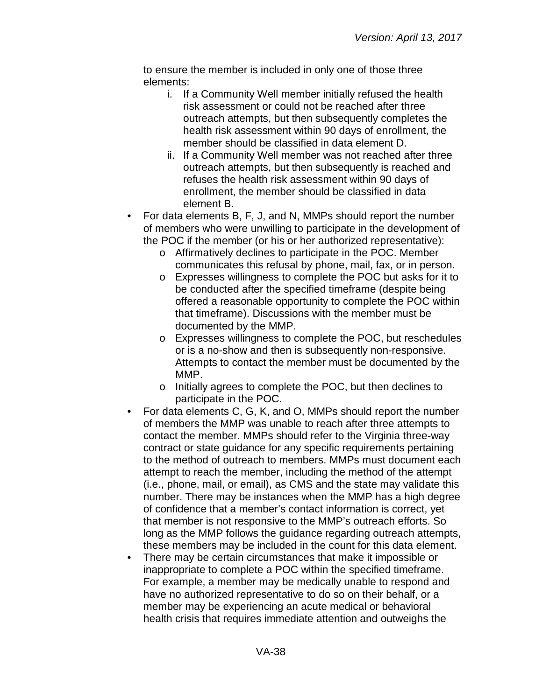to ensure the member is included in only one of those three elements:

- i. If a Community Well member initially refused the health risk assessment or could not be reached after three outreach attempts, but then subsequently completes the health risk assessment within 90 days of enrollment, the member should be classified in data element D.
- ii. If a Community Well member was not reached after three outreach attempts, but then subsequently is reached and refuses the health risk assessment within 90 days of enrollment, the member should be classified in data element B.
- For data elements B, F, J, and N, MMPs should report the number of members who were unwilling to participate in the development of the POC if the member (or his or her authorized representative):
	- o Affirmatively declines to participate in the POC. Member communicates this refusal by phone, mail, fax, or in person.
	- o Expresses willingness to complete the POC but asks for it to be conducted after the specified timeframe (despite being offered a reasonable opportunity to complete the POC within that timeframe). Discussions with the member must be documented by the MMP.
	- o Expresses willingness to complete the POC, but reschedules or is a no-show and then is subsequently non-responsive. Attempts to contact the member must be documented by the MMP.
	- o Initially agrees to complete the POC, but then declines to participate in the POC.
- For data elements C, G, K, and O, MMPs should report the number of members the MMP was unable to reach after three attempts to contact the member. MMPs should refer to the Virginia three-way contract or state guidance for any specific requirements pertaining to the method of outreach to members. MMPs must document each attempt to reach the member, including the method of the attempt (i.e., phone, mail, or email), as CMS and the state may validate this number. There may be instances when the MMP has a high degree of confidence that a member's contact information is correct, yet that member is not responsive to the MMP's outreach efforts. So long as the MMP follows the guidance regarding outreach attempts, these members may be included in the count for this data element.
- There may be certain circumstances that make it impossible or inappropriate to complete a POC within the specified timeframe. For example, a member may be medically unable to respond and have no authorized representative to do so on their behalf, or a member may be experiencing an acute medical or behavioral health crisis that requires immediate attention and outweighs the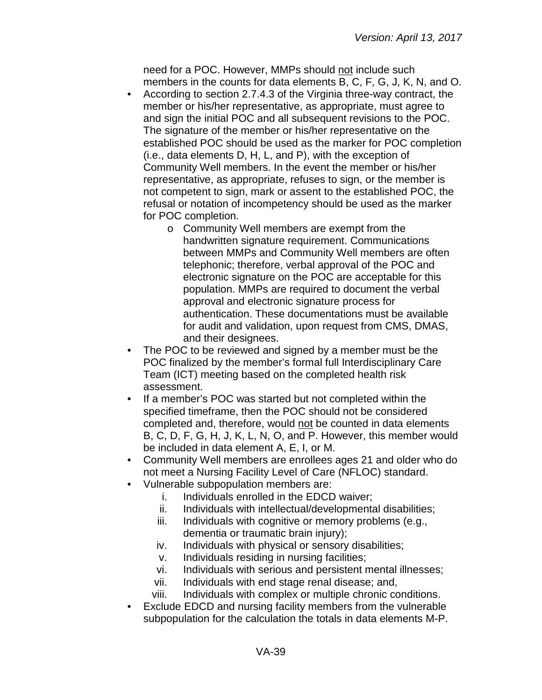need for a POC. However, MMPs should not include such members in the counts for data elements B, C, F, G, J, K, N, and O.

- According to section 2.7.4.3 of the Virginia three-way contract, the member or his/her representative, as appropriate, must agree to and sign the initial POC and all subsequent revisions to the POC. The signature of the member or his/her representative on the established POC should be used as the marker for POC completion (i.e., data elements D, H, L, and P), with the exception of Community Well members. In the event the member or his/her representative, as appropriate, refuses to sign, or the member is not competent to sign, mark or assent to the established POC, the refusal or notation of incompetency should be used as the marker for POC completion.
	- o Community Well members are exempt from the handwritten signature requirement. Communications between MMPs and Community Well members are often telephonic; therefore, verbal approval of the POC and electronic signature on the POC are acceptable for this population. MMPs are required to document the verbal approval and electronic signature process for authentication. These documentations must be available for audit and validation, upon request from CMS, DMAS, and their designees.
- The POC to be reviewed and signed by a member must be the POC finalized by the member's formal full Interdisciplinary Care Team (ICT) meeting based on the completed health risk assessment.
- If a member's POC was started but not completed within the specified timeframe, then the POC should not be considered completed and, therefore, would not be counted in data elements B, C, D, F, G, H, J, K, L, N, O, and P. However, this member would be included in data element A, E, I, or M.
- Community Well members are enrollees ages 21 and older who do not meet a Nursing Facility Level of Care (NFLOC) standard.
- Vulnerable subpopulation members are:
	- i. Individuals enrolled in the EDCD waiver;
	- ii. Individuals with intellectual/developmental disabilities;
	- iii. Individuals with cognitive or memory problems (e.g., dementia or traumatic brain injury);
	- iv. Individuals with physical or sensory disabilities;
	- v. Individuals residing in nursing facilities;
	- vi. Individuals with serious and persistent mental illnesses;
	- vii. Individuals with end stage renal disease; and,
	- viii. Individuals with complex or multiple chronic conditions.
- Exclude EDCD and nursing facility members from the vulnerable subpopulation for the calculation the totals in data elements M-P.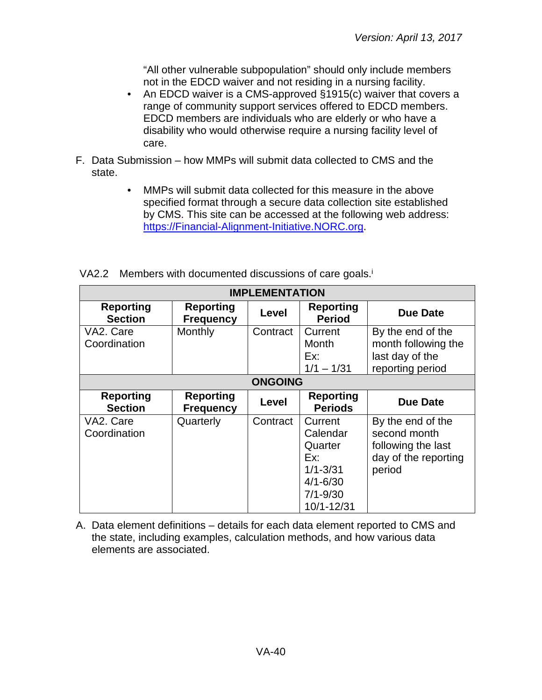"All other vulnerable subpopulation" should only include members not in the EDCD waiver and not residing in a nursing facility.

- An EDCD waiver is a CMS-approved §1915(c) waiver that covers a range of community support services offered to EDCD members. EDCD members are individuals who are elderly or who have a disability who would otherwise require a nursing facility level of care.
- F. Data Submission how MMPs will submit data collected to CMS and the state.
	- MMPs will submit data collected for this measure in the above specified format through a secure data collection site established by CMS. This site can be accessed at the following web address: [https://Financial-Alignment-Initiative.NORC.org.](https://financial-alignment-initiative.norc.org/)

| <b>IMPLEMENTATION</b>              |                                      |          |                                                                                                     |                                                                                           |
|------------------------------------|--------------------------------------|----------|-----------------------------------------------------------------------------------------------------|-------------------------------------------------------------------------------------------|
| <b>Reporting</b><br><b>Section</b> | <b>Reporting</b><br><b>Frequency</b> | Level    | <b>Reporting</b><br><b>Period</b>                                                                   | <b>Due Date</b>                                                                           |
| VA2. Care<br>Coordination          | Monthly                              | Contract | Current<br><b>Month</b><br>Fx:<br>$1/1 - 1/31$                                                      | By the end of the<br>month following the<br>last day of the<br>reporting period           |
| <b>ONGOING</b>                     |                                      |          |                                                                                                     |                                                                                           |
| <b>Reporting</b><br><b>Section</b> | <b>Reporting</b><br><b>Frequency</b> | Level    | <b>Reporting</b><br><b>Periods</b>                                                                  | Due Date                                                                                  |
| VA2. Care<br>Coordination          | Quarterly                            | Contract | Current<br>Calendar<br>Quarter<br>Ex:<br>$1/1 - 3/31$<br>$4/1 - 6/30$<br>$7/1 - 9/30$<br>10/1-12/31 | By the end of the<br>second month<br>following the last<br>day of the reporting<br>period |

VA2.2 Members with documented discussions of care goals.<sup>i</sup>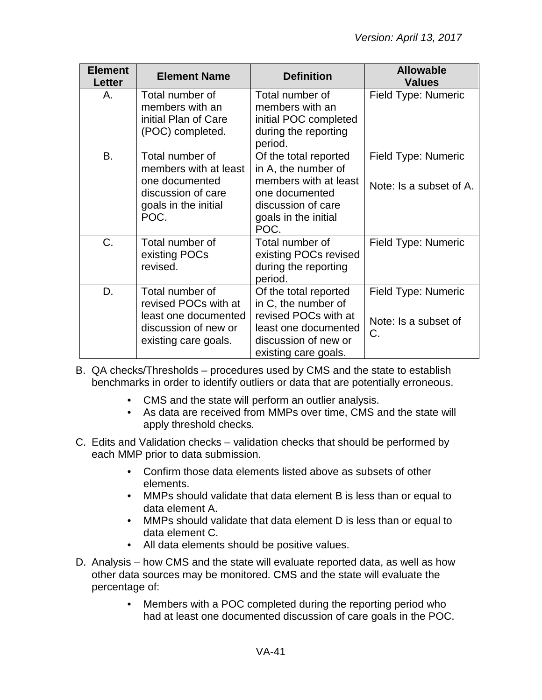| <b>Element</b><br>Letter | <b>Element Name</b>                                                                                              | <b>Definition</b>                                                                                                                             | <b>Allowable</b><br><b>Values</b>                 |
|--------------------------|------------------------------------------------------------------------------------------------------------------|-----------------------------------------------------------------------------------------------------------------------------------------------|---------------------------------------------------|
| Α.                       | Total number of<br>members with an<br>initial Plan of Care<br>(POC) completed.                                   | Total number of<br>members with an<br>initial POC completed<br>during the reporting<br>period.                                                | Field Type: Numeric                               |
| <b>B.</b>                | Total number of<br>members with at least<br>one documented<br>discussion of care<br>goals in the initial<br>POC. | Of the total reported<br>in A, the number of<br>members with at least<br>one documented<br>discussion of care<br>goals in the initial<br>POC. | Field Type: Numeric<br>Note: Is a subset of A.    |
| C.                       | Total number of<br>existing POCs<br>revised.                                                                     | Total number of<br>existing POCs revised<br>during the reporting<br>period.                                                                   | Field Type: Numeric                               |
| D.                       | Total number of<br>revised POCs with at<br>least one documented<br>discussion of new or<br>existing care goals.  | Of the total reported<br>in C, the number of<br>revised POCs with at<br>least one documented<br>discussion of new or<br>existing care goals.  | Field Type: Numeric<br>Note: Is a subset of<br>C. |

- B. QA checks/Thresholds procedures used by CMS and the state to establish benchmarks in order to identify outliers or data that are potentially erroneous.
	- CMS and the state will perform an outlier analysis.
	- As data are received from MMPs over time, CMS and the state will apply threshold checks.
- C. Edits and Validation checks validation checks that should be performed by each MMP prior to data submission.
	- Confirm those data elements listed above as subsets of other elements.
	- MMPs should validate that data element B is less than or equal to data element A.
	- MMPs should validate that data element D is less than or equal to data element C.
	- All data elements should be positive values.
- D. Analysis how CMS and the state will evaluate reported data, as well as how other data sources may be monitored. CMS and the state will evaluate the percentage of:
	- Members with a POC completed during the reporting period who had at least one documented discussion of care goals in the POC.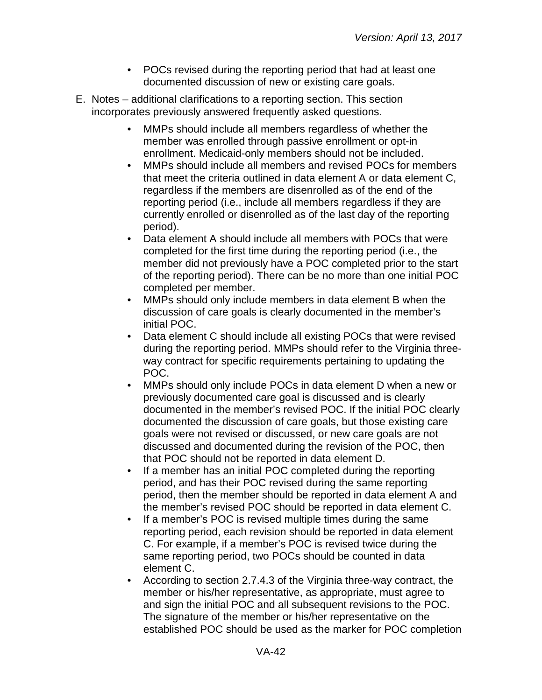- POCs revised during the reporting period that had at least one documented discussion of new or existing care goals.
- E. Notes additional clarifications to a reporting section. This section incorporates previously answered frequently asked questions.
	- MMPs should include all members regardless of whether the member was enrolled through passive enrollment or opt-in enrollment. Medicaid-only members should not be included.
	- MMPs should include all members and revised POCs for members that meet the criteria outlined in data element A or data element C, regardless if the members are disenrolled as of the end of the reporting period (i.e., include all members regardless if they are currently enrolled or disenrolled as of the last day of the reporting period).
	- Data element A should include all members with POCs that were completed for the first time during the reporting period (i.e., the member did not previously have a POC completed prior to the start of the reporting period). There can be no more than one initial POC completed per member.
	- MMPs should only include members in data element B when the discussion of care goals is clearly documented in the member's initial POC.
	- Data element C should include all existing POCs that were revised during the reporting period. MMPs should refer to the Virginia threeway contract for specific requirements pertaining to updating the POC.
	- MMPs should only include POCs in data element D when a new or previously documented care goal is discussed and is clearly documented in the member's revised POC. If the initial POC clearly documented the discussion of care goals, but those existing care goals were not revised or discussed, or new care goals are not discussed and documented during the revision of the POC, then that POC should not be reported in data element D.
	- If a member has an initial POC completed during the reporting period, and has their POC revised during the same reporting period, then the member should be reported in data element A and the member's revised POC should be reported in data element C.
	- If a member's POC is revised multiple times during the same reporting period, each revision should be reported in data element C. For example, if a member's POC is revised twice during the same reporting period, two POCs should be counted in data element C.
	- According to section 2.7.4.3 of the Virginia three-way contract, the member or his/her representative, as appropriate, must agree to and sign the initial POC and all subsequent revisions to the POC. The signature of the member or his/her representative on the established POC should be used as the marker for POC completion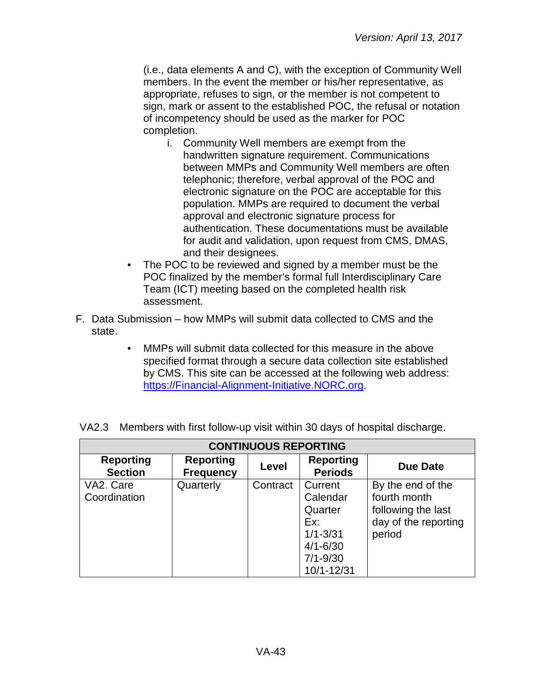(i.e., data elements A and C), with the exception of Community Well members. In the event the member or his/her representative, as appropriate, refuses to sign, or the member is not competent to sign, mark or assent to the established POC, the refusal or notation of incompetency should be used as the marker for POC completion.

- i. Community Well members are exempt from the handwritten signature requirement. Communications between MMPs and Community Well members are often telephonic; therefore, verbal approval of the POC and electronic signature on the POC are acceptable for this population. MMPs are required to document the verbal approval and electronic signature process for authentication. These documentations must be available for audit and validation, upon request from CMS, DMAS, and their designees.
- The POC to be reviewed and signed by a member must be the POC finalized by the member's formal full Interdisciplinary Care Team (ICT) meeting based on the completed health risk assessment.
- F. Data Submission how MMPs will submit data collected to CMS and the state.
	- MMPs will submit data collected for this measure in the above specified format through a secure data collection site established by CMS. This site can be accessed at the following web address: [https://Financial-Alignment-Initiative.NORC.org.](https://financial-alignment-initiative.norc.org/)

| <b>CONTINUOUS REPORTING</b>        |                                      |          |                                                                                                     |                                                                                           |  |
|------------------------------------|--------------------------------------|----------|-----------------------------------------------------------------------------------------------------|-------------------------------------------------------------------------------------------|--|
| <b>Reporting</b><br><b>Section</b> | <b>Reporting</b><br><b>Frequency</b> | Level    | <b>Reporting</b><br><b>Periods</b>                                                                  | <b>Due Date</b>                                                                           |  |
| VA2. Care<br>Coordination          | Quarterly                            | Contract | Current<br>Calendar<br>Quarter<br>Ex:<br>$1/1 - 3/31$<br>$4/1 - 6/30$<br>$7/1 - 9/30$<br>10/1-12/31 | By the end of the<br>fourth month<br>following the last<br>day of the reporting<br>period |  |

VA2.3 Members with first follow-up visit within 30 days of hospital discharge.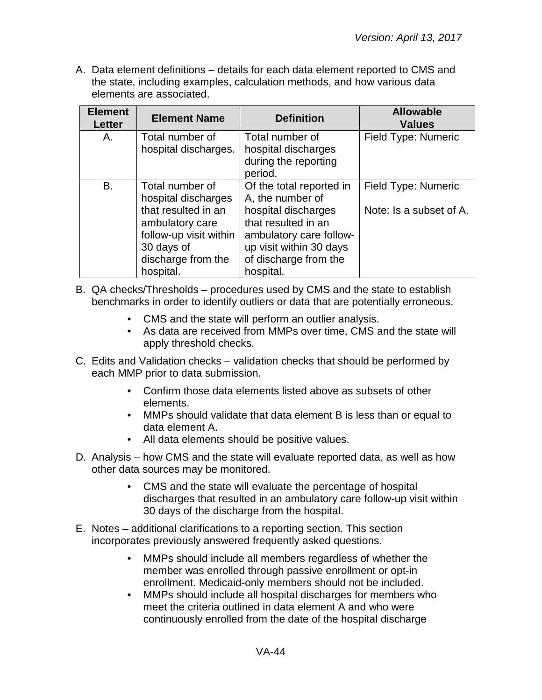A. Data element definitions – details for each data element reported to CMS and the state, including examples, calculation methods, and how various data elements are associated.

| <b>Element</b><br><b>Letter</b> | <b>Element Name</b>                                                                                                                                         | <b>Definition</b>                                                                                                                                                                      | <b>Allowable</b><br><b>Values</b>              |
|---------------------------------|-------------------------------------------------------------------------------------------------------------------------------------------------------------|----------------------------------------------------------------------------------------------------------------------------------------------------------------------------------------|------------------------------------------------|
| A.                              | Total number of<br>hospital discharges.                                                                                                                     | Total number of<br>hospital discharges<br>during the reporting<br>period.                                                                                                              | Field Type: Numeric                            |
| <b>B.</b>                       | Total number of<br>hospital discharges<br>that resulted in an<br>ambulatory care<br>follow-up visit within<br>30 days of<br>discharge from the<br>hospital. | Of the total reported in<br>A, the number of<br>hospital discharges<br>that resulted in an<br>ambulatory care follow-<br>up visit within 30 days<br>of discharge from the<br>hospital. | Field Type: Numeric<br>Note: Is a subset of A. |

B. QA checks/Thresholds – procedures used by CMS and the state to establish benchmarks in order to identify outliers or data that are potentially erroneous.

- CMS and the state will perform an outlier analysis.
- As data are received from MMPs over time, CMS and the state will apply threshold checks.
- C. Edits and Validation checks validation checks that should be performed by each MMP prior to data submission.
	- Confirm those data elements listed above as subsets of other elements.
	- MMPs should validate that data element B is less than or equal to data element A.
	- All data elements should be positive values.
- D. Analysis how CMS and the state will evaluate reported data, as well as how other data sources may be monitored.
	- CMS and the state will evaluate the percentage of hospital discharges that resulted in an ambulatory care follow-up visit within 30 days of the discharge from the hospital.
- E. Notes additional clarifications to a reporting section. This section incorporates previously answered frequently asked questions.
	- MMPs should include all members regardless of whether the member was enrolled through passive enrollment or opt-in enrollment. Medicaid-only members should not be included.
	- MMPs should include all hospital discharges for members who meet the criteria outlined in data element A and who were continuously enrolled from the date of the hospital discharge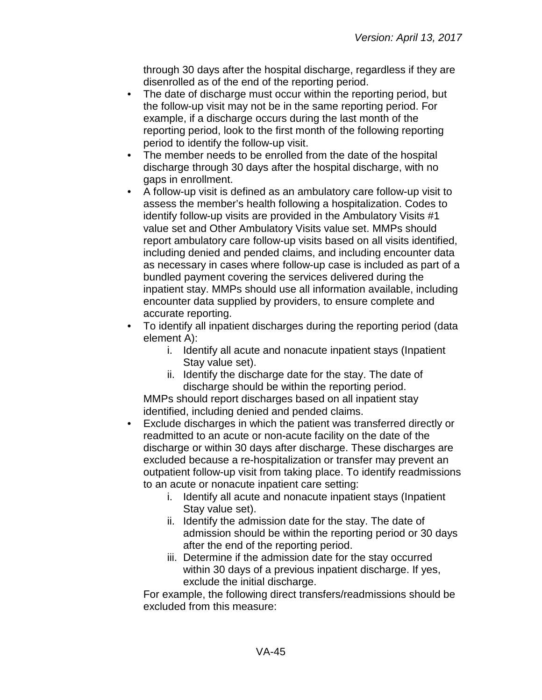through 30 days after the hospital discharge, regardless if they are disenrolled as of the end of the reporting period.

- The date of discharge must occur within the reporting period, but the follow-up visit may not be in the same reporting period. For example, if a discharge occurs during the last month of the reporting period, look to the first month of the following reporting period to identify the follow-up visit.
- The member needs to be enrolled from the date of the hospital discharge through 30 days after the hospital discharge, with no gaps in enrollment.
- A follow-up visit is defined as an ambulatory care follow-up visit to assess the member's health following a hospitalization. Codes to identify follow-up visits are provided in the Ambulatory Visits #1 value set and Other Ambulatory Visits value set. MMPs should report ambulatory care follow-up visits based on all visits identified, including denied and pended claims, and including encounter data as necessary in cases where follow-up case is included as part of a bundled payment covering the services delivered during the inpatient stay. MMPs should use all information available, including encounter data supplied by providers, to ensure complete and accurate reporting.
- To identify all inpatient discharges during the reporting period (data element A):
	- i. Identify all acute and nonacute inpatient stays (Inpatient Stay value set).
	- ii. Identify the discharge date for the stay. The date of discharge should be within the reporting period.

MMPs should report discharges based on all inpatient stay identified, including denied and pended claims.

- Exclude discharges in which the patient was transferred directly or readmitted to an acute or non-acute facility on the date of the discharge or within 30 days after discharge. These discharges are excluded because a re-hospitalization or transfer may prevent an outpatient follow-up visit from taking place. To identify readmissions to an acute or nonacute inpatient care setting:
	- i. Identify all acute and nonacute inpatient stays (Inpatient Stay value set).
	- ii. Identify the admission date for the stay. The date of admission should be within the reporting period or 30 days after the end of the reporting period.
	- iii. Determine if the admission date for the stay occurred within 30 days of a previous inpatient discharge. If yes, exclude the initial discharge.

For example, the following direct transfers/readmissions should be excluded from this measure: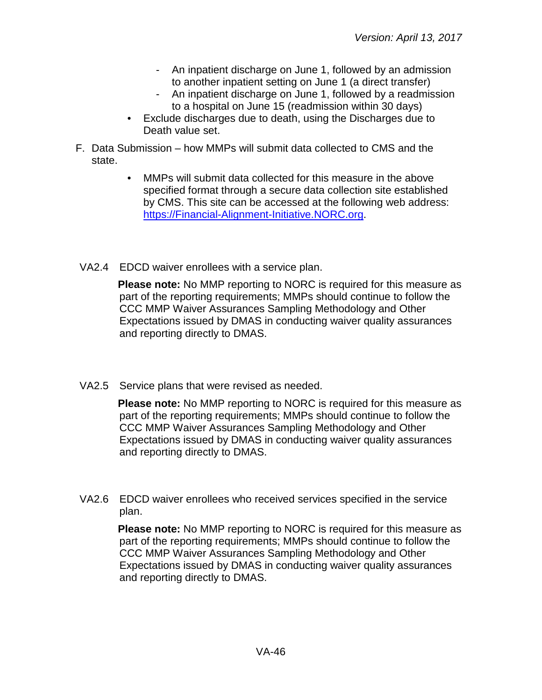- An inpatient discharge on June 1, followed by an admission to another inpatient setting on June 1 (a direct transfer)
- An inpatient discharge on June 1, followed by a readmission to a hospital on June 15 (readmission within 30 days)
- Exclude discharges due to death, using the Discharges due to Death value set.
- F. Data Submission how MMPs will submit data collected to CMS and the state.
	- MMPs will submit data collected for this measure in the above specified format through a secure data collection site established by CMS. This site can be accessed at the following web address: [https://Financial-Alignment-Initiative.NORC.org.](https://financial-alignment-initiative.norc.org/)
- VA2.4 EDCD waiver enrollees with a service plan.

**Please note:** No MMP reporting to NORC is required for this measure as part of the reporting requirements; MMPs should continue to follow the CCC MMP Waiver Assurances Sampling Methodology and Other Expectations issued by DMAS in conducting waiver quality assurances and reporting directly to DMAS.

VA2.5 Service plans that were revised as needed.

**Please note:** No MMP reporting to NORC is required for this measure as part of the reporting requirements; MMPs should continue to follow the CCC MMP Waiver Assurances Sampling Methodology and Other Expectations issued by DMAS in conducting waiver quality assurances and reporting directly to DMAS.

VA2.6 EDCD waiver enrollees who received services specified in the service plan.

> **Please note:** No MMP reporting to NORC is required for this measure as part of the reporting requirements; MMPs should continue to follow the CCC MMP Waiver Assurances Sampling Methodology and Other Expectations issued by DMAS in conducting waiver quality assurances and reporting directly to DMAS.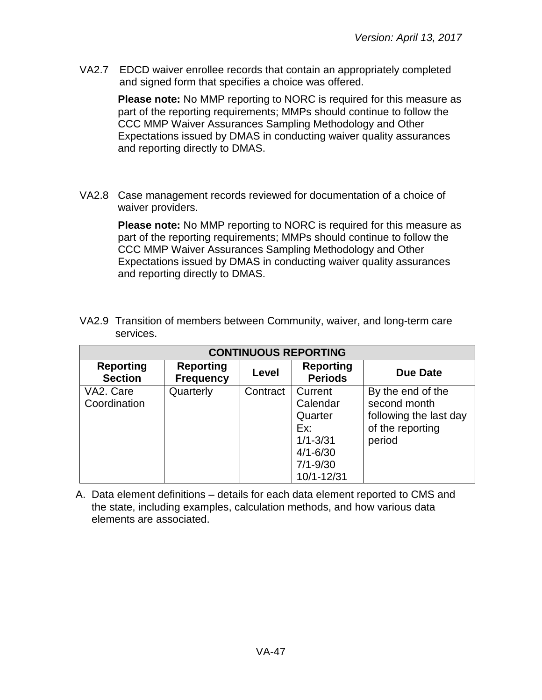VA2.7 EDCD waiver enrollee records that contain an appropriately completed and signed form that specifies a choice was offered.

> **Please note:** No MMP reporting to NORC is required for this measure as part of the reporting requirements; MMPs should continue to follow the CCC MMP Waiver Assurances Sampling Methodology and Other Expectations issued by DMAS in conducting waiver quality assurances and reporting directly to DMAS.

VA2.8 Case management records reviewed for documentation of a choice of waiver providers.

> **Please note:** No MMP reporting to NORC is required for this measure as part of the reporting requirements; MMPs should continue to follow the CCC MMP Waiver Assurances Sampling Methodology and Other Expectations issued by DMAS in conducting waiver quality assurances and reporting directly to DMAS.

| <b>CONTINUOUS REPORTING</b>        |                                      |          |                                                                                                     |                                                                                           |  |
|------------------------------------|--------------------------------------|----------|-----------------------------------------------------------------------------------------------------|-------------------------------------------------------------------------------------------|--|
| <b>Reporting</b><br><b>Section</b> | <b>Reporting</b><br><b>Frequency</b> | Level    | <b>Reporting</b><br><b>Periods</b>                                                                  | Due Date                                                                                  |  |
| VA2. Care<br>Coordination          | Quarterly                            | Contract | Current<br>Calendar<br>Quarter<br>Ex:<br>$1/1 - 3/31$<br>$4/1 - 6/30$<br>$7/1 - 9/30$<br>10/1-12/31 | By the end of the<br>second month<br>following the last day<br>of the reporting<br>period |  |

VA2.9 Transition of members between Community, waiver, and long-term care services.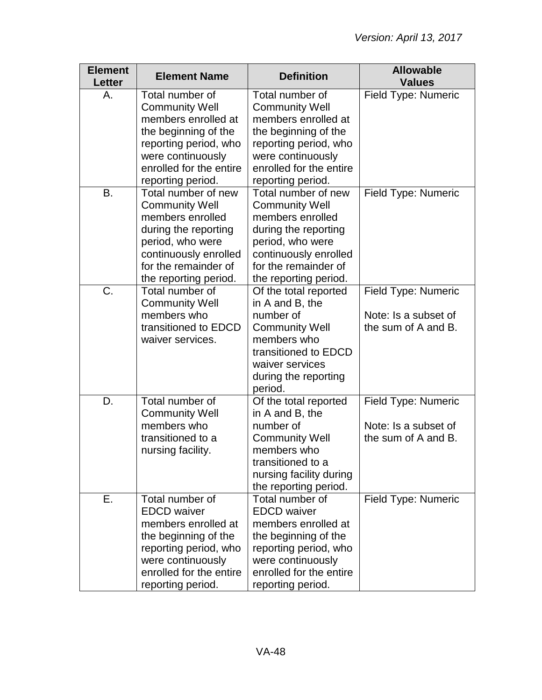| <b>Element</b><br><b>Letter</b> | <b>Element Name</b>                                                                                                                                                                    | <b>Definition</b>                                                                                                                                                                      | <b>Allowable</b><br><b>Values</b>                                  |
|---------------------------------|----------------------------------------------------------------------------------------------------------------------------------------------------------------------------------------|----------------------------------------------------------------------------------------------------------------------------------------------------------------------------------------|--------------------------------------------------------------------|
| Α.                              | Total number of<br><b>Community Well</b><br>members enrolled at<br>the beginning of the<br>reporting period, who<br>were continuously<br>enrolled for the entire<br>reporting period.  | Total number of<br><b>Community Well</b><br>members enrolled at<br>the beginning of the<br>reporting period, who<br>were continuously<br>enrolled for the entire<br>reporting period.  | Field Type: Numeric                                                |
| <b>B.</b>                       | Total number of new<br><b>Community Well</b><br>members enrolled<br>during the reporting<br>period, who were<br>continuously enrolled<br>for the remainder of<br>the reporting period. | Total number of new<br><b>Community Well</b><br>members enrolled<br>during the reporting<br>period, who were<br>continuously enrolled<br>for the remainder of<br>the reporting period. | Field Type: Numeric                                                |
| C.                              | Total number of<br><b>Community Well</b><br>members who<br>transitioned to EDCD<br>waiver services.                                                                                    | Of the total reported<br>in A and B, the<br>number of<br><b>Community Well</b><br>members who<br>transitioned to EDCD<br>waiver services<br>during the reporting<br>period.            | Field Type: Numeric<br>Note: Is a subset of<br>the sum of A and B. |
| D.                              | Total number of<br><b>Community Well</b><br>members who<br>transitioned to a<br>nursing facility.                                                                                      | Of the total reported<br>in A and B, the<br>number of<br><b>Community Well</b><br>members who<br>transitioned to a<br>nursing facility during<br>the reporting period.                 | Field Type: Numeric<br>Note: Is a subset of<br>the sum of A and B. |
| Ε.                              | Total number of<br><b>EDCD</b> waiver<br>members enrolled at<br>the beginning of the<br>reporting period, who<br>were continuously<br>enrolled for the entire<br>reporting period.     | Total number of<br><b>EDCD</b> waiver<br>members enrolled at<br>the beginning of the<br>reporting period, who<br>were continuously<br>enrolled for the entire<br>reporting period.     | Field Type: Numeric                                                |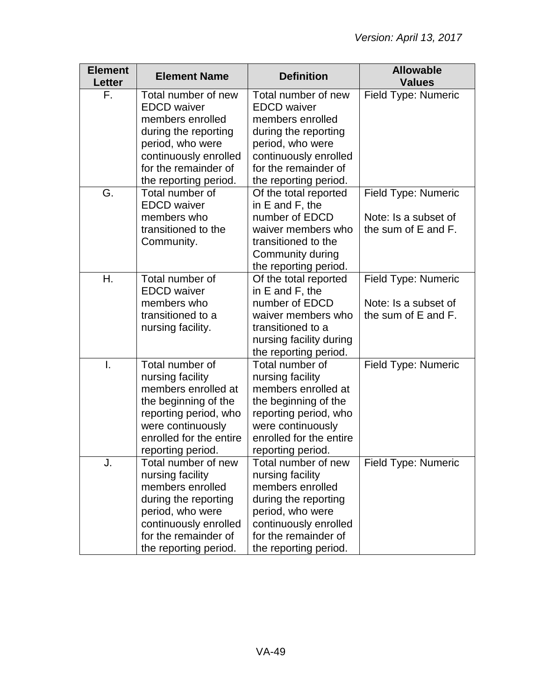| <b>Element</b><br><b>Letter</b> | <b>Element Name</b>                                                                                                                                                                 | <b>Definition</b>                                                                                                                                                                   | <b>Allowable</b><br><b>Values</b>                                         |
|---------------------------------|-------------------------------------------------------------------------------------------------------------------------------------------------------------------------------------|-------------------------------------------------------------------------------------------------------------------------------------------------------------------------------------|---------------------------------------------------------------------------|
| F.                              | Total number of new<br><b>EDCD</b> waiver<br>members enrolled<br>during the reporting<br>period, who were<br>continuously enrolled<br>for the remainder of<br>the reporting period. | Total number of new<br><b>EDCD</b> waiver<br>members enrolled<br>during the reporting<br>period, who were<br>continuously enrolled<br>for the remainder of<br>the reporting period. | Field Type: Numeric                                                       |
| G.                              | Total number of<br><b>EDCD</b> waiver<br>members who<br>transitioned to the<br>Community.                                                                                           | Of the total reported<br>in E and F, the<br>number of EDCD<br>waiver members who<br>transitioned to the<br>Community during<br>the reporting period.                                | Field Type: Numeric<br>Note: Is a subset of<br>the sum of E and F.        |
| Η.                              | Total number of<br><b>EDCD</b> waiver<br>members who<br>transitioned to a<br>nursing facility.                                                                                      | Of the total reported<br>in E and F, the<br>number of EDCD<br>waiver members who<br>transitioned to a<br>nursing facility during<br>the reporting period.                           | <b>Field Type: Numeric</b><br>Note: Is a subset of<br>the sum of E and F. |
| I.                              | Total number of<br>nursing facility<br>members enrolled at<br>the beginning of the<br>reporting period, who<br>were continuously<br>enrolled for the entire<br>reporting period.    | Total number of<br>nursing facility<br>members enrolled at<br>the beginning of the<br>reporting period, who<br>were continuously<br>enrolled for the entire<br>reporting period.    | Field Type: Numeric                                                       |
| J.                              | Total number of new<br>nursing facility<br>members enrolled<br>during the reporting<br>period, who were<br>continuously enrolled<br>for the remainder of<br>the reporting period.   | Total number of new<br>nursing facility<br>members enrolled<br>during the reporting<br>period, who were<br>continuously enrolled<br>for the remainder of<br>the reporting period.   | Field Type: Numeric                                                       |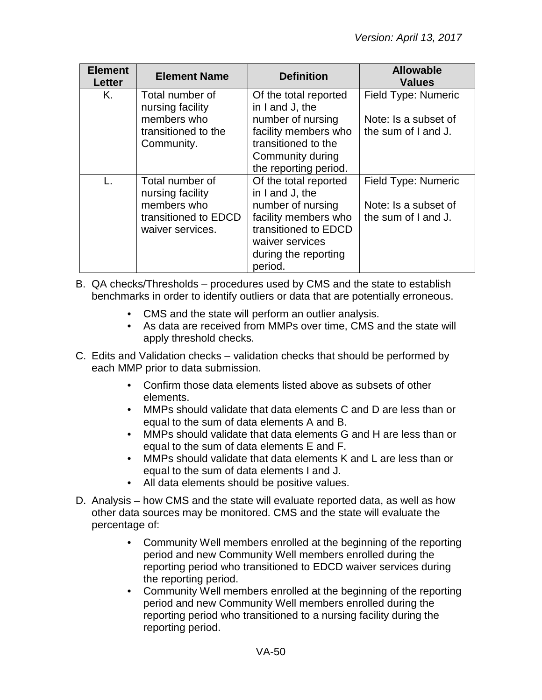| <b>Element</b><br><b>Letter</b> | <b>Element Name</b>                                                                            | <b>Definition</b>                                                                                                                                                   | <b>Allowable</b><br><b>Values</b>                                  |
|---------------------------------|------------------------------------------------------------------------------------------------|---------------------------------------------------------------------------------------------------------------------------------------------------------------------|--------------------------------------------------------------------|
| Κ.                              | Total number of<br>nursing facility<br>members who<br>transitioned to the<br>Community.        | Of the total reported<br>in I and J, the<br>number of nursing<br>facility members who<br>transitioned to the<br>Community during<br>the reporting period.           | Field Type: Numeric<br>Note: Is a subset of<br>the sum of I and J. |
|                                 | Total number of<br>nursing facility<br>members who<br>transitioned to EDCD<br>waiver services. | Of the total reported<br>in I and J, the<br>number of nursing<br>facility members who<br>transitioned to EDCD<br>waiver services<br>during the reporting<br>period. | Field Type: Numeric<br>Note: Is a subset of<br>the sum of I and J. |

- B. QA checks/Thresholds procedures used by CMS and the state to establish benchmarks in order to identify outliers or data that are potentially erroneous.
	- CMS and the state will perform an outlier analysis.
	- As data are received from MMPs over time, CMS and the state will apply threshold checks.
- C. Edits and Validation checks validation checks that should be performed by each MMP prior to data submission.
	- Confirm those data elements listed above as subsets of other elements.
	- MMPs should validate that data elements C and D are less than or equal to the sum of data elements A and B.
	- MMPs should validate that data elements G and H are less than or equal to the sum of data elements E and F.
	- MMPs should validate that data elements K and L are less than or equal to the sum of data elements I and J.
	- All data elements should be positive values.
- D. Analysis how CMS and the state will evaluate reported data, as well as how other data sources may be monitored. CMS and the state will evaluate the percentage of:
	- Community Well members enrolled at the beginning of the reporting period and new Community Well members enrolled during the reporting period who transitioned to EDCD waiver services during the reporting period.
	- Community Well members enrolled at the beginning of the reporting period and new Community Well members enrolled during the reporting period who transitioned to a nursing facility during the reporting period.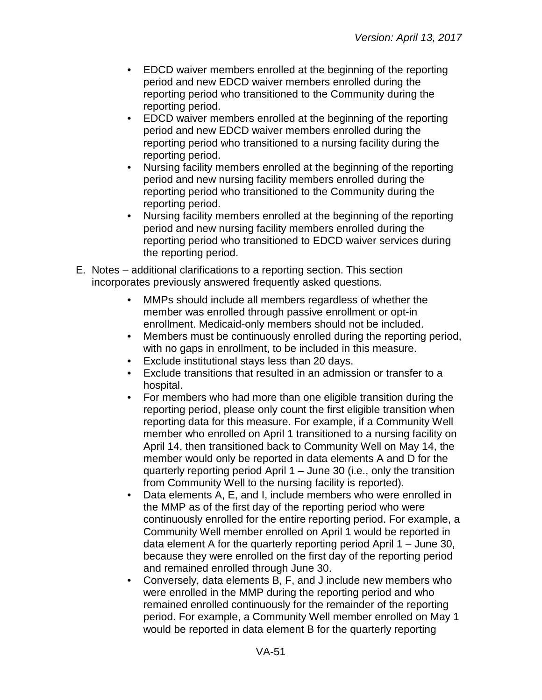- EDCD waiver members enrolled at the beginning of the reporting period and new EDCD waiver members enrolled during the reporting period who transitioned to the Community during the reporting period.
- EDCD waiver members enrolled at the beginning of the reporting period and new EDCD waiver members enrolled during the reporting period who transitioned to a nursing facility during the reporting period.
- Nursing facility members enrolled at the beginning of the reporting period and new nursing facility members enrolled during the reporting period who transitioned to the Community during the reporting period.
- Nursing facility members enrolled at the beginning of the reporting period and new nursing facility members enrolled during the reporting period who transitioned to EDCD waiver services during the reporting period.
- E. Notes additional clarifications to a reporting section. This section incorporates previously answered frequently asked questions.
	- MMPs should include all members regardless of whether the member was enrolled through passive enrollment or opt-in enrollment. Medicaid-only members should not be included.
	- Members must be continuously enrolled during the reporting period, with no gaps in enrollment, to be included in this measure.
	- Exclude institutional stays less than 20 days.
	- Exclude transitions that resulted in an admission or transfer to a hospital.
	- For members who had more than one eligible transition during the reporting period, please only count the first eligible transition when reporting data for this measure. For example, if a Community Well member who enrolled on April 1 transitioned to a nursing facility on April 14, then transitioned back to Community Well on May 14, the member would only be reported in data elements A and D for the quarterly reporting period April 1 – June 30 (i.e., only the transition from Community Well to the nursing facility is reported).
	- Data elements A, E, and I, include members who were enrolled in the MMP as of the first day of the reporting period who were continuously enrolled for the entire reporting period. For example, a Community Well member enrolled on April 1 would be reported in data element A for the quarterly reporting period April 1 – June 30, because they were enrolled on the first day of the reporting period and remained enrolled through June 30.
	- Conversely, data elements B, F, and J include new members who were enrolled in the MMP during the reporting period and who remained enrolled continuously for the remainder of the reporting period. For example, a Community Well member enrolled on May 1 would be reported in data element B for the quarterly reporting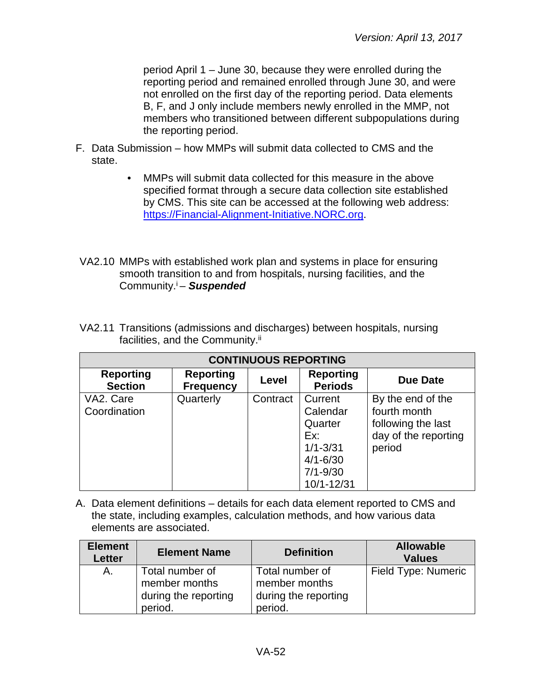period April 1 – June 30, because they were enrolled during the reporting period and remained enrolled through June 30, and were not enrolled on the first day of the reporting period. Data elements B, F, and J only include members newly enrolled in the MMP, not members who transitioned between different subpopulations during the reporting period.

- F. Data Submission how MMPs will submit data collected to CMS and the state.
	- MMPs will submit data collected for this measure in the above specified format through a secure data collection site established by CMS. This site can be accessed at the following web address: [https://Financial-Alignment-Initiative.NORC.org.](https://financial-alignment-initiative.norc.org/)
- VA2.10 MMPs with established work plan and systems in place for ensuring smooth transition to and from hospitals, nursing facilities, and the Community.i – *Suspended*

| <b>CONTINUOUS REPORTING</b>        |                                      |          |                                                                                                     |                                                                                           |  |
|------------------------------------|--------------------------------------|----------|-----------------------------------------------------------------------------------------------------|-------------------------------------------------------------------------------------------|--|
| <b>Reporting</b><br><b>Section</b> | <b>Reporting</b><br><b>Frequency</b> | Level    | <b>Reporting</b><br><b>Periods</b>                                                                  | Due Date                                                                                  |  |
| VA2. Care<br>Coordination          | Quarterly                            | Contract | Current<br>Calendar<br>Quarter<br>Ex:<br>$1/1 - 3/31$<br>$4/1 - 6/30$<br>$7/1 - 9/30$<br>10/1-12/31 | By the end of the<br>fourth month<br>following the last<br>day of the reporting<br>period |  |

VA2.11 Transitions (admissions and discharges) between hospitals, nursing facilities, and the Community.<sup>ii</sup>

| <b>Element</b><br>Letter | <b>Element Name</b>                                                 | <b>Definition</b>                                                   | <b>Allowable</b><br><b>Values</b> |
|--------------------------|---------------------------------------------------------------------|---------------------------------------------------------------------|-----------------------------------|
| A.                       | Total number of<br>member months<br>during the reporting<br>period. | Total number of<br>member months<br>during the reporting<br>period. | Field Type: Numeric               |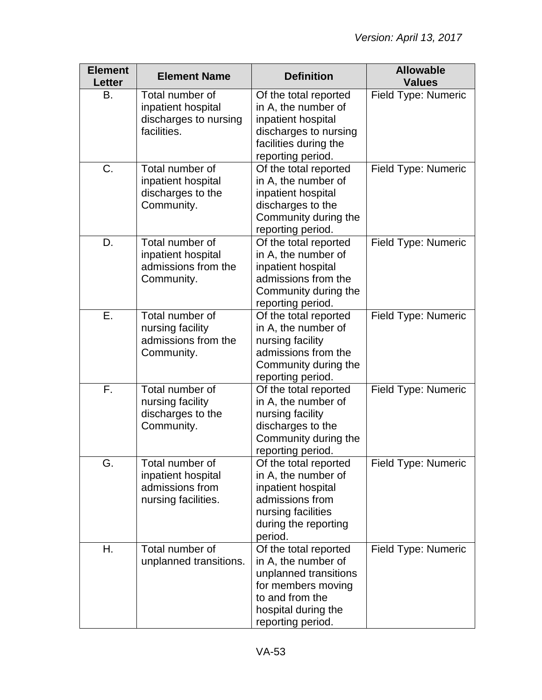| <b>Element</b><br><b>Letter</b> | <b>Element Name</b>                                                             | <b>Definition</b>                                                                                                                                          | <b>Allowable</b><br><b>Values</b> |
|---------------------------------|---------------------------------------------------------------------------------|------------------------------------------------------------------------------------------------------------------------------------------------------------|-----------------------------------|
| В.                              | Total number of<br>inpatient hospital<br>discharges to nursing<br>facilities.   | Of the total reported<br>in A, the number of<br>inpatient hospital<br>discharges to nursing<br>facilities during the<br>reporting period.                  | Field Type: Numeric               |
| C.                              | Total number of<br>inpatient hospital<br>discharges to the<br>Community.        | Of the total reported<br>in A, the number of<br>inpatient hospital<br>discharges to the<br>Community during the<br>reporting period.                       | Field Type: Numeric               |
| D.                              | Total number of<br>inpatient hospital<br>admissions from the<br>Community.      | Of the total reported<br>in A, the number of<br>inpatient hospital<br>admissions from the<br>Community during the<br>reporting period.                     | Field Type: Numeric               |
| Ε.                              | Total number of<br>nursing facility<br>admissions from the<br>Community.        | Of the total reported<br>in A, the number of<br>nursing facility<br>admissions from the<br>Community during the<br>reporting period.                       | Field Type: Numeric               |
| F.                              | Total number of<br>nursing facility<br>discharges to the<br>Community.          | Of the total reported<br>in A, the number of<br>nursing facility<br>discharges to the<br>Community during the<br>reporting period.                         | Field Type: Numeric               |
| G.                              | Total number of<br>inpatient hospital<br>admissions from<br>nursing facilities. | Of the total reported<br>in A, the number of<br>inpatient hospital<br>admissions from<br>nursing facilities<br>during the reporting<br>period.             | Field Type: Numeric               |
| Η.                              | Total number of<br>unplanned transitions.                                       | Of the total reported<br>in A, the number of<br>unplanned transitions<br>for members moving<br>to and from the<br>hospital during the<br>reporting period. | Field Type: Numeric               |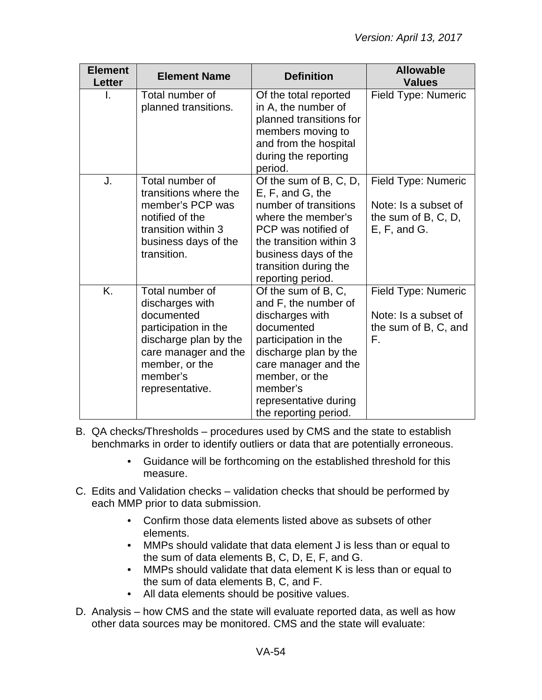| <b>Element</b><br><b>Letter</b> | <b>Element Name</b>                                                                                                                                                        | <b>Definition</b>                                                                                                                                                                                                                     | <b>Allowable</b><br><b>Values</b>                                                  |
|---------------------------------|----------------------------------------------------------------------------------------------------------------------------------------------------------------------------|---------------------------------------------------------------------------------------------------------------------------------------------------------------------------------------------------------------------------------------|------------------------------------------------------------------------------------|
|                                 | Total number of<br>planned transitions.                                                                                                                                    | Of the total reported<br>in A, the number of<br>planned transitions for<br>members moving to<br>and from the hospital<br>during the reporting<br>period.                                                                              | Field Type: Numeric                                                                |
| J.                              | Total number of<br>transitions where the<br>member's PCP was<br>notified of the<br>transition within 3<br>business days of the<br>transition.                              | Of the sum of B, C, D,<br>E, F, and G, the<br>number of transitions<br>where the member's<br>PCP was notified of<br>the transition within 3<br>business days of the<br>transition during the<br>reporting period.                     | Field Type: Numeric<br>Note: Is a subset of<br>the sum of B, C, D,<br>E, F, and G. |
| K.                              | Total number of<br>discharges with<br>documented<br>participation in the<br>discharge plan by the<br>care manager and the<br>member, or the<br>member's<br>representative. | Of the sum of B, C,<br>and F, the number of<br>discharges with<br>documented<br>participation in the<br>discharge plan by the<br>care manager and the<br>member, or the<br>member's<br>representative during<br>the reporting period. | Field Type: Numeric<br>Note: Is a subset of<br>the sum of B, C, and<br>F.          |

- B. QA checks/Thresholds procedures used by CMS and the state to establish benchmarks in order to identify outliers or data that are potentially erroneous.
	- Guidance will be forthcoming on the established threshold for this measure.
- C. Edits and Validation checks validation checks that should be performed by each MMP prior to data submission.
	- Confirm those data elements listed above as subsets of other elements.
	- MMPs should validate that data element J is less than or equal to the sum of data elements B, C, D, E, F, and G.
	- MMPs should validate that data element K is less than or equal to the sum of data elements B, C, and F.
	- All data elements should be positive values.
- D. Analysis how CMS and the state will evaluate reported data, as well as how other data sources may be monitored. CMS and the state will evaluate: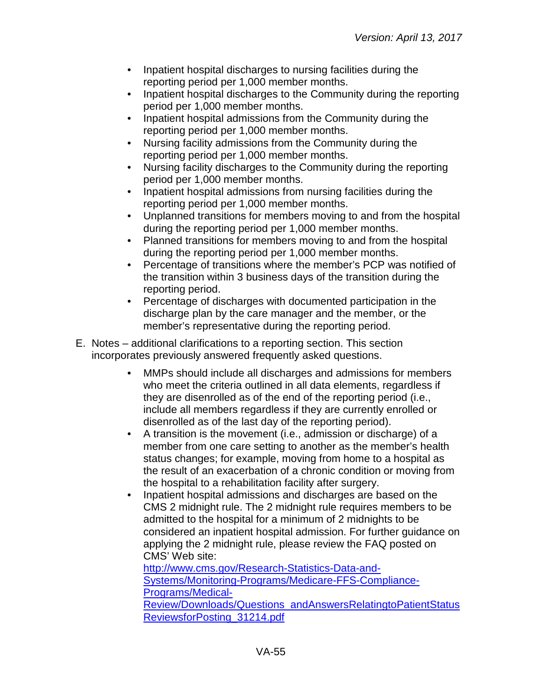- Inpatient hospital discharges to nursing facilities during the reporting period per 1,000 member months.
- Inpatient hospital discharges to the Community during the reporting period per 1,000 member months.
- Inpatient hospital admissions from the Community during the reporting period per 1,000 member months.
- Nursing facility admissions from the Community during the reporting period per 1,000 member months.
- Nursing facility discharges to the Community during the reporting period per 1,000 member months.
- Inpatient hospital admissions from nursing facilities during the reporting period per 1,000 member months.
- Unplanned transitions for members moving to and from the hospital during the reporting period per 1,000 member months.
- Planned transitions for members moving to and from the hospital during the reporting period per 1,000 member months.
- Percentage of transitions where the member's PCP was notified of the transition within 3 business days of the transition during the reporting period.
- Percentage of discharges with documented participation in the discharge plan by the care manager and the member, or the member's representative during the reporting period.
- E. Notes additional clarifications to a reporting section. This section incorporates previously answered frequently asked questions.
	- MMPs should include all discharges and admissions for members who meet the criteria outlined in all data elements, regardless if they are disenrolled as of the end of the reporting period (i.e., include all members regardless if they are currently enrolled or disenrolled as of the last day of the reporting period).
	- A transition is the movement (i.e., admission or discharge) of a member from one care setting to another as the member's health status changes; for example, moving from home to a hospital as the result of an exacerbation of a chronic condition or moving from the hospital to a rehabilitation facility after surgery.
	- Inpatient hospital admissions and discharges are based on the CMS 2 midnight rule. The 2 midnight rule requires members to be admitted to the hospital for a minimum of 2 midnights to be considered an inpatient hospital admission. For further guidance on applying the 2 midnight rule, please review the FAQ posted on CMS' Web site:

[http://www.cms.gov/Research-Statistics-Data-and-](http://www.cms.gov/Research-Statistics-Data-and-Systems/Monitoring-Programs/Medicare-FFS-Compliance-Programs/Medical-Review/Downloads/Questions_andAnswersRelatingtoPatientStatusReviewsforPosting_31214.pdf)[Systems/Monitoring-Programs/Medicare-FFS-Compliance-](http://www.cms.gov/Research-Statistics-Data-and-Systems/Monitoring-Programs/Medicare-FFS-Compliance-Programs/Medical-Review/Downloads/Questions_andAnswersRelatingtoPatientStatusReviewsforPosting_31214.pdf)[Programs/Medical-](http://www.cms.gov/Research-Statistics-Data-and-Systems/Monitoring-Programs/Medicare-FFS-Compliance-Programs/Medical-Review/Downloads/Questions_andAnswersRelatingtoPatientStatusReviewsforPosting_31214.pdf)[Review/Downloads/Questions\\_andAnswersRelatingtoPatientStatus](http://www.cms.gov/Research-Statistics-Data-and-Systems/Monitoring-Programs/Medicare-FFS-Compliance-Programs/Medical-Review/Downloads/Questions_andAnswersRelatingtoPatientStatusReviewsforPosting_31214.pdf) [ReviewsforPosting\\_31214.pdf](http://www.cms.gov/Research-Statistics-Data-and-Systems/Monitoring-Programs/Medicare-FFS-Compliance-Programs/Medical-Review/Downloads/Questions_andAnswersRelatingtoPatientStatusReviewsforPosting_31214.pdf)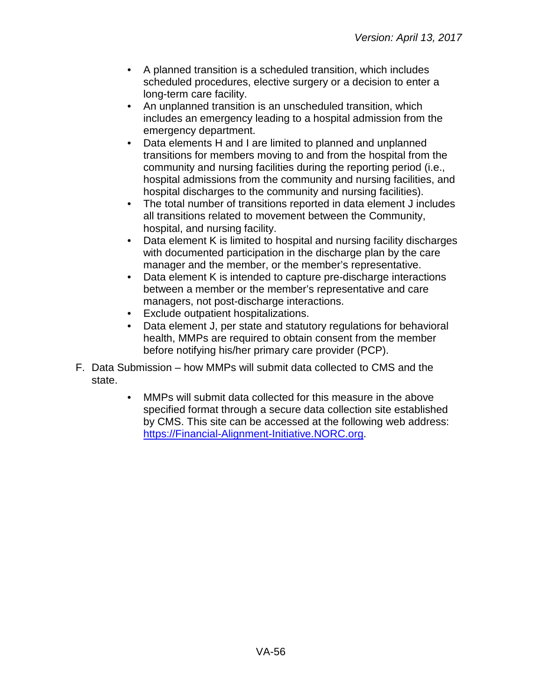- A planned transition is a scheduled transition, which includes scheduled procedures, elective surgery or a decision to enter a long-term care facility.
- An unplanned transition is an unscheduled transition, which includes an emergency leading to a hospital admission from the emergency department.
- Data elements H and I are limited to planned and unplanned transitions for members moving to and from the hospital from the community and nursing facilities during the reporting period (i.e., hospital admissions from the community and nursing facilities, and hospital discharges to the community and nursing facilities).
- The total number of transitions reported in data element J includes all transitions related to movement between the Community, hospital, and nursing facility.
- Data element K is limited to hospital and nursing facility discharges with documented participation in the discharge plan by the care manager and the member, or the member's representative.
- Data element K is intended to capture pre-discharge interactions between a member or the member's representative and care managers, not post-discharge interactions.
- Exclude outpatient hospitalizations.
- Data element J, per state and statutory regulations for behavioral health, MMPs are required to obtain consent from the member before notifying his/her primary care provider (PCP).
- F. Data Submission how MMPs will submit data collected to CMS and the state.
	- MMPs will submit data collected for this measure in the above specified format through a secure data collection site established by CMS. This site can be accessed at the following web address: [https://Financial-Alignment-Initiative.NORC.org.](https://financial-alignment-initiative.norc.org/)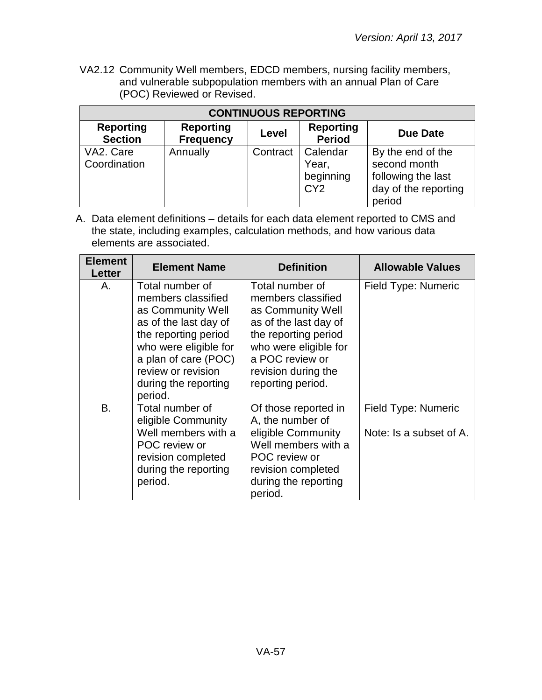VA2.12 Community Well members, EDCD members, nursing facility members, and vulnerable subpopulation members with an annual Plan of Care (POC) Reviewed or Revised.

| <b>CONTINUOUS REPORTING</b>        |                                      |          |                                                   |                                                                                           |
|------------------------------------|--------------------------------------|----------|---------------------------------------------------|-------------------------------------------------------------------------------------------|
| <b>Reporting</b><br><b>Section</b> | <b>Reporting</b><br><b>Frequency</b> | Level    | <b>Reporting</b><br><b>Period</b>                 | Due Date                                                                                  |
| VA2. Care<br>Coordination          | Annually                             | Contract | Calendar<br>Year,<br>beginning<br>CY <sub>2</sub> | By the end of the<br>second month<br>following the last<br>day of the reporting<br>period |

| <b>Element</b><br><b>Letter</b> | <b>Element Name</b>                                                                                                                                                                                                   | <b>Definition</b>                                                                                                                                                                                   | <b>Allowable Values</b>                        |
|---------------------------------|-----------------------------------------------------------------------------------------------------------------------------------------------------------------------------------------------------------------------|-----------------------------------------------------------------------------------------------------------------------------------------------------------------------------------------------------|------------------------------------------------|
| А.                              | Total number of<br>members classified<br>as Community Well<br>as of the last day of<br>the reporting period<br>who were eligible for<br>a plan of care (POC)<br>review or revision<br>during the reporting<br>period. | Total number of<br>members classified<br>as Community Well<br>as of the last day of<br>the reporting period<br>who were eligible for<br>a POC review or<br>revision during the<br>reporting period. | Field Type: Numeric                            |
| В.                              | Total number of<br>eligible Community<br>Well members with a<br>POC review or<br>revision completed<br>during the reporting<br>period.                                                                                | Of those reported in<br>A, the number of<br>eligible Community<br>Well members with a<br>POC review or<br>revision completed<br>during the reporting<br>period.                                     | Field Type: Numeric<br>Note: Is a subset of A. |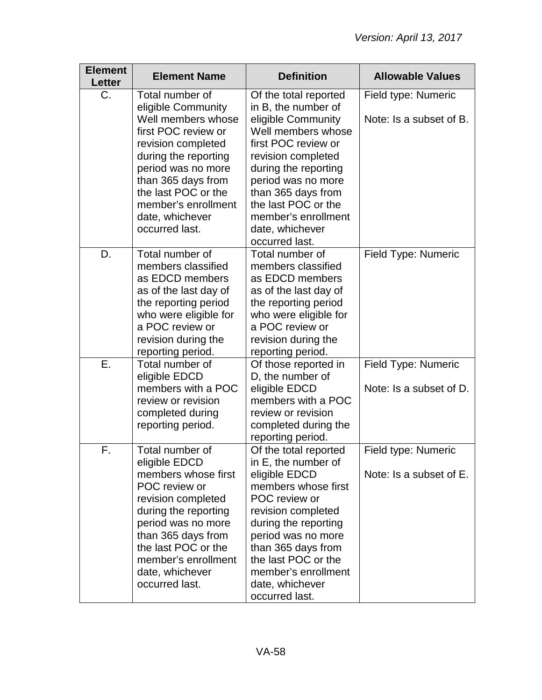| <b>Element</b><br><b>Letter</b> | <b>Element Name</b>                                                                                                                                                                                                                                             | <b>Definition</b>                                                                                                                                                                                                                                                                            | <b>Allowable Values</b>                        |
|---------------------------------|-----------------------------------------------------------------------------------------------------------------------------------------------------------------------------------------------------------------------------------------------------------------|----------------------------------------------------------------------------------------------------------------------------------------------------------------------------------------------------------------------------------------------------------------------------------------------|------------------------------------------------|
| $C_{\cdot}$                     | Total number of<br>eligible Community<br>Well members whose<br>first POC review or<br>revision completed<br>during the reporting<br>period was no more<br>than 365 days from<br>the last POC or the<br>member's enrollment<br>date, whichever<br>occurred last. | Of the total reported<br>in B, the number of<br>eligible Community<br>Well members whose<br>first POC review or<br>revision completed<br>during the reporting<br>period was no more<br>than 365 days from<br>the last POC or the<br>member's enrollment<br>date, whichever<br>occurred last. | Field type: Numeric<br>Note: Is a subset of B. |
| D.                              | Total number of<br>members classified<br>as EDCD members<br>as of the last day of<br>the reporting period<br>who were eligible for<br>a POC review or<br>revision during the<br>reporting period.                                                               | Total number of<br>members classified<br>as EDCD members<br>as of the last day of<br>the reporting period<br>who were eligible for<br>a POC review or<br>revision during the<br>reporting period.                                                                                            | Field Type: Numeric                            |
| Ε.                              | Total number of<br>eligible EDCD<br>members with a POC<br>review or revision<br>completed during<br>reporting period.                                                                                                                                           | Of those reported in<br>D, the number of<br>eligible EDCD<br>members with a POC<br>review or revision<br>completed during the<br>reporting period.                                                                                                                                           | Field Type: Numeric<br>Note: Is a subset of D. |
| F.                              | Total number of<br>eligible EDCD<br>members whose first<br>POC review or<br>revision completed<br>during the reporting<br>period was no more<br>than 365 days from<br>the last POC or the<br>member's enrollment<br>date, whichever<br>occurred last.           | Of the total reported<br>in E, the number of<br>eligible EDCD<br>members whose first<br>POC review or<br>revision completed<br>during the reporting<br>period was no more<br>than 365 days from<br>the last POC or the<br>member's enrollment<br>date, whichever<br>occurred last.           | Field type: Numeric<br>Note: Is a subset of E. |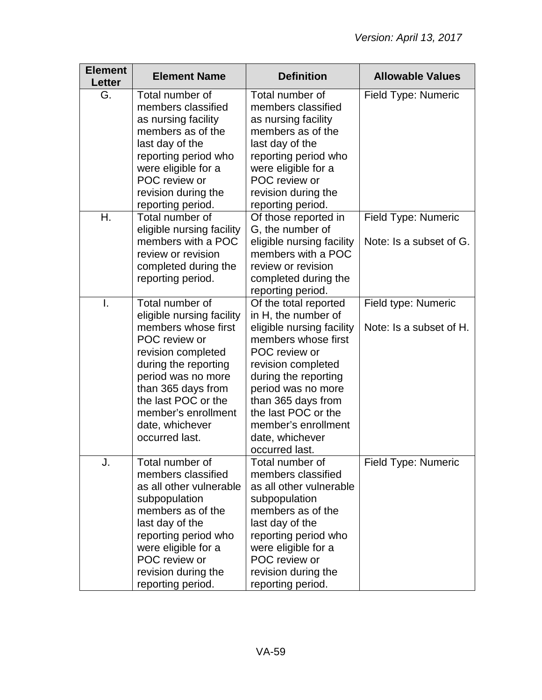| <b>Element</b><br>Letter | <b>Element Name</b>                                                                                                                                                                                                                                               | <b>Definition</b>                                                                                                                                                                                                                                                                              | <b>Allowable Values</b>                        |
|--------------------------|-------------------------------------------------------------------------------------------------------------------------------------------------------------------------------------------------------------------------------------------------------------------|------------------------------------------------------------------------------------------------------------------------------------------------------------------------------------------------------------------------------------------------------------------------------------------------|------------------------------------------------|
| G.                       | Total number of<br>members classified<br>as nursing facility<br>members as of the<br>last day of the<br>reporting period who<br>were eligible for a<br>POC review or<br>revision during the<br>reporting period.                                                  | Total number of<br>members classified<br>as nursing facility<br>members as of the<br>last day of the<br>reporting period who<br>were eligible for a<br>POC review or<br>revision during the<br>reporting period.                                                                               | Field Type: Numeric                            |
| Η.                       | Total number of<br>eligible nursing facility<br>members with a POC<br>review or revision<br>completed during the<br>reporting period.                                                                                                                             | Of those reported in<br>G, the number of<br>eligible nursing facility<br>members with a POC<br>review or revision<br>completed during the<br>reporting period.                                                                                                                                 | Field Type: Numeric<br>Note: Is a subset of G. |
| Ι.                       | Total number of<br>eligible nursing facility<br>members whose first<br>POC review or<br>revision completed<br>during the reporting<br>period was no more<br>than 365 days from<br>the last POC or the<br>member's enrollment<br>date, whichever<br>occurred last. | Of the total reported<br>in H, the number of<br>eligible nursing facility<br>members whose first<br>POC review or<br>revision completed<br>during the reporting<br>period was no more<br>than 365 days from<br>the last POC or the<br>member's enrollment<br>date, whichever<br>occurred last. | Field type: Numeric<br>Note: Is a subset of H. |
| J.                       | Total number of<br>members classified<br>as all other vulnerable<br>subpopulation<br>members as of the<br>last day of the<br>reporting period who<br>were eligible for a<br>POC review or<br>revision during the<br>reporting period.                             | Total number of<br>members classified<br>as all other vulnerable<br>subpopulation<br>members as of the<br>last day of the<br>reporting period who<br>were eligible for a<br>POC review or<br>revision during the<br>reporting period.                                                          | Field Type: Numeric                            |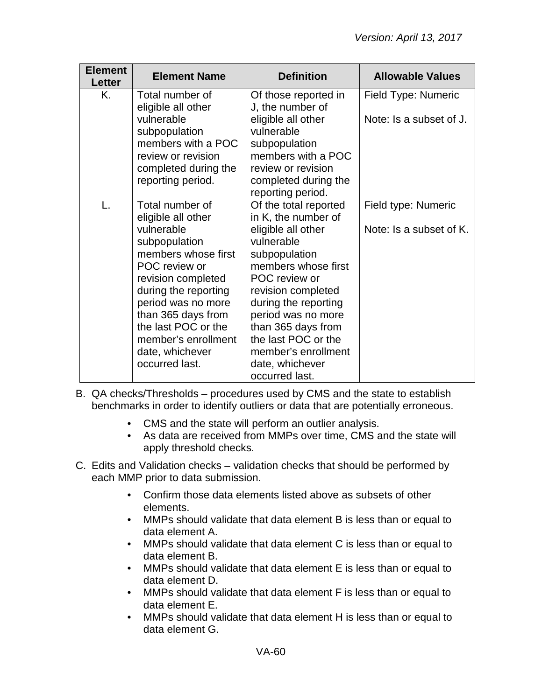| <b>Element</b><br>Letter | <b>Element Name</b>                                                                                                                                                                                                                                  | <b>Definition</b>                                                                                                                                                                                                                                          | <b>Allowable Values</b>                        |
|--------------------------|------------------------------------------------------------------------------------------------------------------------------------------------------------------------------------------------------------------------------------------------------|------------------------------------------------------------------------------------------------------------------------------------------------------------------------------------------------------------------------------------------------------------|------------------------------------------------|
| Κ.                       | Total number of<br>eligible all other<br>vulnerable                                                                                                                                                                                                  | Of those reported in<br>J, the number of<br>eligible all other                                                                                                                                                                                             | Field Type: Numeric<br>Note: Is a subset of J. |
|                          | subpopulation<br>members with a POC<br>review or revision<br>completed during the                                                                                                                                                                    | vulnerable<br>subpopulation<br>members with a POC<br>review or revision                                                                                                                                                                                    |                                                |
|                          | reporting period.                                                                                                                                                                                                                                    | completed during the<br>reporting period.                                                                                                                                                                                                                  |                                                |
| L.                       | Total number of<br>eligible all other<br>vulnerable<br>subpopulation<br>members whose first<br>POC review or<br>revision completed<br>during the reporting<br>period was no more<br>than 365 days from<br>the last POC or the<br>member's enrollment | Of the total reported<br>in K, the number of<br>eligible all other<br>vulnerable<br>subpopulation<br>members whose first<br>POC review or<br>revision completed<br>during the reporting<br>period was no more<br>than 365 days from<br>the last POC or the | Field type: Numeric<br>Note: Is a subset of K. |
|                          | date, whichever<br>occurred last.                                                                                                                                                                                                                    | member's enrollment<br>date, whichever<br>occurred last.                                                                                                                                                                                                   |                                                |

- B. QA checks/Thresholds procedures used by CMS and the state to establish benchmarks in order to identify outliers or data that are potentially erroneous.
	- CMS and the state will perform an outlier analysis.
	- As data are received from MMPs over time, CMS and the state will apply threshold checks.
- C. Edits and Validation checks validation checks that should be performed by each MMP prior to data submission.
	- Confirm those data elements listed above as subsets of other elements.
	- MMPs should validate that data element B is less than or equal to data element A.
	- MMPs should validate that data element C is less than or equal to data element B.
	- MMPs should validate that data element E is less than or equal to data element D.
	- MMPs should validate that data element F is less than or equal to data element E.
	- MMPs should validate that data element H is less than or equal to data element G.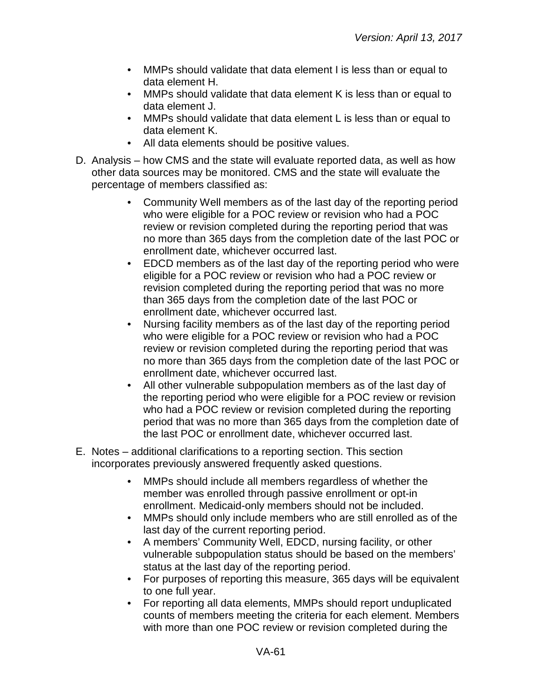- MMPs should validate that data element I is less than or equal to data element H.
- MMPs should validate that data element K is less than or equal to data element J.
- MMPs should validate that data element L is less than or equal to data element K.
- All data elements should be positive values.
- D. Analysis how CMS and the state will evaluate reported data, as well as how other data sources may be monitored. CMS and the state will evaluate the percentage of members classified as:
	- Community Well members as of the last day of the reporting period who were eligible for a POC review or revision who had a POC review or revision completed during the reporting period that was no more than 365 days from the completion date of the last POC or enrollment date, whichever occurred last.
	- EDCD members as of the last day of the reporting period who were eligible for a POC review or revision who had a POC review or revision completed during the reporting period that was no more than 365 days from the completion date of the last POC or enrollment date, whichever occurred last.
	- Nursing facility members as of the last day of the reporting period who were eligible for a POC review or revision who had a POC review or revision completed during the reporting period that was no more than 365 days from the completion date of the last POC or enrollment date, whichever occurred last.
	- All other vulnerable subpopulation members as of the last day of the reporting period who were eligible for a POC review or revision who had a POC review or revision completed during the reporting period that was no more than 365 days from the completion date of the last POC or enrollment date, whichever occurred last.
- E. Notes additional clarifications to a reporting section. This section incorporates previously answered frequently asked questions.
	- MMPs should include all members regardless of whether the member was enrolled through passive enrollment or opt-in enrollment. Medicaid-only members should not be included.
	- MMPs should only include members who are still enrolled as of the last day of the current reporting period.
	- A members' Community Well, EDCD, nursing facility, or other vulnerable subpopulation status should be based on the members' status at the last day of the reporting period.
	- For purposes of reporting this measure, 365 days will be equivalent to one full year.
	- For reporting all data elements, MMPs should report unduplicated counts of members meeting the criteria for each element. Members with more than one POC review or revision completed during the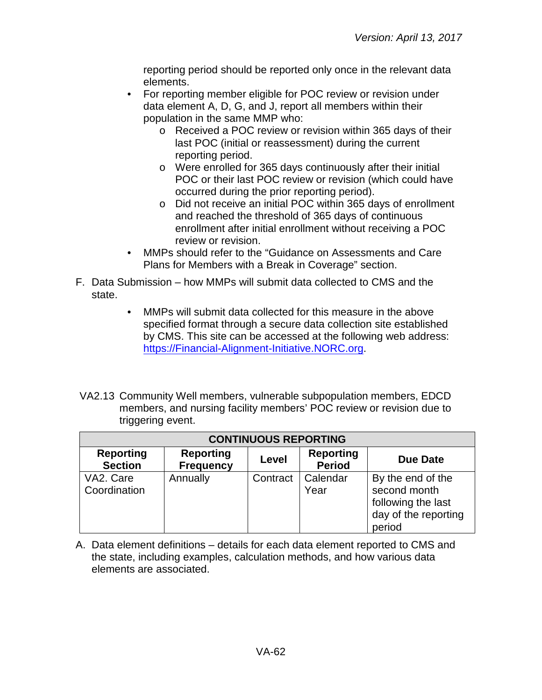reporting period should be reported only once in the relevant data elements.

- For reporting member eligible for POC review or revision under data element A, D, G, and J, report all members within their population in the same MMP who:
	- o Received a POC review or revision within 365 days of their last POC (initial or reassessment) during the current reporting period.
	- o Were enrolled for 365 days continuously after their initial POC or their last POC review or revision (which could have occurred during the prior reporting period).
	- o Did not receive an initial POC within 365 days of enrollment and reached the threshold of 365 days of continuous enrollment after initial enrollment without receiving a POC review or revision.
- MMPs should refer to the "Guidance on Assessments and Care Plans for Members with a Break in Coverage" section.
- F. Data Submission how MMPs will submit data collected to CMS and the state.
	- MMPs will submit data collected for this measure in the above specified format through a secure data collection site established by CMS. This site can be accessed at the following web address: [https://Financial-Alignment-Initiative.NORC.org.](https://financial-alignment-initiative.norc.org/)
- VA2.13 Community Well members, vulnerable subpopulation members, EDCD members, and nursing facility members' POC review or revision due to triggering event.

| <b>CONTINUOUS REPORTING</b>        |                                      |          |                                   |                                                                                           |
|------------------------------------|--------------------------------------|----------|-----------------------------------|-------------------------------------------------------------------------------------------|
| <b>Reporting</b><br><b>Section</b> | <b>Reporting</b><br><b>Frequency</b> | Level    | <b>Reporting</b><br><b>Period</b> | <b>Due Date</b>                                                                           |
| VA2. Care<br>Coordination          | Annually                             | Contract | Calendar<br>Year                  | By the end of the<br>second month<br>following the last<br>day of the reporting<br>period |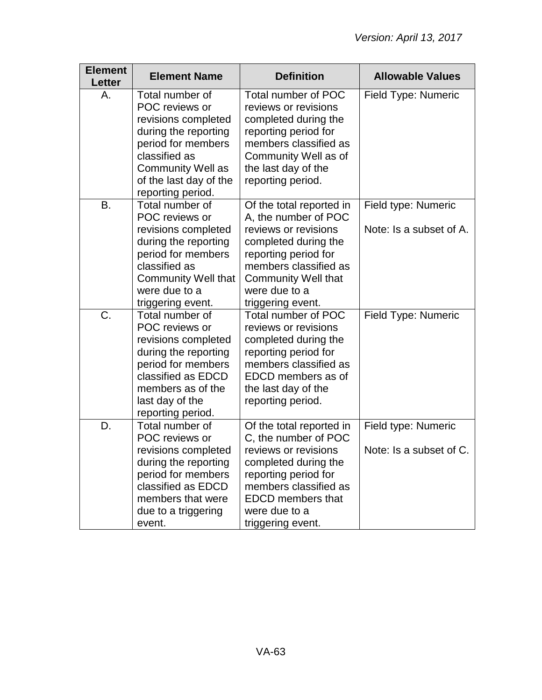| <b>Element</b><br><b>Letter</b> | <b>Element Name</b>                                                                                                                                                                                | <b>Definition</b>                                                                                                                                                                                                     | <b>Allowable Values</b>                        |
|---------------------------------|----------------------------------------------------------------------------------------------------------------------------------------------------------------------------------------------------|-----------------------------------------------------------------------------------------------------------------------------------------------------------------------------------------------------------------------|------------------------------------------------|
| Α.                              | Total number of<br>POC reviews or<br>revisions completed<br>during the reporting<br>period for members<br>classified as<br><b>Community Well as</b><br>of the last day of the<br>reporting period. | Total number of POC<br>reviews or revisions<br>completed during the<br>reporting period for<br>members classified as<br>Community Well as of<br>the last day of the<br>reporting period.                              | Field Type: Numeric                            |
| B.                              | Total number of<br>POC reviews or<br>revisions completed<br>during the reporting<br>period for members<br>classified as<br><b>Community Well that</b><br>were due to a<br>triggering event.        | Of the total reported in<br>A, the number of POC<br>reviews or revisions<br>completed during the<br>reporting period for<br>members classified as<br><b>Community Well that</b><br>were due to a<br>triggering event. | Field type: Numeric<br>Note: Is a subset of A. |
| C.                              | Total number of<br>POC reviews or<br>revisions completed<br>during the reporting<br>period for members<br>classified as EDCD<br>members as of the<br>last day of the<br>reporting period.          | Total number of POC<br>reviews or revisions<br>completed during the<br>reporting period for<br>members classified as<br>EDCD members as of<br>the last day of the<br>reporting period.                                | Field Type: Numeric                            |
| D.                              | Total number of<br>POC reviews or<br>revisions completed<br>during the reporting<br>period for members<br>classified as EDCD<br>members that were<br>due to a triggering<br>event.                 | Of the total reported in<br>C, the number of POC<br>reviews or revisions<br>completed during the<br>reporting period for<br>members classified as<br><b>EDCD</b> members that<br>were due to a<br>triggering event.   | Field type: Numeric<br>Note: Is a subset of C. |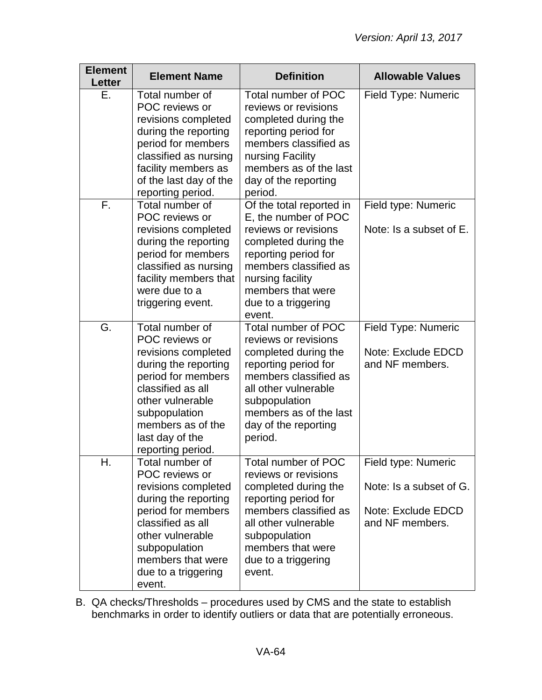| <b>Element</b><br><b>Letter</b> | <b>Element Name</b>                                                                                                                                                                                                           | <b>Definition</b>                                                                                                                                                                                                           | <b>Allowable Values</b>                                                                 |
|---------------------------------|-------------------------------------------------------------------------------------------------------------------------------------------------------------------------------------------------------------------------------|-----------------------------------------------------------------------------------------------------------------------------------------------------------------------------------------------------------------------------|-----------------------------------------------------------------------------------------|
| Е.                              | Total number of<br>POC reviews or<br>revisions completed<br>during the reporting<br>period for members<br>classified as nursing<br>facility members as<br>of the last day of the<br>reporting period.                         | Total number of POC<br>reviews or revisions<br>completed during the<br>reporting period for<br>members classified as<br>nursing Facility<br>members as of the last<br>day of the reporting<br>period.                       | Field Type: Numeric                                                                     |
| F.                              | Total number of<br>POC reviews or<br>revisions completed<br>during the reporting<br>period for members<br>classified as nursing<br>facility members that<br>were due to a<br>triggering event.                                | Of the total reported in<br>E, the number of POC<br>reviews or revisions<br>completed during the<br>reporting period for<br>members classified as<br>nursing facility<br>members that were<br>due to a triggering<br>event. | Field type: Numeric<br>Note: Is a subset of E.                                          |
| G.                              | Total number of<br>POC reviews or<br>revisions completed<br>during the reporting<br>period for members<br>classified as all<br>other vulnerable<br>subpopulation<br>members as of the<br>last day of the<br>reporting period. | Total number of POC<br>reviews or revisions<br>completed during the<br>reporting period for<br>members classified as<br>all other vulnerable<br>subpopulation<br>members as of the last<br>day of the reporting<br>period.  | Field Type: Numeric<br>Note: Exclude EDCD<br>and NF members.                            |
| Η.                              | Total number of<br>POC reviews or<br>revisions completed<br>during the reporting<br>period for members<br>classified as all<br>other vulnerable<br>subpopulation<br>members that were<br>due to a triggering<br>event.        | <b>Total number of POC</b><br>reviews or revisions<br>completed during the<br>reporting period for<br>members classified as<br>all other vulnerable<br>subpopulation<br>members that were<br>due to a triggering<br>event.  | Field type: Numeric<br>Note: Is a subset of G.<br>Note: Exclude EDCD<br>and NF members. |

B. QA checks/Thresholds – procedures used by CMS and the state to establish benchmarks in order to identify outliers or data that are potentially erroneous.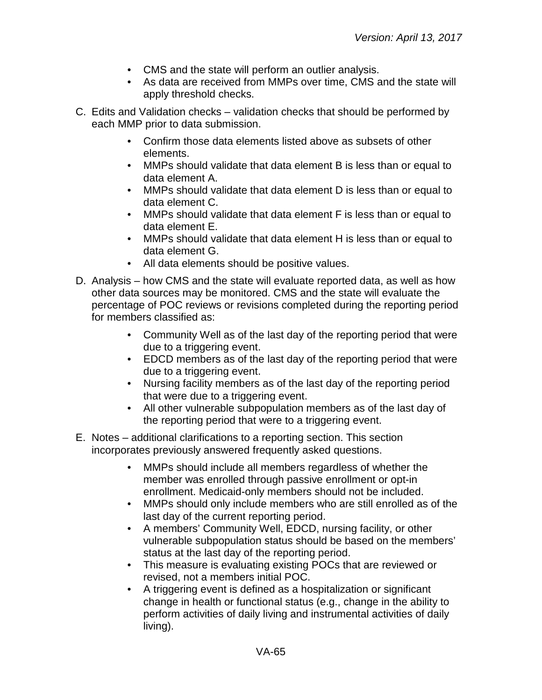- CMS and the state will perform an outlier analysis.
- As data are received from MMPs over time, CMS and the state will apply threshold checks.
- C. Edits and Validation checks validation checks that should be performed by each MMP prior to data submission.
	- Confirm those data elements listed above as subsets of other elements.
	- MMPs should validate that data element B is less than or equal to data element A.
	- MMPs should validate that data element D is less than or equal to data element C.
	- MMPs should validate that data element F is less than or equal to data element E.
	- MMPs should validate that data element H is less than or equal to data element G.
	- All data elements should be positive values.
- D. Analysis how CMS and the state will evaluate reported data, as well as how other data sources may be monitored. CMS and the state will evaluate the percentage of POC reviews or revisions completed during the reporting period for members classified as:
	- Community Well as of the last day of the reporting period that were due to a triggering event.
	- EDCD members as of the last day of the reporting period that were due to a triggering event.
	- Nursing facility members as of the last day of the reporting period that were due to a triggering event.
	- All other vulnerable subpopulation members as of the last day of the reporting period that were to a triggering event.
- E. Notes additional clarifications to a reporting section. This section incorporates previously answered frequently asked questions.
	- MMPs should include all members regardless of whether the member was enrolled through passive enrollment or opt-in enrollment. Medicaid-only members should not be included.
	- MMPs should only include members who are still enrolled as of the last day of the current reporting period.
	- A members' Community Well, EDCD, nursing facility, or other vulnerable subpopulation status should be based on the members' status at the last day of the reporting period.
	- This measure is evaluating existing POCs that are reviewed or revised, not a members initial POC.
	- A triggering event is defined as a hospitalization or significant change in health or functional status (e.g., change in the ability to perform activities of daily living and instrumental activities of daily living).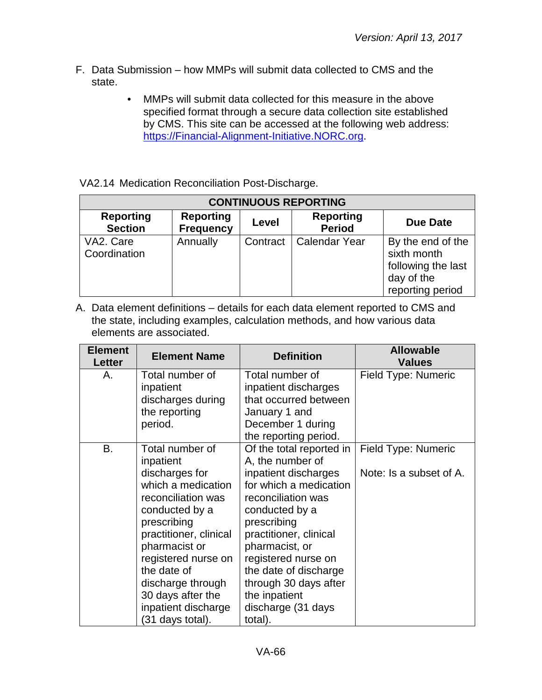- F. Data Submission how MMPs will submit data collected to CMS and the state.
	- MMPs will submit data collected for this measure in the above specified format through a secure data collection site established by CMS. This site can be accessed at the following web address: [https://Financial-Alignment-Initiative.NORC.org.](https://financial-alignment-initiative.norc.org/)

VA2.14 Medication Reconciliation Post-Discharge.

| <b>CONTINUOUS REPORTING</b>        |                                      |          |                                   |                                                                                          |
|------------------------------------|--------------------------------------|----------|-----------------------------------|------------------------------------------------------------------------------------------|
| <b>Reporting</b><br><b>Section</b> | <b>Reporting</b><br><b>Frequency</b> | Level    | <b>Reporting</b><br><b>Period</b> | <b>Due Date</b>                                                                          |
| VA2. Care<br>Coordination          | Annually                             | Contract | <b>Calendar Year</b>              | By the end of the<br>sixth month<br>following the last<br>day of the<br>reporting period |

| <b>Element</b><br><b>Letter</b> | <b>Element Name</b>    | <b>Definition</b>        | <b>Allowable</b><br><b>Values</b> |
|---------------------------------|------------------------|--------------------------|-----------------------------------|
| Α.                              | Total number of        | Total number of          | Field Type: Numeric               |
|                                 | inpatient              | inpatient discharges     |                                   |
|                                 | discharges during      | that occurred between    |                                   |
|                                 | the reporting          | January 1 and            |                                   |
|                                 | period.                | December 1 during        |                                   |
|                                 |                        | the reporting period.    |                                   |
| В.                              | Total number of        | Of the total reported in | Field Type: Numeric               |
|                                 | inpatient              | A, the number of         |                                   |
|                                 | discharges for         | inpatient discharges     | Note: Is a subset of A.           |
|                                 | which a medication     | for which a medication   |                                   |
|                                 | reconciliation was     | reconciliation was       |                                   |
|                                 | conducted by a         | conducted by a           |                                   |
|                                 | prescribing            | prescribing              |                                   |
|                                 | practitioner, clinical | practitioner, clinical   |                                   |
|                                 | pharmacist or          | pharmacist, or           |                                   |
|                                 | registered nurse on    | registered nurse on      |                                   |
|                                 | the date of            | the date of discharge    |                                   |
|                                 | discharge through      | through 30 days after    |                                   |
|                                 | 30 days after the      | the inpatient            |                                   |
|                                 | inpatient discharge    | discharge (31 days       |                                   |
|                                 | (31 days total).       | total).                  |                                   |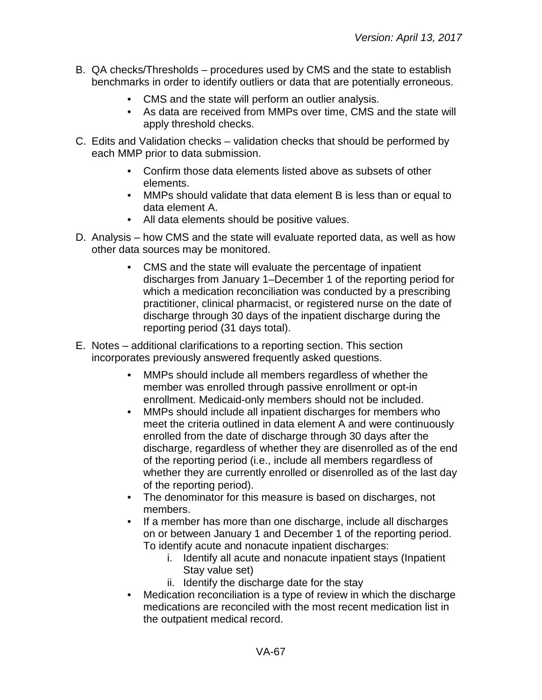- B. QA checks/Thresholds procedures used by CMS and the state to establish benchmarks in order to identify outliers or data that are potentially erroneous.
	- CMS and the state will perform an outlier analysis.
	- As data are received from MMPs over time, CMS and the state will apply threshold checks.
- C. Edits and Validation checks validation checks that should be performed by each MMP prior to data submission.
	- Confirm those data elements listed above as subsets of other elements.
	- MMPs should validate that data element B is less than or equal to data element A.
	- All data elements should be positive values.
- D. Analysis how CMS and the state will evaluate reported data, as well as how other data sources may be monitored.
	- CMS and the state will evaluate the percentage of inpatient discharges from January 1–December 1 of the reporting period for which a medication reconciliation was conducted by a prescribing practitioner, clinical pharmacist, or registered nurse on the date of discharge through 30 days of the inpatient discharge during the reporting period (31 days total).
- E. Notes additional clarifications to a reporting section. This section incorporates previously answered frequently asked questions.
	- MMPs should include all members regardless of whether the member was enrolled through passive enrollment or opt-in enrollment. Medicaid-only members should not be included.
	- MMPs should include all inpatient discharges for members who meet the criteria outlined in data element A and were continuously enrolled from the date of discharge through 30 days after the discharge, regardless of whether they are disenrolled as of the end of the reporting period (i.e., include all members regardless of whether they are currently enrolled or disenrolled as of the last day of the reporting period).
	- The denominator for this measure is based on discharges, not members.
	- If a member has more than one discharge, include all discharges on or between January 1 and December 1 of the reporting period. To identify acute and nonacute inpatient discharges:
		- i. Identify all acute and nonacute inpatient stays (Inpatient Stay value set)
		- ii. Identify the discharge date for the stay
	- Medication reconciliation is a type of review in which the discharge medications are reconciled with the most recent medication list in the outpatient medical record.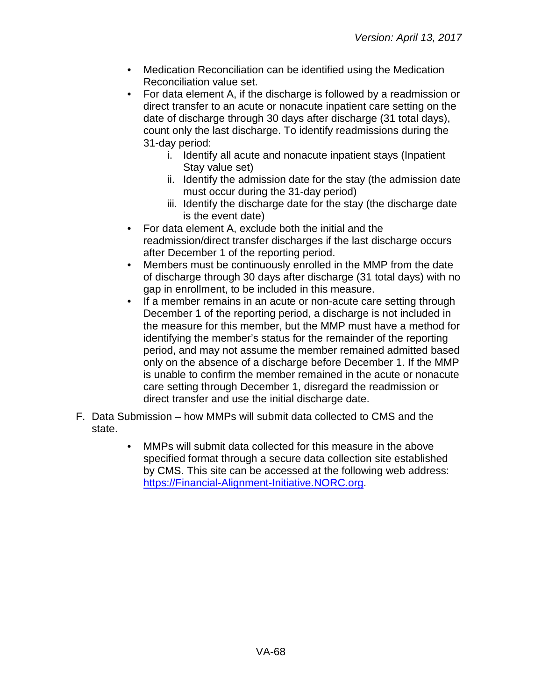- Medication Reconciliation can be identified using the Medication Reconciliation value set.
- For data element A, if the discharge is followed by a readmission or direct transfer to an acute or nonacute inpatient care setting on the date of discharge through 30 days after discharge (31 total days), count only the last discharge. To identify readmissions during the 31-day period:
	- i. Identify all acute and nonacute inpatient stays (Inpatient Stay value set)
	- ii. Identify the admission date for the stay (the admission date must occur during the 31-day period)
	- iii. Identify the discharge date for the stay (the discharge date is the event date)
- For data element A, exclude both the initial and the readmission/direct transfer discharges if the last discharge occurs after December 1 of the reporting period.
- Members must be continuously enrolled in the MMP from the date of discharge through 30 days after discharge (31 total days) with no gap in enrollment, to be included in this measure.
- If a member remains in an acute or non-acute care setting through December 1 of the reporting period, a discharge is not included in the measure for this member, but the MMP must have a method for identifying the member's status for the remainder of the reporting period, and may not assume the member remained admitted based only on the absence of a discharge before December 1. If the MMP is unable to confirm the member remained in the acute or nonacute care setting through December 1, disregard the readmission or direct transfer and use the initial discharge date.
- F. Data Submission how MMPs will submit data collected to CMS and the state.
	- MMPs will submit data collected for this measure in the above specified format through a secure data collection site established by CMS. This site can be accessed at the following web address: [https://Financial-Alignment-Initiative.NORC.org.](https://financial-alignment-initiative.norc.org/)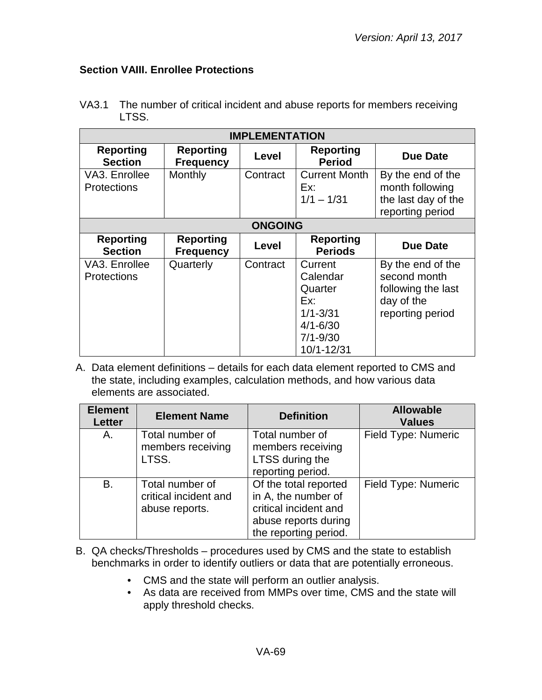## **Section VAIII. Enrollee Protections**

| <b>IMPLEMENTATION</b>               |                                      |          |                                                                                                     |                                                                                           |  |
|-------------------------------------|--------------------------------------|----------|-----------------------------------------------------------------------------------------------------|-------------------------------------------------------------------------------------------|--|
| <b>Reporting</b><br><b>Section</b>  | <b>Reporting</b><br><b>Frequency</b> | Level    | <b>Reporting</b><br><b>Period</b>                                                                   | <b>Due Date</b>                                                                           |  |
| VA3. Enrollee<br><b>Protections</b> | Monthly                              | Contract | <b>Current Month</b><br>Ex:<br>$1/1 - 1/31$                                                         | By the end of the<br>month following<br>the last day of the<br>reporting period           |  |
|                                     | <b>ONGOING</b>                       |          |                                                                                                     |                                                                                           |  |
| <b>Reporting</b><br><b>Section</b>  | <b>Reporting</b><br><b>Frequency</b> | Level    | <b>Reporting</b><br><b>Periods</b>                                                                  | <b>Due Date</b>                                                                           |  |
| VA3. Enrollee<br><b>Protections</b> | Quarterly                            | Contract | Current<br>Calendar<br>Quarter<br>Ex:<br>$1/1 - 3/31$<br>$4/1 - 6/30$<br>$7/1 - 9/30$<br>10/1-12/31 | By the end of the<br>second month<br>following the last<br>day of the<br>reporting period |  |

VA3.1 The number of critical incident and abuse reports for members receiving LTSS.

| <b>Element</b><br><b>Letter</b> | <b>Element Name</b>                                        | <b>Definition</b>                                                                                                      | <b>Allowable</b><br><b>Values</b> |
|---------------------------------|------------------------------------------------------------|------------------------------------------------------------------------------------------------------------------------|-----------------------------------|
| A.                              | Total number of<br>members receiving<br>LTSS.              | Total number of<br>members receiving<br>LTSS during the<br>reporting period.                                           | Field Type: Numeric               |
| B.                              | Total number of<br>critical incident and<br>abuse reports. | Of the total reported<br>in A, the number of<br>critical incident and<br>abuse reports during<br>the reporting period. | Field Type: Numeric               |

- B. QA checks/Thresholds procedures used by CMS and the state to establish benchmarks in order to identify outliers or data that are potentially erroneous.
	- CMS and the state will perform an outlier analysis.
	- As data are received from MMPs over time, CMS and the state will apply threshold checks.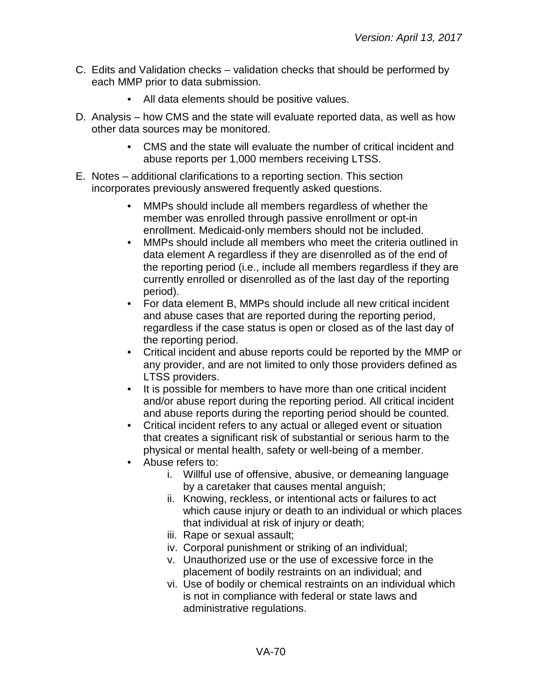- C. Edits and Validation checks validation checks that should be performed by each MMP prior to data submission.
	- All data elements should be positive values.
- D. Analysis how CMS and the state will evaluate reported data, as well as how other data sources may be monitored.
	- CMS and the state will evaluate the number of critical incident and abuse reports per 1,000 members receiving LTSS.
- E. Notes additional clarifications to a reporting section. This section incorporates previously answered frequently asked questions.
	- MMPs should include all members regardless of whether the member was enrolled through passive enrollment or opt-in enrollment. Medicaid-only members should not be included.
	- MMPs should include all members who meet the criteria outlined in data element A regardless if they are disenrolled as of the end of the reporting period (i.e., include all members regardless if they are currently enrolled or disenrolled as of the last day of the reporting period).
	- For data element B, MMPs should include all new critical incident and abuse cases that are reported during the reporting period, regardless if the case status is open or closed as of the last day of the reporting period.
	- Critical incident and abuse reports could be reported by the MMP or any provider, and are not limited to only those providers defined as LTSS providers.
	- It is possible for members to have more than one critical incident and/or abuse report during the reporting period. All critical incident and abuse reports during the reporting period should be counted.
	- Critical incident refers to any actual or alleged event or situation that creates a significant risk of substantial or serious harm to the physical or mental health, safety or well-being of a member.
	- Abuse refers to:
		- i. Willful use of offensive, abusive, or demeaning language by a caretaker that causes mental anguish;
		- ii. Knowing, reckless, or intentional acts or failures to act which cause injury or death to an individual or which places that individual at risk of injury or death;
		- iii. Rape or sexual assault;
		- iv. Corporal punishment or striking of an individual;
		- v. Unauthorized use or the use of excessive force in the placement of bodily restraints on an individual; and
		- vi. Use of bodily or chemical restraints on an individual which is not in compliance with federal or state laws and administrative regulations.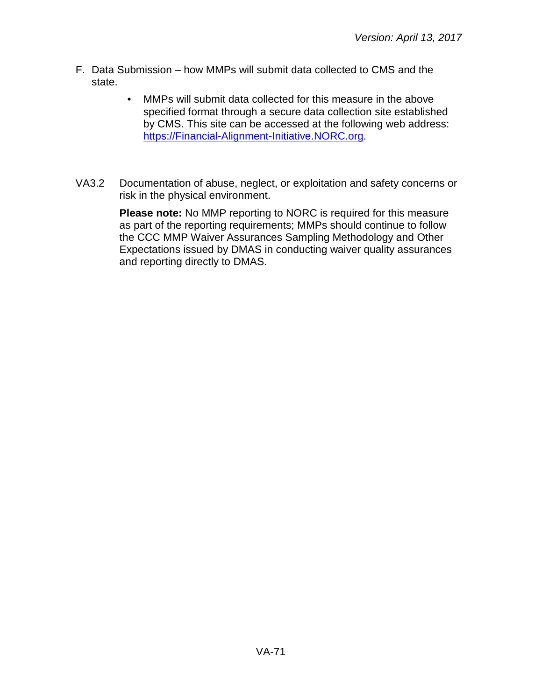- F. Data Submission how MMPs will submit data collected to CMS and the state.
	- MMPs will submit data collected for this measure in the above specified format through a secure data collection site established by CMS. This site can be accessed at the following web address: [https://Financial-Alignment-Initiative.NORC.org.](https://financial-alignment-initiative.norc.org/)
- VA3.2 Documentation of abuse, neglect, or exploitation and safety concerns or risk in the physical environment.

**Please note:** No MMP reporting to NORC is required for this measure as part of the reporting requirements; MMPs should continue to follow the CCC MMP Waiver Assurances Sampling Methodology and Other Expectations issued by DMAS in conducting waiver quality assurances and reporting directly to DMAS.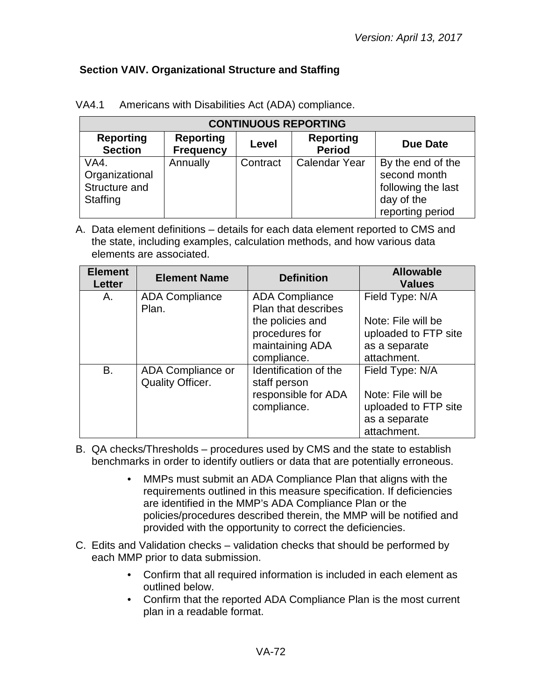## **Section VAIV. Organizational Structure and Staffing**

| <b>CONTINUOUS REPORTING</b>                         |                                      |          |                                   |                                                                                           |  |  |
|-----------------------------------------------------|--------------------------------------|----------|-----------------------------------|-------------------------------------------------------------------------------------------|--|--|
| <b>Reporting</b><br><b>Section</b>                  | <b>Reporting</b><br><b>Frequency</b> | Level    | <b>Reporting</b><br><b>Period</b> | <b>Due Date</b>                                                                           |  |  |
| VA4.<br>Organizational<br>Structure and<br>Staffing | Annually                             | Contract | <b>Calendar Year</b>              | By the end of the<br>second month<br>following the last<br>day of the<br>reporting period |  |  |

| VA4.1 | Americans with Disabilities Act (ADA) compliance. |
|-------|---------------------------------------------------|
|-------|---------------------------------------------------|

| <b>Element</b><br><b>Letter</b> | <b>Element Name</b>                          | <b>Definition</b>                                                                                                           | <b>Allowable</b><br><b>Values</b>                                                             |
|---------------------------------|----------------------------------------------|-----------------------------------------------------------------------------------------------------------------------------|-----------------------------------------------------------------------------------------------|
| Α.                              | <b>ADA Compliance</b><br>Plan.               | <b>ADA Compliance</b><br><b>Plan that describes</b><br>the policies and<br>procedures for<br>maintaining ADA<br>compliance. | Field Type: N/A<br>Note: File will be<br>uploaded to FTP site<br>as a separate<br>attachment. |
| <b>B.</b>                       | ADA Compliance or<br><b>Quality Officer.</b> | Identification of the<br>staff person<br>responsible for ADA<br>compliance.                                                 | Field Type: N/A<br>Note: File will be<br>uploaded to FTP site<br>as a separate<br>attachment. |

- B. QA checks/Thresholds procedures used by CMS and the state to establish benchmarks in order to identify outliers or data that are potentially erroneous.
	- MMPs must submit an ADA Compliance Plan that aligns with the requirements outlined in this measure specification. If deficiencies are identified in the MMP's ADA Compliance Plan or the policies/procedures described therein, the MMP will be notified and provided with the opportunity to correct the deficiencies.
- C. Edits and Validation checks validation checks that should be performed by each MMP prior to data submission.
	- Confirm that all required information is included in each element as outlined below.
	- Confirm that the reported ADA Compliance Plan is the most current plan in a readable format.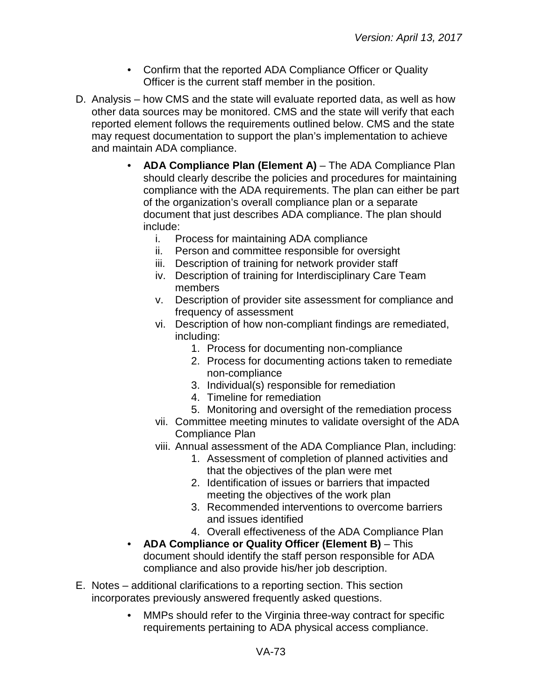- Confirm that the reported ADA Compliance Officer or Quality Officer is the current staff member in the position.
- D. Analysis how CMS and the state will evaluate reported data, as well as how other data sources may be monitored. CMS and the state will verify that each reported element follows the requirements outlined below. CMS and the state may request documentation to support the plan's implementation to achieve and maintain ADA compliance.
	- **ADA Compliance Plan (Element A)** The ADA Compliance Plan should clearly describe the policies and procedures for maintaining compliance with the ADA requirements. The plan can either be part of the organization's overall compliance plan or a separate document that just describes ADA compliance. The plan should include:
		- i. Process for maintaining ADA compliance
		- ii. Person and committee responsible for oversight
		- iii. Description of training for network provider staff
		- iv. Description of training for Interdisciplinary Care Team members
		- v. Description of provider site assessment for compliance and frequency of assessment
		- vi. Description of how non-compliant findings are remediated, including:
			- 1. Process for documenting non-compliance
			- 2. Process for documenting actions taken to remediate non-compliance
			- 3. Individual(s) responsible for remediation
			- 4. Timeline for remediation
			- 5. Monitoring and oversight of the remediation process
		- vii. Committee meeting minutes to validate oversight of the ADA Compliance Plan
		- viii. Annual assessment of the ADA Compliance Plan, including:
			- 1. Assessment of completion of planned activities and that the objectives of the plan were met
			- 2. Identification of issues or barriers that impacted meeting the objectives of the work plan
			- 3. Recommended interventions to overcome barriers and issues identified
			- 4. Overall effectiveness of the ADA Compliance Plan
	- **ADA Compliance or Quality Officer (Element B)** This document should identify the staff person responsible for ADA compliance and also provide his/her job description.
- E. Notes additional clarifications to a reporting section. This section incorporates previously answered frequently asked questions.
	- MMPs should refer to the Virginia three-way contract for specific requirements pertaining to ADA physical access compliance.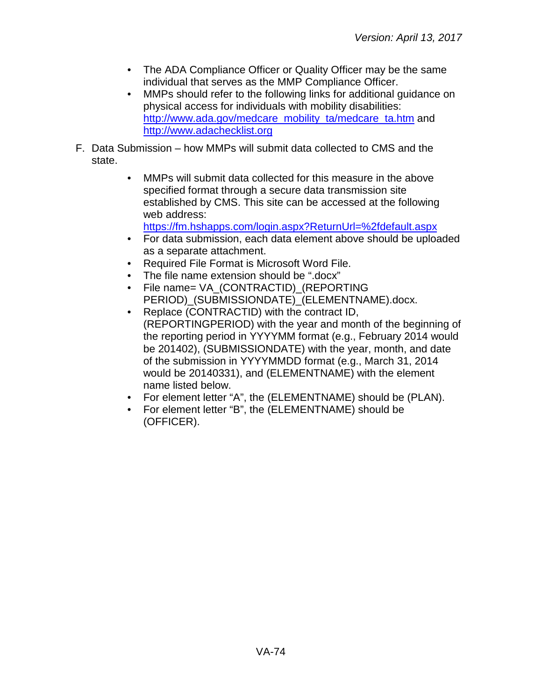- The ADA Compliance Officer or Quality Officer may be the same individual that serves as the MMP Compliance Officer.
- MMPs should refer to the following links for additional guidance on physical access for individuals with mobility disabilities: [http://www.ada.gov/medcare\\_mobility\\_ta/medcare\\_ta.htm](http://www.ada.gov/medcare_mobility_ta/medcare_ta.htm) and [http://www.adachecklist.org](http://www.adachecklist.org/)
- F. Data Submission how MMPs will submit data collected to CMS and the state.
	- MMPs will submit data collected for this measure in the above specified format through a secure data transmission site established by CMS. This site can be accessed at the following web address:

<https://fm.hshapps.com/login.aspx?ReturnUrl=%2fdefault.aspx>

- For data submission, each data element above should be uploaded as a separate attachment.
- Required File Format is Microsoft Word File.
- The file name extension should be ".docx"
- File name= VA\_(CONTRACTID)\_(REPORTING PERIOD) (SUBMISSIONDATE) (ELEMENTNAME).docx.
- Replace (CONTRACTID) with the contract ID, (REPORTINGPERIOD) with the year and month of the beginning of the reporting period in YYYYMM format (e.g., February 2014 would be 201402), (SUBMISSIONDATE) with the year, month, and date of the submission in YYYYMMDD format (e.g., March 31, 2014 would be 20140331), and (ELEMENTNAME) with the element name listed below.
- For element letter "A", the (ELEMENTNAME) should be (PLAN).
- For element letter "B", the (ELEMENTNAME) should be (OFFICER).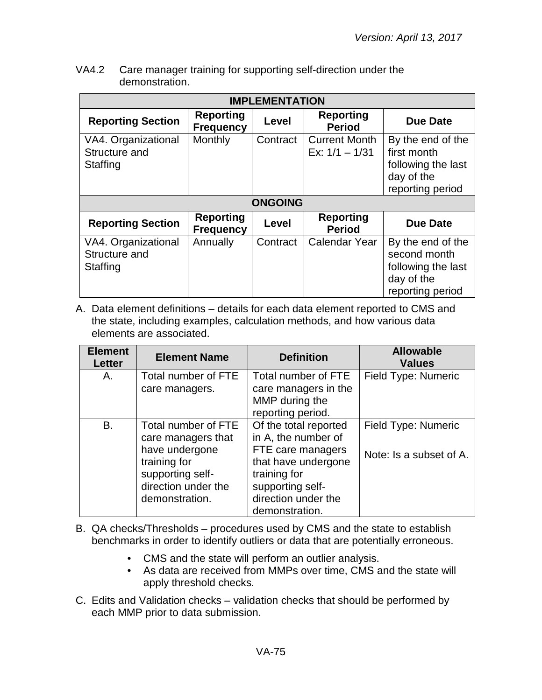| VA4.2 | Care manager training for supporting self-direction under the |
|-------|---------------------------------------------------------------|
|       | demonstration.                                                |

| <b>IMPLEMENTATION</b>                            |                                      |                |                                          |                                                                                           |
|--------------------------------------------------|--------------------------------------|----------------|------------------------------------------|-------------------------------------------------------------------------------------------|
| <b>Reporting Section</b>                         | <b>Reporting</b><br><b>Frequency</b> | Level          | <b>Reporting</b><br><b>Period</b>        | <b>Due Date</b>                                                                           |
| VA4. Organizational<br>Structure and<br>Staffing | Monthly                              | Contract       | <b>Current Month</b><br>Ex: $1/1 - 1/31$ | By the end of the<br>first month<br>following the last<br>day of the<br>reporting period  |
|                                                  |                                      | <b>ONGOING</b> |                                          |                                                                                           |
| <b>Reporting Section</b>                         | <b>Reporting</b><br><b>Frequency</b> | Level          | <b>Reporting</b><br><b>Period</b>        | <b>Due Date</b>                                                                           |
| VA4. Organizational<br>Structure and<br>Staffing | Annually                             | Contract       | <b>Calendar Year</b>                     | By the end of the<br>second month<br>following the last<br>day of the<br>reporting period |

| <b>Element</b><br><b>Letter</b> | <b>Element Name</b>                                                                                                                      | <b>Definition</b>                                                                                                                                                     | <b>Allowable</b><br><b>Values</b>              |
|---------------------------------|------------------------------------------------------------------------------------------------------------------------------------------|-----------------------------------------------------------------------------------------------------------------------------------------------------------------------|------------------------------------------------|
| Α.                              | Total number of FTE<br>care managers.                                                                                                    | Total number of FTE<br>care managers in the<br>MMP during the<br>reporting period.                                                                                    | Field Type: Numeric                            |
| B.                              | Total number of FTE<br>care managers that<br>have undergone<br>training for<br>supporting self-<br>direction under the<br>demonstration. | Of the total reported<br>in A, the number of<br>FTE care managers<br>that have undergone<br>training for<br>supporting self-<br>direction under the<br>demonstration. | Field Type: Numeric<br>Note: Is a subset of A. |

- B. QA checks/Thresholds procedures used by CMS and the state to establish benchmarks in order to identify outliers or data that are potentially erroneous.
	- CMS and the state will perform an outlier analysis.
	- As data are received from MMPs over time, CMS and the state will apply threshold checks.
- C. Edits and Validation checks validation checks that should be performed by each MMP prior to data submission.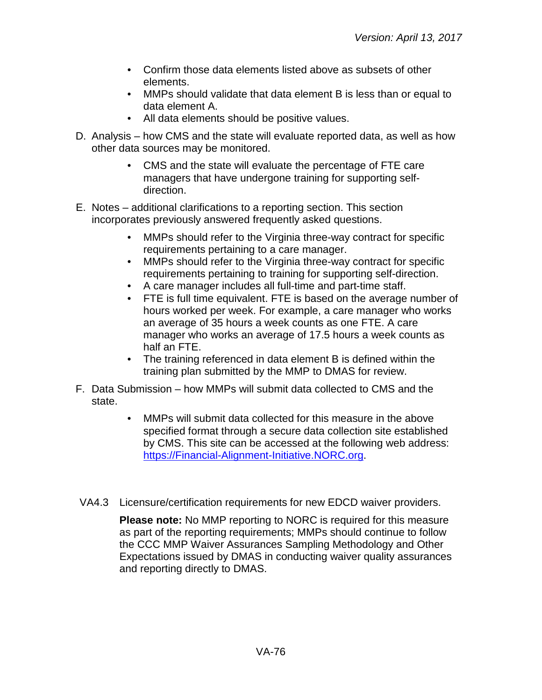- Confirm those data elements listed above as subsets of other elements.
- MMPs should validate that data element B is less than or equal to data element A.
- All data elements should be positive values.
- D. Analysis how CMS and the state will evaluate reported data, as well as how other data sources may be monitored.
	- CMS and the state will evaluate the percentage of FTE care managers that have undergone training for supporting selfdirection.
- E. Notes additional clarifications to a reporting section. This section incorporates previously answered frequently asked questions.
	- MMPs should refer to the Virginia three-way contract for specific requirements pertaining to a care manager.
	- MMPs should refer to the Virginia three-way contract for specific requirements pertaining to training for supporting self-direction.
	- A care manager includes all full-time and part-time staff.
	- FTE is full time equivalent. FTE is based on the average number of hours worked per week. For example, a care manager who works an average of 35 hours a week counts as one FTE. A care manager who works an average of 17.5 hours a week counts as half an FTE.
	- The training referenced in data element B is defined within the training plan submitted by the MMP to DMAS for review.
- F. Data Submission how MMPs will submit data collected to CMS and the state.
	- MMPs will submit data collected for this measure in the above specified format through a secure data collection site established by CMS. This site can be accessed at the following web address: [https://Financial-Alignment-Initiative.NORC.org.](https://financial-alignment-initiative.norc.org/)
- VA4.3 Licensure/certification requirements for new EDCD waiver providers.

**Please note:** No MMP reporting to NORC is required for this measure as part of the reporting requirements; MMPs should continue to follow the CCC MMP Waiver Assurances Sampling Methodology and Other Expectations issued by DMAS in conducting waiver quality assurances and reporting directly to DMAS.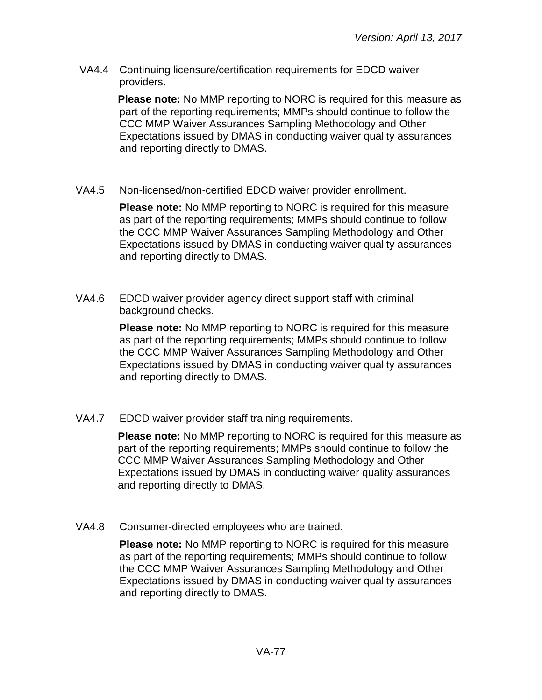VA4.4 Continuing licensure/certification requirements for EDCD waiver providers.

> **Please note:** No MMP reporting to NORC is required for this measure as part of the reporting requirements; MMPs should continue to follow the CCC MMP Waiver Assurances Sampling Methodology and Other Expectations issued by DMAS in conducting waiver quality assurances and reporting directly to DMAS.

VA4.5 Non-licensed/non-certified EDCD waiver provider enrollment.

**Please note:** No MMP reporting to NORC is required for this measure as part of the reporting requirements; MMPs should continue to follow the CCC MMP Waiver Assurances Sampling Methodology and Other Expectations issued by DMAS in conducting waiver quality assurances and reporting directly to DMAS.

VA4.6 EDCD waiver provider agency direct support staff with criminal background checks.

> **Please note:** No MMP reporting to NORC is required for this measure as part of the reporting requirements; MMPs should continue to follow the CCC MMP Waiver Assurances Sampling Methodology and Other Expectations issued by DMAS in conducting waiver quality assurances and reporting directly to DMAS.

VA4.7 EDCD waiver provider staff training requirements.

**Please note:** No MMP reporting to NORC is required for this measure as part of the reporting requirements; MMPs should continue to follow the CCC MMP Waiver Assurances Sampling Methodology and Other Expectations issued by DMAS in conducting waiver quality assurances and reporting directly to DMAS.

VA4.8 Consumer-directed employees who are trained.

**Please note:** No MMP reporting to NORC is required for this measure as part of the reporting requirements; MMPs should continue to follow the CCC MMP Waiver Assurances Sampling Methodology and Other Expectations issued by DMAS in conducting waiver quality assurances and reporting directly to DMAS.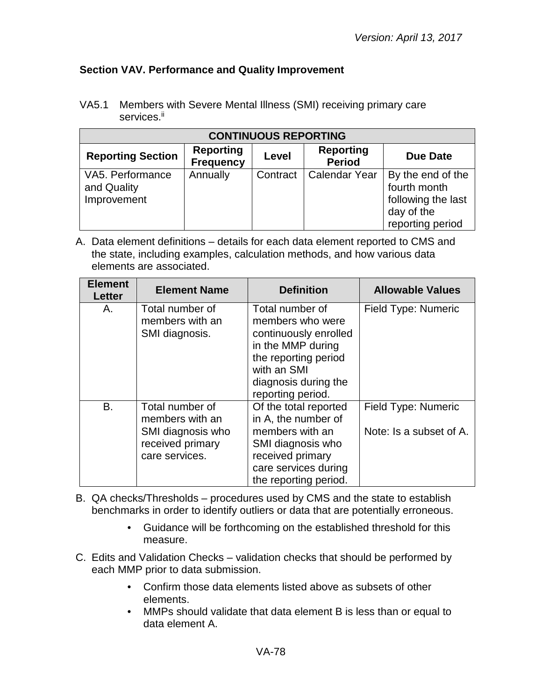### **Section VAV. Performance and Quality Improvement**

VA5.1 Members with Severe Mental Illness (SMI) receiving primary care services.<sup>ii</sup>

| <b>CONTINUOUS REPORTING</b>                    |                                      |          |                                   |                                                                                           |
|------------------------------------------------|--------------------------------------|----------|-----------------------------------|-------------------------------------------------------------------------------------------|
| <b>Reporting Section</b>                       | <b>Reporting</b><br><b>Frequency</b> | Level    | <b>Reporting</b><br><b>Period</b> | <b>Due Date</b>                                                                           |
| VA5. Performance<br>and Quality<br>Improvement | Annually                             | Contract | Calendar Year                     | By the end of the<br>fourth month<br>following the last<br>day of the<br>reporting period |

| <b>Element</b><br><b>Letter</b> | <b>Element Name</b>                                                                           | <b>Definition</b>                                                                                                                                                     | <b>Allowable Values</b>                        |
|---------------------------------|-----------------------------------------------------------------------------------------------|-----------------------------------------------------------------------------------------------------------------------------------------------------------------------|------------------------------------------------|
| Α.                              | Total number of<br>members with an<br>SMI diagnosis.                                          | Total number of<br>members who were<br>continuously enrolled<br>in the MMP during<br>the reporting period<br>with an SMI<br>diagnosis during the<br>reporting period. | Field Type: Numeric                            |
| B.                              | Total number of<br>members with an<br>SMI diagnosis who<br>received primary<br>care services. | Of the total reported<br>in A, the number of<br>members with an<br>SMI diagnosis who<br>received primary<br>care services during<br>the reporting period.             | Field Type: Numeric<br>Note: Is a subset of A. |

- B. QA checks/Thresholds procedures used by CMS and the state to establish benchmarks in order to identify outliers or data that are potentially erroneous.
	- Guidance will be forthcoming on the established threshold for this measure.
- C. Edits and Validation Checks validation checks that should be performed by each MMP prior to data submission.
	- Confirm those data elements listed above as subsets of other elements.
	- MMPs should validate that data element B is less than or equal to data element A.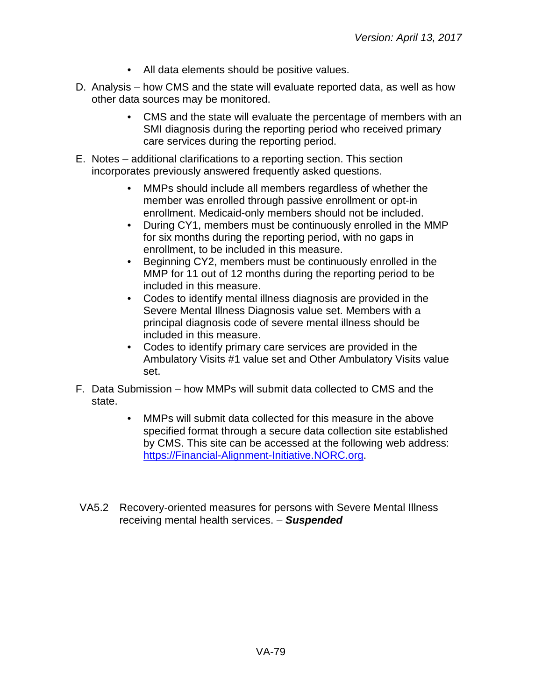- All data elements should be positive values.
- D. Analysis how CMS and the state will evaluate reported data, as well as how other data sources may be monitored.
	- CMS and the state will evaluate the percentage of members with an SMI diagnosis during the reporting period who received primary care services during the reporting period.
- E. Notes additional clarifications to a reporting section. This section incorporates previously answered frequently asked questions.
	- MMPs should include all members regardless of whether the member was enrolled through passive enrollment or opt-in enrollment. Medicaid-only members should not be included.
	- During CY1, members must be continuously enrolled in the MMP for six months during the reporting period, with no gaps in enrollment, to be included in this measure.
	- Beginning CY2, members must be continuously enrolled in the MMP for 11 out of 12 months during the reporting period to be included in this measure.
	- Codes to identify mental illness diagnosis are provided in the Severe Mental Illness Diagnosis value set. Members with a principal diagnosis code of severe mental illness should be included in this measure.
	- Codes to identify primary care services are provided in the Ambulatory Visits #1 value set and Other Ambulatory Visits value set.
- F. Data Submission how MMPs will submit data collected to CMS and the state.
	- MMPs will submit data collected for this measure in the above specified format through a secure data collection site established by CMS. This site can be accessed at the following web address: [https://Financial-Alignment-Initiative.NORC.org.](https://financial-alignment-initiative.norc.org/)
- VA5.2 Recovery-oriented measures for persons with Severe Mental Illness receiving mental health services. – *Suspended*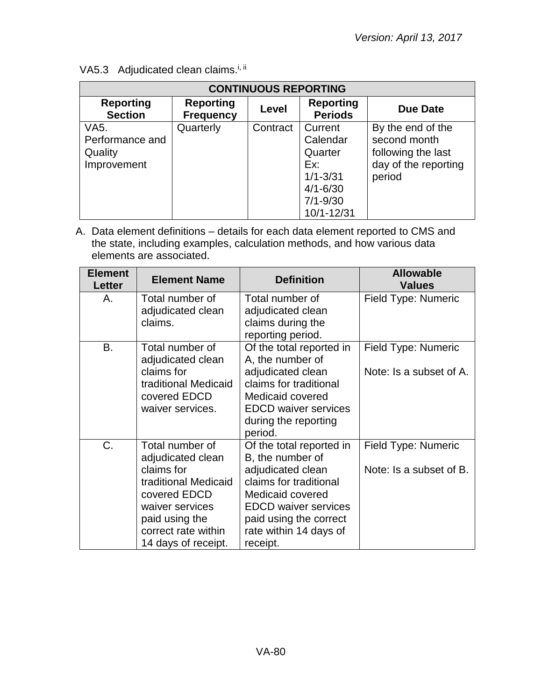| <b>CONTINUOUS REPORTING</b>                                    |                                      |          |                                                                                                     |                                                                                           |
|----------------------------------------------------------------|--------------------------------------|----------|-----------------------------------------------------------------------------------------------------|-------------------------------------------------------------------------------------------|
| <b>Reporting</b><br><b>Section</b>                             | <b>Reporting</b><br><b>Frequency</b> | Level    | <b>Reporting</b><br><b>Periods</b>                                                                  | Due Date                                                                                  |
| VA <sub>5</sub> .<br>Performance and<br>Quality<br>Improvement | Quarterly                            | Contract | Current<br>Calendar<br>Quarter<br>Ex:<br>$1/1 - 3/31$<br>$4/1 - 6/30$<br>$7/1 - 9/30$<br>10/1-12/31 | By the end of the<br>second month<br>following the last<br>day of the reporting<br>period |

VA5.3 Adjudicated clean claims.<sup>i, ii</sup>

| <b>Element</b><br><b>Letter</b> | <b>Element Name</b>                                                                                                                                                           | <b>Definition</b>                                                                                                                                                                                              | <b>Allowable</b><br><b>Values</b>              |
|---------------------------------|-------------------------------------------------------------------------------------------------------------------------------------------------------------------------------|----------------------------------------------------------------------------------------------------------------------------------------------------------------------------------------------------------------|------------------------------------------------|
| А.                              | Total number of<br>adjudicated clean<br>claims.                                                                                                                               | Total number of<br>adjudicated clean<br>claims during the<br>reporting period.                                                                                                                                 | Field Type: Numeric                            |
| B.                              | Total number of<br>adjudicated clean<br>claims for<br>traditional Medicaid<br>covered EDCD<br>waiver services.                                                                | Of the total reported in<br>A, the number of<br>adjudicated clean<br>claims for traditional<br>Medicaid covered<br><b>EDCD</b> waiver services<br>during the reporting<br>period.                              | Field Type: Numeric<br>Note: Is a subset of A. |
| $C_{\cdot}$                     | Total number of<br>adjudicated clean<br>claims for<br>traditional Medicaid<br>covered EDCD<br>waiver services<br>paid using the<br>correct rate within<br>14 days of receipt. | Of the total reported in<br>B, the number of<br>adjudicated clean<br>claims for traditional<br>Medicaid covered<br><b>EDCD</b> waiver services<br>paid using the correct<br>rate within 14 days of<br>receipt. | Field Type: Numeric<br>Note: Is a subset of B. |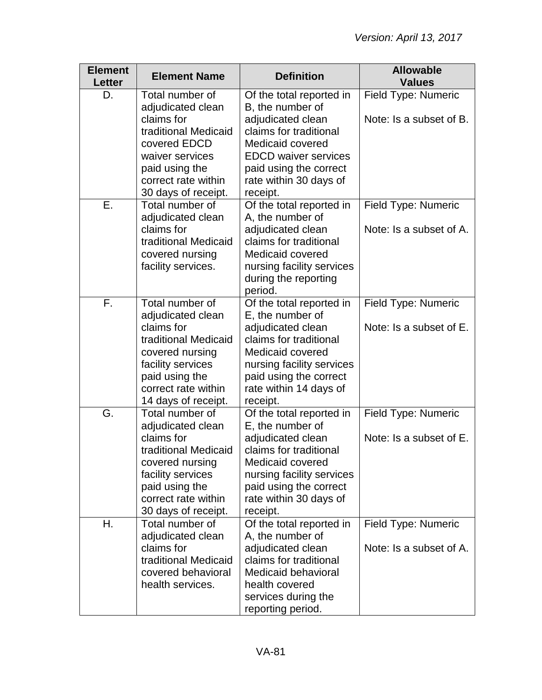| <b>Element</b><br><b>Letter</b> | <b>Element Name</b>                                                                                                                                                                | <b>Definition</b>                                                                                                                                                                                            | <b>Allowable</b><br><b>Values</b>              |
|---------------------------------|------------------------------------------------------------------------------------------------------------------------------------------------------------------------------------|--------------------------------------------------------------------------------------------------------------------------------------------------------------------------------------------------------------|------------------------------------------------|
| D.                              | Total number of<br>adjudicated clean<br>claims for<br>traditional Medicaid<br>covered EDCD<br>waiver services<br>paid using the<br>correct rate within                             | Of the total reported in<br>B, the number of<br>adjudicated clean<br>claims for traditional<br>Medicaid covered<br><b>EDCD</b> waiver services<br>paid using the correct<br>rate within 30 days of           | Field Type: Numeric<br>Note: Is a subset of B. |
| Ε.                              | 30 days of receipt.<br>Total number of<br>adjudicated clean<br>claims for<br>traditional Medicaid<br>covered nursing<br>facility services.                                         | receipt.<br>Of the total reported in<br>A, the number of<br>adjudicated clean<br>claims for traditional<br>Medicaid covered<br>nursing facility services<br>during the reporting<br>period.                  | Field Type: Numeric<br>Note: Is a subset of A. |
| F.                              | Total number of<br>adjudicated clean<br>claims for<br>traditional Medicaid<br>covered nursing<br>facility services<br>paid using the<br>correct rate within<br>14 days of receipt. | Of the total reported in<br>E, the number of<br>adjudicated clean<br>claims for traditional<br>Medicaid covered<br>nursing facility services<br>paid using the correct<br>rate within 14 days of<br>receipt. | Field Type: Numeric<br>Note: Is a subset of E. |
| G.                              | Total number of<br>adjudicated clean<br>claims for<br>traditional Medicaid<br>covered nursing<br>facility services<br>paid using the<br>correct rate within<br>30 days of receipt. | Of the total reported in<br>E, the number of<br>adjudicated clean<br>claims for traditional<br>Medicaid covered<br>nursing facility services<br>paid using the correct<br>rate within 30 days of<br>receipt. | Field Type: Numeric<br>Note: Is a subset of E. |
| Η.                              | Total number of<br>adjudicated clean<br>claims for<br>traditional Medicaid<br>covered behavioral<br>health services.                                                               | Of the total reported in<br>A, the number of<br>adjudicated clean<br>claims for traditional<br>Medicaid behavioral<br>health covered<br>services during the<br>reporting period.                             | Field Type: Numeric<br>Note: Is a subset of A. |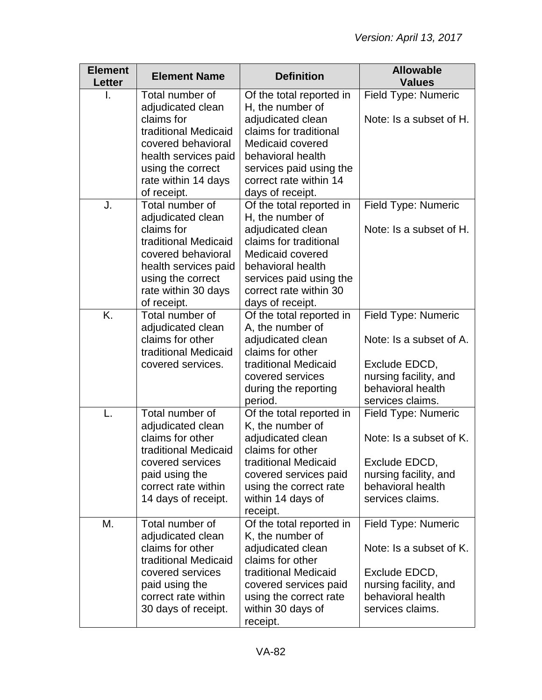| <b>Element</b><br><b>Letter</b> | <b>Element Name</b>                                                                                                                         | <b>Definition</b>                                                                                                                                             | <b>Allowable</b><br><b>Values</b>                                               |
|---------------------------------|---------------------------------------------------------------------------------------------------------------------------------------------|---------------------------------------------------------------------------------------------------------------------------------------------------------------|---------------------------------------------------------------------------------|
|                                 | Total number of<br>adjudicated clean                                                                                                        | Of the total reported in<br>H, the number of                                                                                                                  | Field Type: Numeric                                                             |
|                                 | claims for<br>traditional Medicaid<br>covered behavioral                                                                                    | adjudicated clean<br>claims for traditional<br>Medicaid covered                                                                                               | Note: Is a subset of H.                                                         |
|                                 | health services paid                                                                                                                        | behavioral health                                                                                                                                             |                                                                                 |
|                                 | using the correct<br>rate within 14 days<br>of receipt.                                                                                     | services paid using the<br>correct rate within 14<br>days of receipt.                                                                                         |                                                                                 |
| J.                              | Total number of<br>adjudicated clean                                                                                                        | Of the total reported in<br>H, the number of                                                                                                                  | Field Type: Numeric                                                             |
|                                 | claims for<br>traditional Medicaid<br>covered behavioral<br>health services paid<br>using the correct<br>rate within 30 days<br>of receipt. | adjudicated clean<br>claims for traditional<br>Medicaid covered<br>behavioral health<br>services paid using the<br>correct rate within 30<br>days of receipt. | Note: Is a subset of H.                                                         |
| K.                              | Total number of                                                                                                                             | Of the total reported in                                                                                                                                      | Field Type: Numeric                                                             |
|                                 | adjudicated clean<br>claims for other<br>traditional Medicaid                                                                               | A, the number of<br>adjudicated clean<br>claims for other                                                                                                     | Note: Is a subset of A.                                                         |
|                                 | covered services.                                                                                                                           | traditional Medicaid<br>covered services<br>during the reporting<br>period.                                                                                   | Exclude EDCD,<br>nursing facility, and<br>behavioral health<br>services claims. |
| L.                              | Total number of<br>adjudicated clean                                                                                                        | Of the total reported in<br>K, the number of                                                                                                                  | <b>Field Type: Numeric</b>                                                      |
|                                 | claims for other<br>traditional Medicaid                                                                                                    | adjudicated clean<br>claims for other                                                                                                                         | Note: Is a subset of K.                                                         |
|                                 | covered services<br>paid using the<br>correct rate within<br>14 days of receipt.                                                            | traditional Medicaid<br>covered services paid<br>using the correct rate<br>within 14 days of<br>receipt.                                                      | Exclude EDCD,<br>nursing facility, and<br>behavioral health<br>services claims. |
| М.                              | Total number of<br>adjudicated clean                                                                                                        | Of the total reported in<br>K, the number of                                                                                                                  | <b>Field Type: Numeric</b>                                                      |
|                                 | claims for other<br>traditional Medicaid                                                                                                    | adjudicated clean<br>claims for other                                                                                                                         | Note: Is a subset of K.                                                         |
|                                 | covered services                                                                                                                            | traditional Medicaid                                                                                                                                          | Exclude EDCD,                                                                   |
|                                 | paid using the<br>correct rate within                                                                                                       | covered services paid<br>using the correct rate                                                                                                               | nursing facility, and<br>behavioral health                                      |
|                                 | 30 days of receipt.                                                                                                                         | within 30 days of<br>receipt.                                                                                                                                 | services claims.                                                                |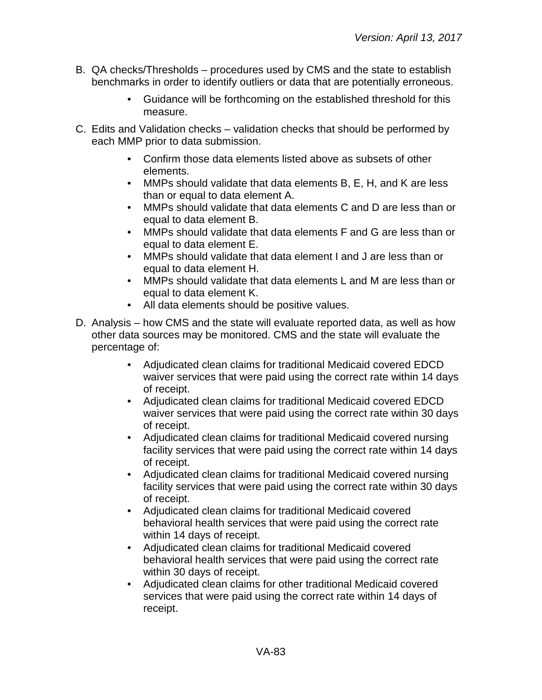- B. QA checks/Thresholds procedures used by CMS and the state to establish benchmarks in order to identify outliers or data that are potentially erroneous.
	- Guidance will be forthcoming on the established threshold for this measure.
- C. Edits and Validation checks validation checks that should be performed by each MMP prior to data submission.
	- Confirm those data elements listed above as subsets of other elements.
	- MMPs should validate that data elements B, E, H, and K are less than or equal to data element A.
	- MMPs should validate that data elements C and D are less than or equal to data element B.
	- MMPs should validate that data elements F and G are less than or equal to data element E.
	- MMPs should validate that data element I and J are less than or equal to data element H.
	- MMPs should validate that data elements L and M are less than or equal to data element K.
	- All data elements should be positive values.
- D. Analysis how CMS and the state will evaluate reported data, as well as how other data sources may be monitored. CMS and the state will evaluate the percentage of:
	- Adjudicated clean claims for traditional Medicaid covered EDCD waiver services that were paid using the correct rate within 14 days of receipt.
	- Adjudicated clean claims for traditional Medicaid covered EDCD waiver services that were paid using the correct rate within 30 days of receipt.
	- Adjudicated clean claims for traditional Medicaid covered nursing facility services that were paid using the correct rate within 14 days of receipt.
	- Adjudicated clean claims for traditional Medicaid covered nursing facility services that were paid using the correct rate within 30 days of receipt.
	- Adjudicated clean claims for traditional Medicaid covered behavioral health services that were paid using the correct rate within 14 days of receipt.
	- Adjudicated clean claims for traditional Medicaid covered behavioral health services that were paid using the correct rate within 30 days of receipt.
	- Adjudicated clean claims for other traditional Medicaid covered services that were paid using the correct rate within 14 days of receipt.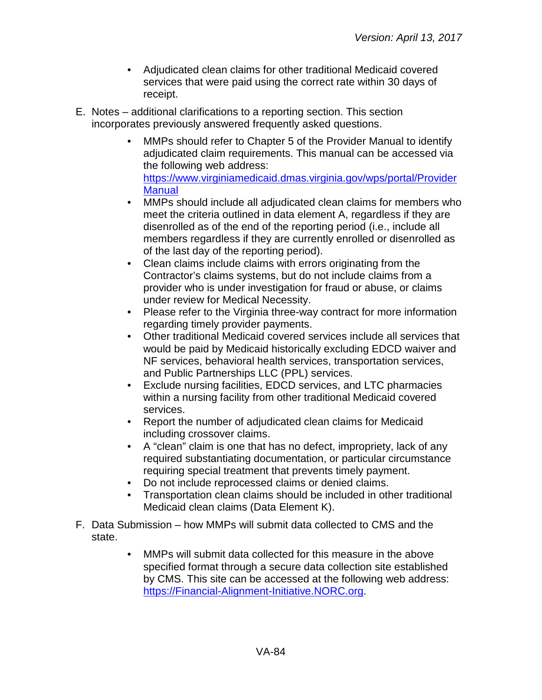- Adjudicated clean claims for other traditional Medicaid covered services that were paid using the correct rate within 30 days of receipt.
- E. Notes additional clarifications to a reporting section. This section incorporates previously answered frequently asked questions.
	- MMPs should refer to Chapter 5 of the Provider Manual to identify adjudicated claim requirements. This manual can be accessed via the following web address: [https://www.virginiamedicaid.dmas.virginia.gov/wps/portal/Provider](https://www.virginiamedicaid.dmas.virginia.gov/wps/portal/ProviderManual) **[Manual](https://www.virginiamedicaid.dmas.virginia.gov/wps/portal/ProviderManual)**
	- MMPs should include all adjudicated clean claims for members who meet the criteria outlined in data element A, regardless if they are disenrolled as of the end of the reporting period (i.e., include all members regardless if they are currently enrolled or disenrolled as of the last day of the reporting period).
	- Clean claims include claims with errors originating from the Contractor's claims systems, but do not include claims from a provider who is under investigation for fraud or abuse, or claims under review for Medical Necessity.
	- Please refer to the Virginia three-way contract for more information regarding timely provider payments.
	- Other traditional Medicaid covered services include all services that would be paid by Medicaid historically excluding EDCD waiver and NF services, behavioral health services, transportation services, and Public Partnerships LLC (PPL) services.
	- Exclude nursing facilities, EDCD services, and LTC pharmacies within a nursing facility from other traditional Medicaid covered services.
	- Report the number of adjudicated clean claims for Medicaid including crossover claims.
	- A "clean" claim is one that has no defect, impropriety, lack of any required substantiating documentation, or particular circumstance requiring special treatment that prevents timely payment.
	- Do not include reprocessed claims or denied claims.
	- Transportation clean claims should be included in other traditional Medicaid clean claims (Data Element K).
- F. Data Submission how MMPs will submit data collected to CMS and the state.
	- MMPs will submit data collected for this measure in the above specified format through a secure data collection site established by CMS. This site can be accessed at the following web address: [https://Financial-Alignment-Initiative.NORC.org.](https://financial-alignment-initiative.norc.org/)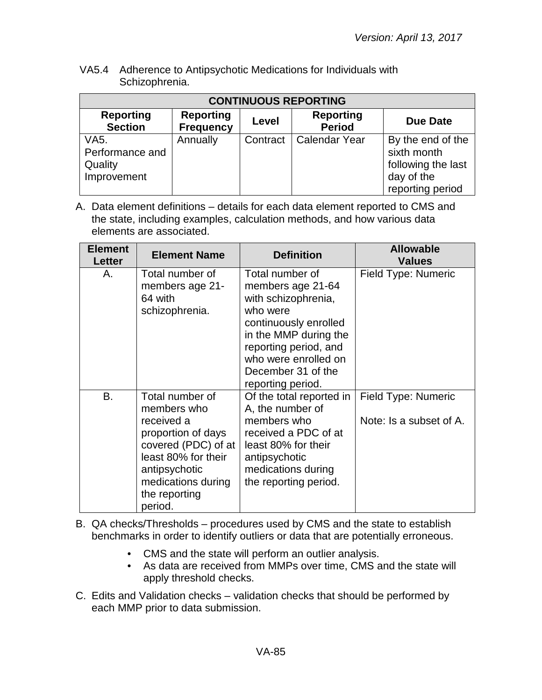VA5.4 Adherence to Antipsychotic Medications for Individuals with Schizophrenia.

| <b>CONTINUOUS REPORTING</b>                       |                                      |          |                                   |                                                                                          |
|---------------------------------------------------|--------------------------------------|----------|-----------------------------------|------------------------------------------------------------------------------------------|
| <b>Reporting</b><br><b>Section</b>                | <b>Reporting</b><br><b>Frequency</b> | Level    | <b>Reporting</b><br><b>Period</b> | <b>Due Date</b>                                                                          |
| VA5.<br>Performance and<br>Quality<br>Improvement | Annually                             | Contract | <b>Calendar Year</b>              | By the end of the<br>sixth month<br>following the last<br>day of the<br>reporting period |

| <b>Element</b><br><b>Letter</b> | <b>Element Name</b>                                                                                                                                                                 | <b>Definition</b>                                                                                                                                                                                                     | <b>Allowable</b><br><b>Values</b>              |
|---------------------------------|-------------------------------------------------------------------------------------------------------------------------------------------------------------------------------------|-----------------------------------------------------------------------------------------------------------------------------------------------------------------------------------------------------------------------|------------------------------------------------|
| А.                              | Total number of<br>members age 21-<br>64 with<br>schizophrenia.                                                                                                                     | Total number of<br>members age 21-64<br>with schizophrenia,<br>who were<br>continuously enrolled<br>in the MMP during the<br>reporting period, and<br>who were enrolled on<br>December 31 of the<br>reporting period. | Field Type: Numeric                            |
| <b>B.</b>                       | Total number of<br>members who<br>received a<br>proportion of days<br>covered (PDC) of at<br>least 80% for their<br>antipsychotic<br>medications during<br>the reporting<br>period. | Of the total reported in<br>A, the number of<br>members who<br>received a PDC of at<br>least 80% for their<br>antipsychotic<br>medications during<br>the reporting period.                                            | Field Type: Numeric<br>Note: Is a subset of A. |

- B. QA checks/Thresholds procedures used by CMS and the state to establish benchmarks in order to identify outliers or data that are potentially erroneous.
	- CMS and the state will perform an outlier analysis.
	- As data are received from MMPs over time, CMS and the state will apply threshold checks.
- C. Edits and Validation checks validation checks that should be performed by each MMP prior to data submission.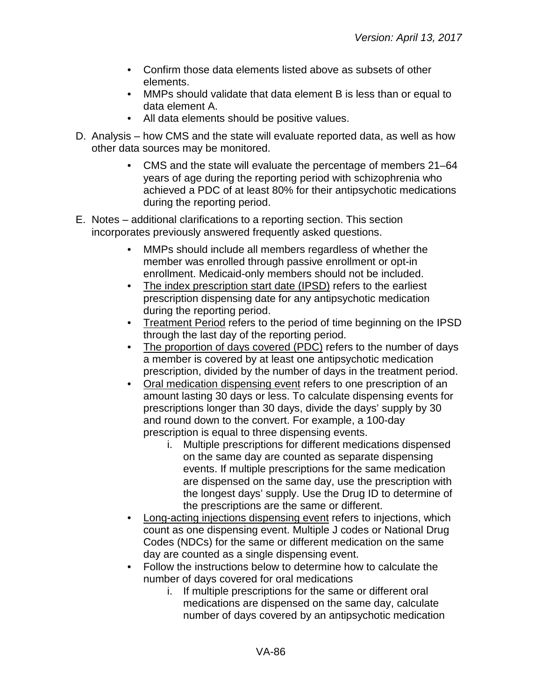- Confirm those data elements listed above as subsets of other elements.
- MMPs should validate that data element B is less than or equal to data element A.
- All data elements should be positive values.
- D. Analysis how CMS and the state will evaluate reported data, as well as how other data sources may be monitored.
	- CMS and the state will evaluate the percentage of members 21–64 years of age during the reporting period with schizophrenia who achieved a PDC of at least 80% for their antipsychotic medications during the reporting period.
- E. Notes additional clarifications to a reporting section. This section incorporates previously answered frequently asked questions.
	- MMPs should include all members regardless of whether the member was enrolled through passive enrollment or opt-in enrollment. Medicaid-only members should not be included.
	- The index prescription start date (IPSD) refers to the earliest prescription dispensing date for any antipsychotic medication during the reporting period.
	- Treatment Period refers to the period of time beginning on the IPSD through the last day of the reporting period.
	- The proportion of days covered (PDC) refers to the number of days a member is covered by at least one antipsychotic medication prescription, divided by the number of days in the treatment period.
	- Oral medication dispensing event refers to one prescription of an amount lasting 30 days or less. To calculate dispensing events for prescriptions longer than 30 days, divide the days' supply by 30 and round down to the convert. For example, a 100-day prescription is equal to three dispensing events.
		- i. Multiple prescriptions for different medications dispensed on the same day are counted as separate dispensing events. If multiple prescriptions for the same medication are dispensed on the same day, use the prescription with the longest days' supply. Use the Drug ID to determine of the prescriptions are the same or different.
	- Long-acting injections dispensing event refers to injections, which count as one dispensing event. Multiple J codes or National Drug Codes (NDCs) for the same or different medication on the same day are counted as a single dispensing event.
	- Follow the instructions below to determine how to calculate the number of days covered for oral medications
		- i. If multiple prescriptions for the same or different oral medications are dispensed on the same day, calculate number of days covered by an antipsychotic medication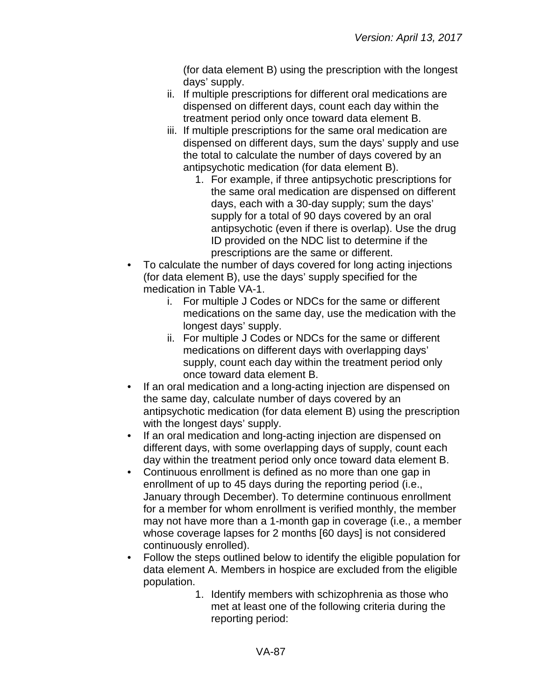(for data element B) using the prescription with the longest days' supply.

- ii. If multiple prescriptions for different oral medications are dispensed on different days, count each day within the treatment period only once toward data element B.
- iii. If multiple prescriptions for the same oral medication are dispensed on different days, sum the days' supply and use the total to calculate the number of days covered by an antipsychotic medication (for data element B).
	- 1. For example, if three antipsychotic prescriptions for the same oral medication are dispensed on different days, each with a 30-day supply; sum the days' supply for a total of 90 days covered by an oral antipsychotic (even if there is overlap). Use the drug ID provided on the NDC list to determine if the prescriptions are the same or different.
- To calculate the number of days covered for long acting injections (for data element B), use the days' supply specified for the medication in Table VA-1.
	- i. For multiple J Codes or NDCs for the same or different medications on the same day, use the medication with the longest days' supply.
	- ii. For multiple J Codes or NDCs for the same or different medications on different days with overlapping days' supply, count each day within the treatment period only once toward data element B.
- If an oral medication and a long-acting injection are dispensed on the same day, calculate number of days covered by an antipsychotic medication (for data element B) using the prescription with the longest days' supply.
- If an oral medication and long-acting injection are dispensed on different days, with some overlapping days of supply, count each day within the treatment period only once toward data element B.
- Continuous enrollment is defined as no more than one gap in enrollment of up to 45 days during the reporting period (i.e., January through December). To determine continuous enrollment for a member for whom enrollment is verified monthly, the member may not have more than a 1-month gap in coverage (i.e., a member whose coverage lapses for 2 months [60 days] is not considered continuously enrolled).
- Follow the steps outlined below to identify the eligible population for data element A. Members in hospice are excluded from the eligible population.
	- 1. Identify members with schizophrenia as those who met at least one of the following criteria during the reporting period: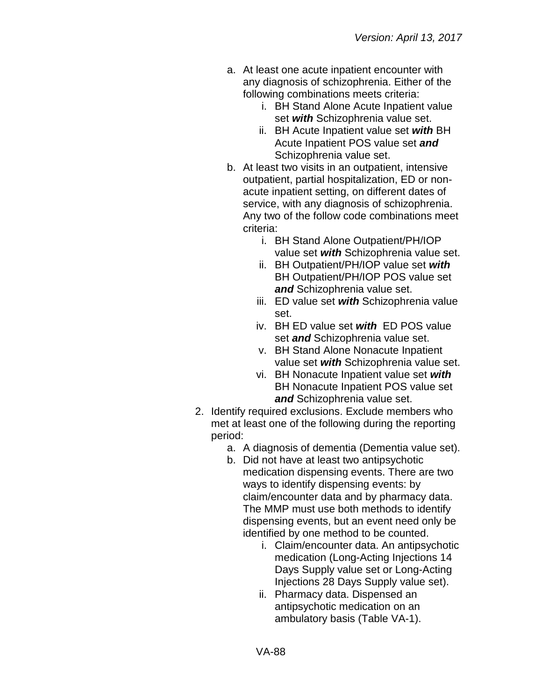- a. At least one acute inpatient encounter with any diagnosis of schizophrenia. Either of the following combinations meets criteria:
	- i. BH Stand Alone Acute Inpatient value set *with* Schizophrenia value set.
	- ii. BH Acute Inpatient value set *with* BH Acute Inpatient POS value set *and* Schizophrenia value set.
- b. At least two visits in an outpatient, intensive outpatient, partial hospitalization, ED or nonacute inpatient setting, on different dates of service, with any diagnosis of schizophrenia. Any two of the follow code combinations meet criteria:
	- i. BH Stand Alone Outpatient/PH/IOP value set *with* Schizophrenia value set.
	- ii. BH Outpatient/PH/IOP value set *with* BH Outpatient/PH/IOP POS value set *and* Schizophrenia value set.
	- iii. ED value set *with* Schizophrenia value set.
	- iv. BH ED value set *with* ED POS value set *and* Schizophrenia value set.
	- v. BH Stand Alone Nonacute Inpatient value set *with* Schizophrenia value set.
	- vi. BH Nonacute Inpatient value set *with* BH Nonacute Inpatient POS value set *and* Schizophrenia value set.
- 2. Identify required exclusions. Exclude members who met at least one of the following during the reporting period:
	- a. A diagnosis of dementia (Dementia value set).
	- b. Did not have at least two antipsychotic medication dispensing events. There are two ways to identify dispensing events: by claim/encounter data and by pharmacy data. The MMP must use both methods to identify dispensing events, but an event need only be identified by one method to be counted.
		- i. Claim/encounter data. An antipsychotic medication (Long-Acting Injections 14 Days Supply value set or Long-Acting Injections 28 Days Supply value set).
		- ii. Pharmacy data. Dispensed an antipsychotic medication on an ambulatory basis (Table VA-1).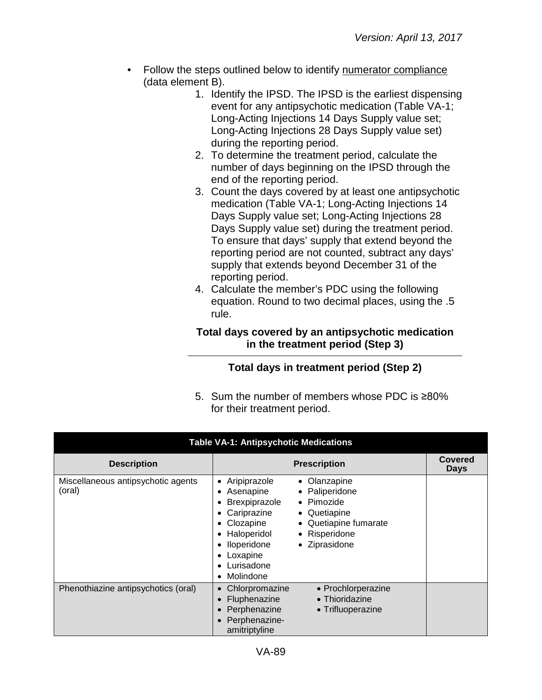- Follow the steps outlined below to identify numerator compliance (data element B).
	- 1. Identify the IPSD. The IPSD is the earliest dispensing event for any antipsychotic medication (Table VA-1; Long-Acting Injections 14 Days Supply value set; Long-Acting Injections 28 Days Supply value set) during the reporting period.
	- 2. To determine the treatment period, calculate the number of days beginning on the IPSD through the end of the reporting period.
	- 3. Count the days covered by at least one antipsychotic medication (Table VA-1; Long-Acting Injections 14 Days Supply value set; Long-Acting Injections 28 Days Supply value set) during the treatment period. To ensure that days' supply that extend beyond the reporting period are not counted, subtract any days' supply that extends beyond December 31 of the reporting period.
	- 4. Calculate the member's PDC using the following equation. Round to two decimal places, using the .5 rule.

### **Total days covered by an antipsychotic medication in the treatment period (Step 3)**

# **Total days in treatment period (Step 2)**

5. Sum the number of members whose PDC is ≥80% for their treatment period.

| <b>Table VA-1: Antipsychotic Medications</b> |                                                                                                                                                                                                                                                                                       |                        |  |  |
|----------------------------------------------|---------------------------------------------------------------------------------------------------------------------------------------------------------------------------------------------------------------------------------------------------------------------------------------|------------------------|--|--|
| <b>Description</b>                           | <b>Prescription</b>                                                                                                                                                                                                                                                                   | <b>Covered</b><br>Days |  |  |
| Miscellaneous antipsychotic agents<br>(oral) | • Aripiprazole<br>• Olanzapine<br>• Paliperidone<br>Asenapine<br>• Pimozide<br>Brexpiprazole<br>Cariprazine<br>• Quetiapine<br>• Quetiapine fumarate<br>Clozapine<br>Haloperidol<br>• Risperidone<br>Iloperidone<br>• Ziprasidone<br>Loxapine<br>Lurisadone<br>Molindone<br>$\bullet$ |                        |  |  |
| Phenothiazine antipsychotics (oral)          | • Prochlorperazine<br>Chlorpromazine<br>$\bullet$<br>• Thioridazine<br>Fluphenazine<br>Perphenazine<br>• Trifluoperazine<br>Perphenazine-<br>amitriptyline                                                                                                                            |                        |  |  |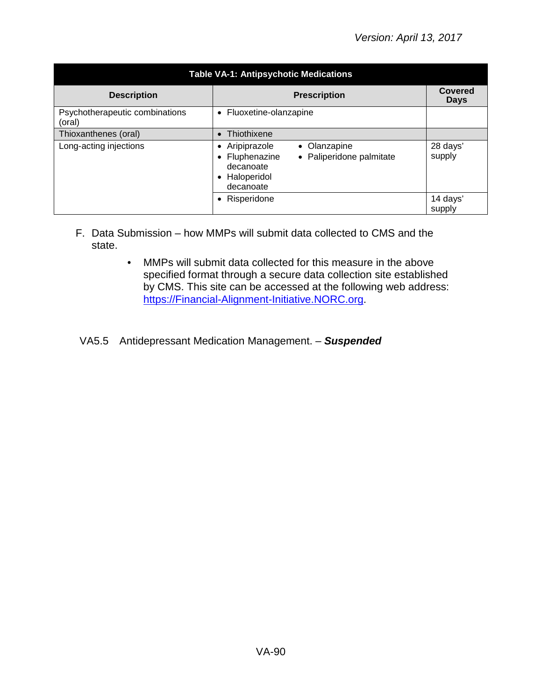| <b>Table VA-1: Antipsychotic Medications</b> |                                                                                                                                |                    |  |  |
|----------------------------------------------|--------------------------------------------------------------------------------------------------------------------------------|--------------------|--|--|
| <b>Description</b>                           | <b>Covered</b><br><b>Days</b>                                                                                                  |                    |  |  |
| Psychotherapeutic combinations<br>(oral)     | • Fluoxetine-olanzapine                                                                                                        |                    |  |  |
| Thioxanthenes (oral)                         | • Thiothixene                                                                                                                  |                    |  |  |
| Long-acting injections                       | Aripiprazole<br>• Olanzapine<br>$\bullet$<br>Fluphenazine<br>• Paliperidone palmitate<br>decanoate<br>Haloperidol<br>decanoate | 28 days'<br>supply |  |  |
|                                              | Risperidone                                                                                                                    | 14 days'<br>supply |  |  |

- F. Data Submission how MMPs will submit data collected to CMS and the state.
	- MMPs will submit data collected for this measure in the above specified format through a secure data collection site established by CMS. This site can be accessed at the following web address: [https://Financial-Alignment-Initiative.NORC.org.](https://financial-alignment-initiative.norc.org/)
- VA5.5 Antidepressant Medication Management. *Suspended*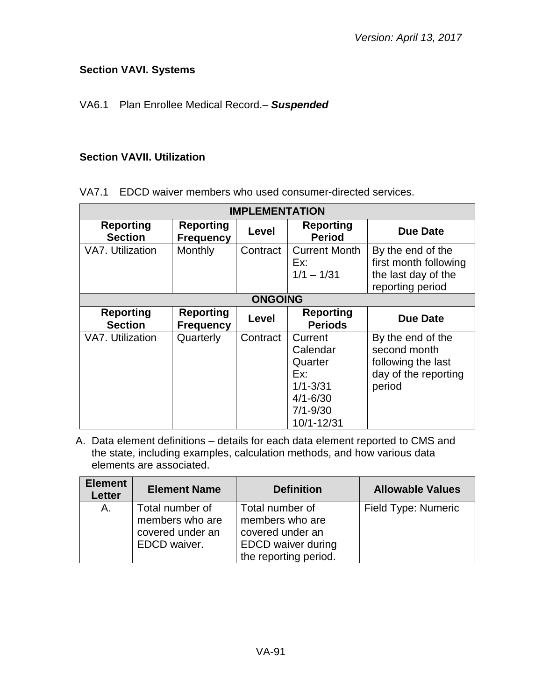## **Section VAVI. Systems**

## VA6.1 Plan Enrollee Medical Record.– *Suspended*

#### **Section VAVII. Utilization**

VA7.1 EDCD waiver members who used consumer-directed services.

| <b>IMPLEMENTATION</b>              |                                      |                |                                                                                                     |                                                                                           |  |
|------------------------------------|--------------------------------------|----------------|-----------------------------------------------------------------------------------------------------|-------------------------------------------------------------------------------------------|--|
| <b>Reporting</b><br><b>Section</b> | <b>Reporting</b><br><b>Frequency</b> | Level          | <b>Reporting</b><br><b>Period</b>                                                                   | <b>Due Date</b>                                                                           |  |
| VA7. Utilization                   | Monthly                              | Contract       | <b>Current Month</b><br>Ex:<br>$1/1 - 1/31$                                                         | By the end of the<br>first month following<br>the last day of the<br>reporting period     |  |
|                                    |                                      | <b>ONGOING</b> |                                                                                                     |                                                                                           |  |
| <b>Reporting</b><br><b>Section</b> | <b>Reporting</b><br><b>Frequency</b> | Level          | <b>Reporting</b><br><b>Periods</b>                                                                  | <b>Due Date</b>                                                                           |  |
| VA7. Utilization                   | Quarterly                            | Contract       | Current<br>Calendar<br>Quarter<br>Ex:<br>$1/1 - 3/31$<br>$4/1 - 6/30$<br>$7/1 - 9/30$<br>10/1-12/31 | By the end of the<br>second month<br>following the last<br>day of the reporting<br>period |  |

| <b>Element</b><br><b>Element Name</b><br><b>Letter</b> |                                                                        | <b>Definition</b>                                                                                            | <b>Allowable Values</b> |
|--------------------------------------------------------|------------------------------------------------------------------------|--------------------------------------------------------------------------------------------------------------|-------------------------|
| А.                                                     | Total number of<br>members who are<br>covered under an<br>EDCD waiver. | Total number of<br>members who are<br>covered under an<br><b>EDCD</b> waiver during<br>the reporting period. | Field Type: Numeric     |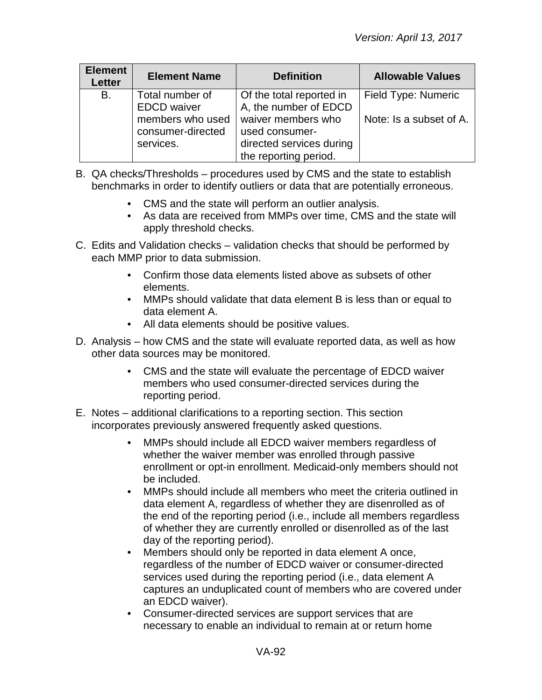| <b>Element</b><br><b>Element Name</b><br><b>Letter</b> |                                                    | <b>Definition</b>                                                                         | <b>Allowable Values</b> |
|--------------------------------------------------------|----------------------------------------------------|-------------------------------------------------------------------------------------------|-------------------------|
| В.<br>Total number of<br><b>EDCD</b> waiver            |                                                    | Of the total reported in<br>A, the number of EDCD                                         | Field Type: Numeric     |
|                                                        | members who used<br>consumer-directed<br>services. | waiver members who<br>used consumer-<br>directed services during<br>the reporting period. | Note: Is a subset of A. |

- B. QA checks/Thresholds procedures used by CMS and the state to establish benchmarks in order to identify outliers or data that are potentially erroneous.
	- CMS and the state will perform an outlier analysis.
	- As data are received from MMPs over time, CMS and the state will apply threshold checks.
- C. Edits and Validation checks validation checks that should be performed by each MMP prior to data submission.
	- Confirm those data elements listed above as subsets of other elements.
	- MMPs should validate that data element B is less than or equal to data element A.
	- All data elements should be positive values.
- D. Analysis how CMS and the state will evaluate reported data, as well as how other data sources may be monitored.
	- CMS and the state will evaluate the percentage of EDCD waiver members who used consumer-directed services during the reporting period.
- E. Notes additional clarifications to a reporting section. This section incorporates previously answered frequently asked questions.
	- MMPs should include all EDCD waiver members regardless of whether the waiver member was enrolled through passive enrollment or opt-in enrollment. Medicaid-only members should not be included.
	- MMPs should include all members who meet the criteria outlined in data element A, regardless of whether they are disenrolled as of the end of the reporting period (i.e., include all members regardless of whether they are currently enrolled or disenrolled as of the last day of the reporting period).
	- Members should only be reported in data element A once, regardless of the number of EDCD waiver or consumer-directed services used during the reporting period (i.e., data element A captures an unduplicated count of members who are covered under an EDCD waiver).
	- Consumer-directed services are support services that are necessary to enable an individual to remain at or return home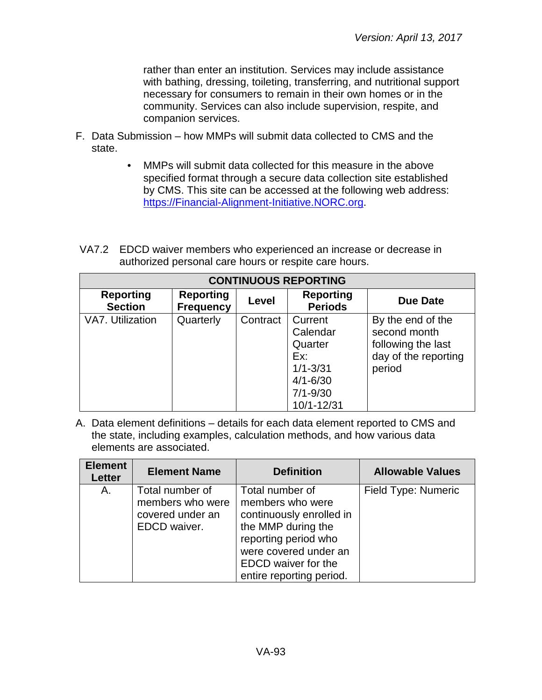rather than enter an institution. Services may include assistance with bathing, dressing, toileting, transferring, and nutritional support necessary for consumers to remain in their own homes or in the community. Services can also include supervision, respite, and companion services.

- F. Data Submission how MMPs will submit data collected to CMS and the state.
	- MMPs will submit data collected for this measure in the above specified format through a secure data collection site established by CMS. This site can be accessed at the following web address: [https://Financial-Alignment-Initiative.NORC.org.](https://financial-alignment-initiative.norc.org/)
- VA7.2 EDCD waiver members who experienced an increase or decrease in authorized personal care hours or respite care hours.

| <b>CONTINUOUS REPORTING</b>        |                                      |          |                                                                                                     |                                                                                           |  |
|------------------------------------|--------------------------------------|----------|-----------------------------------------------------------------------------------------------------|-------------------------------------------------------------------------------------------|--|
| <b>Reporting</b><br><b>Section</b> | <b>Reporting</b><br><b>Frequency</b> | Level    | <b>Reporting</b><br><b>Periods</b>                                                                  | Due Date                                                                                  |  |
| VA7. Utilization                   | Quarterly                            | Contract | Current<br>Calendar<br>Quarter<br>Ex:<br>$1/1 - 3/31$<br>$4/1 - 6/30$<br>$7/1 - 9/30$<br>10/1-12/31 | By the end of the<br>second month<br>following the last<br>day of the reporting<br>period |  |

| <b>Element</b><br><b>Letter</b> | <b>Element Name</b>                                                     | <b>Definition</b>                                                                                                                                                                                | <b>Allowable Values</b> |
|---------------------------------|-------------------------------------------------------------------------|--------------------------------------------------------------------------------------------------------------------------------------------------------------------------------------------------|-------------------------|
| А.                              | Total number of<br>members who were<br>covered under an<br>EDCD waiver. | Total number of<br>members who were<br>continuously enrolled in<br>the MMP during the<br>reporting period who<br>were covered under an<br><b>EDCD</b> waiver for the<br>entire reporting period. | Field Type: Numeric     |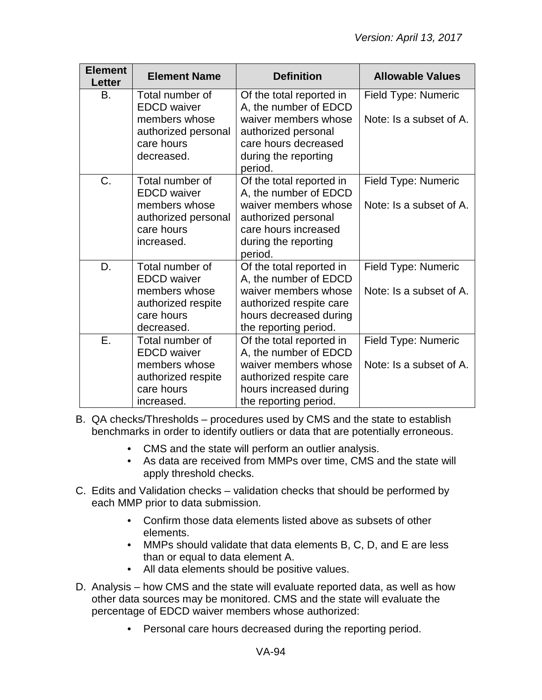| <b>Element</b><br><b>Letter</b> | <b>Element Name</b>                                              | <b>Definition</b>                                                                                      | <b>Allowable Values</b> |
|---------------------------------|------------------------------------------------------------------|--------------------------------------------------------------------------------------------------------|-------------------------|
| B.                              | Total number of<br><b>EDCD</b> waiver                            | Of the total reported in<br>A, the number of EDCD                                                      | Field Type: Numeric     |
|                                 | members whose<br>authorized personal<br>care hours<br>decreased. | waiver members whose<br>authorized personal<br>care hours decreased<br>during the reporting<br>period. | Note: Is a subset of A. |
| C.                              | Total number of<br><b>EDCD</b> waiver                            | Of the total reported in<br>A, the number of EDCD                                                      | Field Type: Numeric     |
|                                 | members whose<br>authorized personal<br>care hours<br>increased. | waiver members whose<br>authorized personal<br>care hours increased<br>during the reporting<br>period. | Note: Is a subset of A. |
| D.                              | Total number of<br><b>EDCD</b> waiver                            | Of the total reported in<br>A, the number of EDCD                                                      | Field Type: Numeric     |
|                                 | members whose<br>authorized respite<br>care hours<br>decreased.  | waiver members whose<br>authorized respite care<br>hours decreased during<br>the reporting period.     | Note: Is a subset of A. |
| Ε.                              | Total number of<br><b>EDCD</b> waiver                            | Of the total reported in<br>A, the number of EDCD                                                      | Field Type: Numeric     |
|                                 | members whose<br>authorized respite<br>care hours<br>increased.  | waiver members whose<br>authorized respite care<br>hours increased during<br>the reporting period.     | Note: Is a subset of A. |

- B. QA checks/Thresholds procedures used by CMS and the state to establish benchmarks in order to identify outliers or data that are potentially erroneous.
	- CMS and the state will perform an outlier analysis.
	- As data are received from MMPs over time, CMS and the state will apply threshold checks.
- C. Edits and Validation checks validation checks that should be performed by each MMP prior to data submission.
	- Confirm those data elements listed above as subsets of other elements.
	- MMPs should validate that data elements B, C, D, and E are less than or equal to data element A.
	- All data elements should be positive values.
- D. Analysis how CMS and the state will evaluate reported data, as well as how other data sources may be monitored. CMS and the state will evaluate the percentage of EDCD waiver members whose authorized:
	- Personal care hours decreased during the reporting period.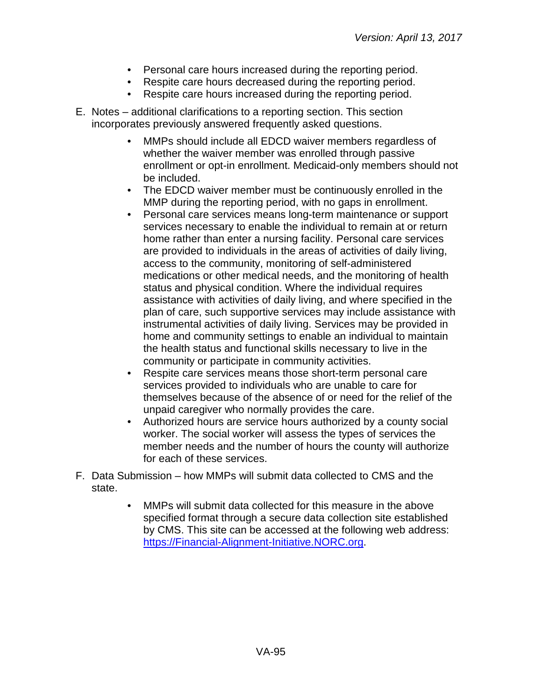- Personal care hours increased during the reporting period.
- Respite care hours decreased during the reporting period.
- Respite care hours increased during the reporting period.
- E. Notes additional clarifications to a reporting section. This section incorporates previously answered frequently asked questions.
	- MMPs should include all EDCD waiver members regardless of whether the waiver member was enrolled through passive enrollment or opt-in enrollment. Medicaid-only members should not be included.
	- The EDCD waiver member must be continuously enrolled in the MMP during the reporting period, with no gaps in enrollment.
	- Personal care services means long-term maintenance or support services necessary to enable the individual to remain at or return home rather than enter a nursing facility. Personal care services are provided to individuals in the areas of activities of daily living, access to the community, monitoring of self-administered medications or other medical needs, and the monitoring of health status and physical condition. Where the individual requires assistance with activities of daily living, and where specified in the plan of care, such supportive services may include assistance with instrumental activities of daily living. Services may be provided in home and community settings to enable an individual to maintain the health status and functional skills necessary to live in the community or participate in community activities.
	- Respite care services means those short-term personal care services provided to individuals who are unable to care for themselves because of the absence of or need for the relief of the unpaid caregiver who normally provides the care.
	- Authorized hours are service hours authorized by a county social worker. The social worker will assess the types of services the member needs and the number of hours the county will authorize for each of these services.
- F. Data Submission how MMPs will submit data collected to CMS and the state.
	- MMPs will submit data collected for this measure in the above specified format through a secure data collection site established by CMS. This site can be accessed at the following web address: [https://Financial-Alignment-Initiative.NORC.org.](https://financial-alignment-initiative.norc.org/)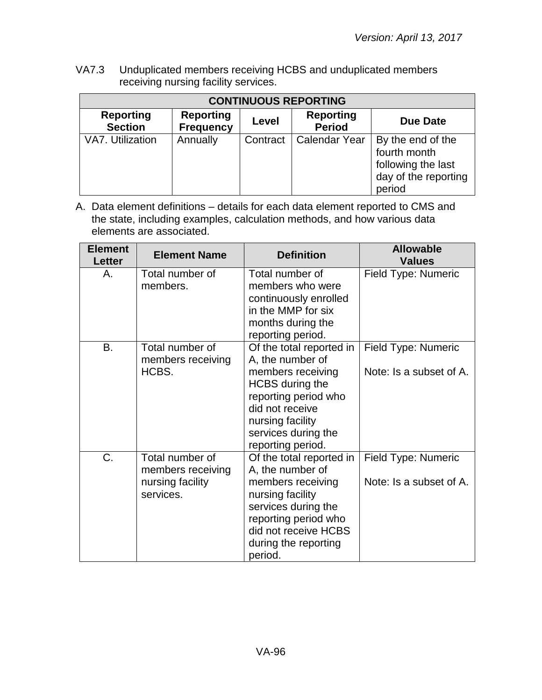VA7.3 Unduplicated members receiving HCBS and unduplicated members receiving nursing facility services.

| <b>CONTINUOUS REPORTING</b>        |                                      |          |                                   |                                                                                           |  |
|------------------------------------|--------------------------------------|----------|-----------------------------------|-------------------------------------------------------------------------------------------|--|
| <b>Reporting</b><br><b>Section</b> | <b>Reporting</b><br><b>Frequency</b> | Level    | <b>Reporting</b><br><b>Period</b> | Due Date                                                                                  |  |
| VA7. Utilization                   | Annually                             | Contract | <b>Calendar Year</b>              | By the end of the<br>fourth month<br>following the last<br>day of the reporting<br>period |  |

| <b>Element</b><br><b>Letter</b> | <b>Element Name</b>                                                   | <b>Definition</b>                                                                                                                                                                                      | <b>Allowable</b><br><b>Values</b>                     |
|---------------------------------|-----------------------------------------------------------------------|--------------------------------------------------------------------------------------------------------------------------------------------------------------------------------------------------------|-------------------------------------------------------|
| А.                              | Total number of<br>members.                                           | Total number of<br>members who were<br>continuously enrolled<br>in the MMP for six<br>months during the<br>reporting period.                                                                           | Field Type: Numeric                                   |
| <b>B.</b>                       | Total number of<br>members receiving<br>HCBS.                         | Of the total reported in<br>A, the number of<br>members receiving<br><b>HCBS</b> during the<br>reporting period who<br>did not receive<br>nursing facility<br>services during the<br>reporting period. | Field Type: Numeric<br>Note: Is a subset of A.        |
| C.                              | Total number of<br>members receiving<br>nursing facility<br>services. | Of the total reported in<br>A, the number of<br>members receiving<br>nursing facility<br>services during the<br>reporting period who<br>did not receive HCBS<br>during the reporting<br>period.        | <b>Field Type: Numeric</b><br>Note: Is a subset of A. |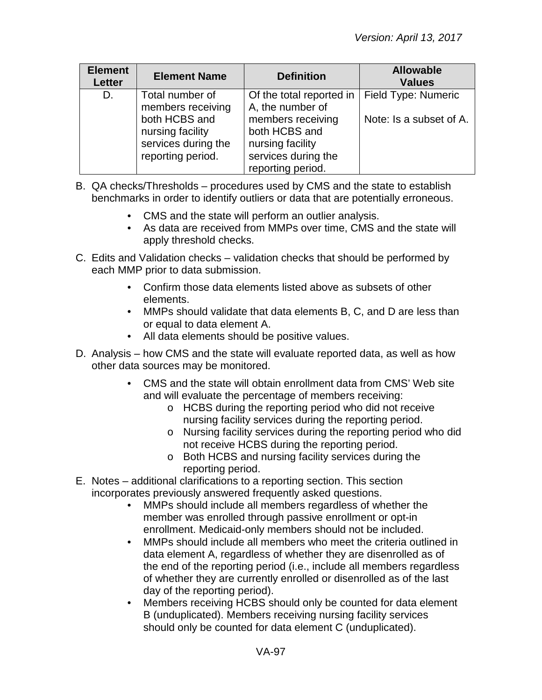| <b>Element</b><br><b>Letter</b> | <b>Element Name</b>                                                                              | <b>Definition</b>                                                                                      | <b>Allowable</b><br><b>Values</b>              |
|---------------------------------|--------------------------------------------------------------------------------------------------|--------------------------------------------------------------------------------------------------------|------------------------------------------------|
| D.                              | Total number of<br>members receiving<br>both HCBS and<br>nursing facility<br>services during the | Of the total reported in<br>A, the number of<br>members receiving<br>both HCBS and<br>nursing facility | Field Type: Numeric<br>Note: Is a subset of A. |
|                                 | reporting period.                                                                                | services during the<br>reporting period.                                                               |                                                |

- B. QA checks/Thresholds procedures used by CMS and the state to establish benchmarks in order to identify outliers or data that are potentially erroneous.
	- CMS and the state will perform an outlier analysis.
	- As data are received from MMPs over time, CMS and the state will apply threshold checks.
- C. Edits and Validation checks validation checks that should be performed by each MMP prior to data submission.
	- Confirm those data elements listed above as subsets of other elements.
	- MMPs should validate that data elements B, C, and D are less than or equal to data element A.
	- All data elements should be positive values.
- D. Analysis how CMS and the state will evaluate reported data, as well as how other data sources may be monitored.
	- CMS and the state will obtain enrollment data from CMS' Web site and will evaluate the percentage of members receiving:
		- o HCBS during the reporting period who did not receive nursing facility services during the reporting period.
		- o Nursing facility services during the reporting period who did not receive HCBS during the reporting period.
		- o Both HCBS and nursing facility services during the reporting period.
- E. Notes additional clarifications to a reporting section. This section incorporates previously answered frequently asked questions.
	- MMPs should include all members regardless of whether the member was enrolled through passive enrollment or opt-in enrollment. Medicaid-only members should not be included.
	- MMPs should include all members who meet the criteria outlined in data element A, regardless of whether they are disenrolled as of the end of the reporting period (i.e., include all members regardless of whether they are currently enrolled or disenrolled as of the last day of the reporting period).
	- Members receiving HCBS should only be counted for data element B (unduplicated). Members receiving nursing facility services should only be counted for data element C (unduplicated).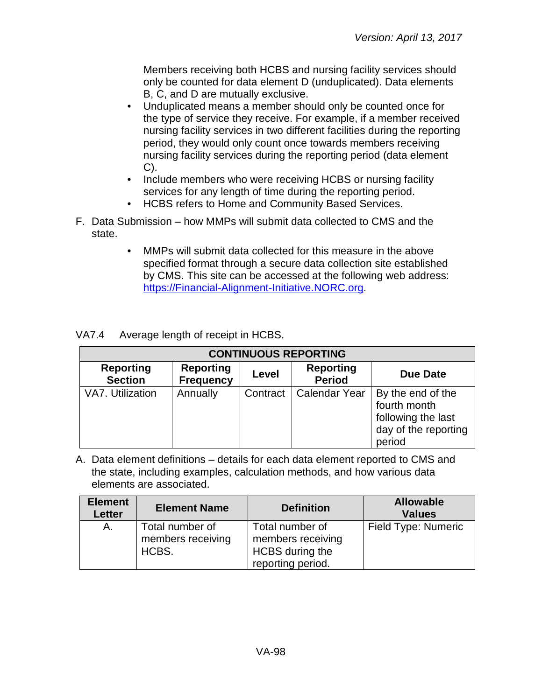Members receiving both HCBS and nursing facility services should only be counted for data element D (unduplicated). Data elements B, C, and D are mutually exclusive.

- Unduplicated means a member should only be counted once for the type of service they receive. For example, if a member received nursing facility services in two different facilities during the reporting period, they would only count once towards members receiving nursing facility services during the reporting period (data element C).
- Include members who were receiving HCBS or nursing facility services for any length of time during the reporting period.
- HCBS refers to Home and Community Based Services.
- F. Data Submission how MMPs will submit data collected to CMS and the state.
	- MMPs will submit data collected for this measure in the above specified format through a secure data collection site established by CMS. This site can be accessed at the following web address: [https://Financial-Alignment-Initiative.NORC.org.](https://financial-alignment-initiative.norc.org/)

| <b>VA7.4</b> | Average length of receipt in HCBS. |
|--------------|------------------------------------|
|--------------|------------------------------------|

| <b>CONTINUOUS REPORTING</b>        |                                      |          |                                   |                                                                                           |  |
|------------------------------------|--------------------------------------|----------|-----------------------------------|-------------------------------------------------------------------------------------------|--|
| <b>Reporting</b><br><b>Section</b> | <b>Reporting</b><br><b>Frequency</b> | Level    | <b>Reporting</b><br><b>Period</b> | <b>Due Date</b>                                                                           |  |
| VA7. Utilization                   | Annually                             | Contract | <b>Calendar Year</b>              | By the end of the<br>fourth month<br>following the last<br>day of the reporting<br>period |  |

| <b>Element</b><br><b>Letter</b> | <b>Element Name</b>                           | <b>Definition</b>                                                            | <b>Allowable</b><br><b>Values</b> |
|---------------------------------|-----------------------------------------------|------------------------------------------------------------------------------|-----------------------------------|
| Α.                              | Total number of<br>members receiving<br>HCBS. | Total number of<br>members receiving<br>HCBS during the<br>reporting period. | Field Type: Numeric               |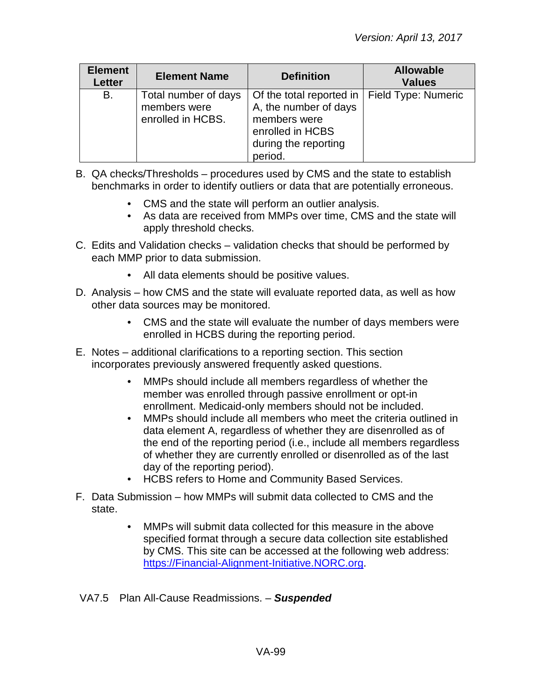| <b>Element</b><br>Letter | <b>Element Name</b>                                       | <b>Definition</b>                                                                                                                              | <b>Allowable</b><br><b>Values</b> |
|--------------------------|-----------------------------------------------------------|------------------------------------------------------------------------------------------------------------------------------------------------|-----------------------------------|
| B.                       | Total number of days<br>members were<br>enrolled in HCBS. | Of the total reported in   Field Type: Numeric<br>A, the number of days<br>members were<br>enrolled in HCBS<br>during the reporting<br>period. |                                   |

- B. QA checks/Thresholds procedures used by CMS and the state to establish benchmarks in order to identify outliers or data that are potentially erroneous.
	- CMS and the state will perform an outlier analysis.
	- As data are received from MMPs over time, CMS and the state will apply threshold checks.
- C. Edits and Validation checks validation checks that should be performed by each MMP prior to data submission.
	- All data elements should be positive values.
- D. Analysis how CMS and the state will evaluate reported data, as well as how other data sources may be monitored.
	- CMS and the state will evaluate the number of days members were enrolled in HCBS during the reporting period.
- E. Notes additional clarifications to a reporting section. This section incorporates previously answered frequently asked questions.
	- MMPs should include all members regardless of whether the member was enrolled through passive enrollment or opt-in enrollment. Medicaid-only members should not be included.
	- MMPs should include all members who meet the criteria outlined in data element A, regardless of whether they are disenrolled as of the end of the reporting period (i.e., include all members regardless of whether they are currently enrolled or disenrolled as of the last day of the reporting period).
	- HCBS refers to Home and Community Based Services.
- F. Data Submission how MMPs will submit data collected to CMS and the state.
	- MMPs will submit data collected for this measure in the above specified format through a secure data collection site established by CMS. This site can be accessed at the following web address: [https://Financial-Alignment-Initiative.NORC.org.](https://financial-alignment-initiative.norc.org/)
- VA7.5 Plan All-Cause Readmissions. *Suspended*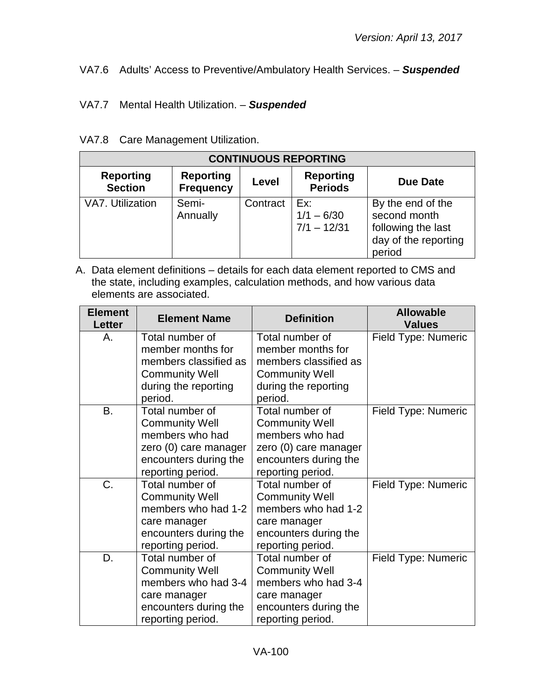## VA7.6 Adults' Access to Preventive/Ambulatory Health Services. – *Suspended*

### VA7.7 Mental Health Utilization. – *Suspended*

#### VA7.8 Care Management Utilization.

| <b>CONTINUOUS REPORTING</b>        |                                      |          |                                      |                                                                                           |
|------------------------------------|--------------------------------------|----------|--------------------------------------|-------------------------------------------------------------------------------------------|
| <b>Reporting</b><br><b>Section</b> | <b>Reporting</b><br><b>Frequency</b> | Level    | <b>Reporting</b><br><b>Periods</b>   | Due Date                                                                                  |
| VA7. Utilization                   | Semi-<br>Annually                    | Contract | Ex:<br>$1/1 - 6/30$<br>$7/1 - 12/31$ | By the end of the<br>second month<br>following the last<br>day of the reporting<br>period |

| <b>Element</b><br><b>Letter</b> | <b>Element Name</b>                                           | <b>Definition</b>                                             | <b>Allowable</b><br><b>Values</b> |
|---------------------------------|---------------------------------------------------------------|---------------------------------------------------------------|-----------------------------------|
| А.                              | Total number of<br>member months for<br>members classified as | Total number of<br>member months for<br>members classified as | Field Type: Numeric               |
|                                 | <b>Community Well</b>                                         | <b>Community Well</b>                                         |                                   |
|                                 | during the reporting<br>period.                               | during the reporting<br>period.                               |                                   |
| <b>B.</b>                       | Total number of                                               | Total number of                                               | Field Type: Numeric               |
|                                 | <b>Community Well</b>                                         | <b>Community Well</b>                                         |                                   |
|                                 | members who had                                               | members who had                                               |                                   |
|                                 | zero (0) care manager                                         | zero (0) care manager                                         |                                   |
|                                 | encounters during the                                         | encounters during the                                         |                                   |
|                                 | reporting period.                                             | reporting period.                                             |                                   |
| C.                              | Total number of                                               | Total number of                                               | Field Type: Numeric               |
|                                 | <b>Community Well</b>                                         | <b>Community Well</b>                                         |                                   |
|                                 | members who had 1-2                                           | members who had 1-2                                           |                                   |
|                                 | care manager                                                  | care manager                                                  |                                   |
|                                 | encounters during the                                         | encounters during the                                         |                                   |
|                                 | reporting period.                                             | reporting period.                                             |                                   |
| D.                              | Total number of                                               | Total number of                                               | Field Type: Numeric               |
|                                 | <b>Community Well</b>                                         | <b>Community Well</b>                                         |                                   |
|                                 | members who had 3-4                                           | members who had 3-4                                           |                                   |
|                                 | care manager                                                  | care manager                                                  |                                   |
|                                 | encounters during the                                         | encounters during the                                         |                                   |
|                                 | reporting period.                                             | reporting period.                                             |                                   |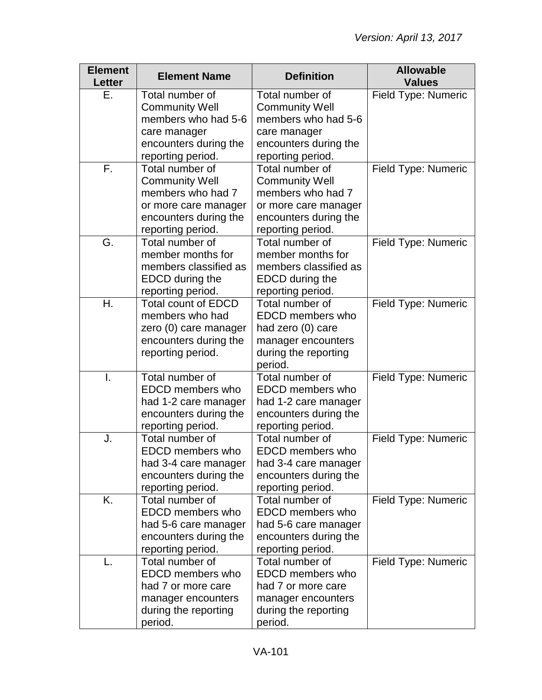| <b>Element</b><br><b>Letter</b> | <b>Element Name</b>                             | <b>Definition</b>                          | <b>Allowable</b><br><b>Values</b> |
|---------------------------------|-------------------------------------------------|--------------------------------------------|-----------------------------------|
| Е.                              | Total number of                                 | Total number of                            | Field Type: Numeric               |
|                                 | <b>Community Well</b>                           | <b>Community Well</b>                      |                                   |
|                                 | members who had 5-6                             | members who had 5-6                        |                                   |
|                                 | care manager                                    | care manager                               |                                   |
|                                 | encounters during the                           | encounters during the                      |                                   |
|                                 | reporting period.                               | reporting period.                          |                                   |
| F.                              | Total number of                                 | Total number of                            | Field Type: Numeric               |
|                                 | <b>Community Well</b>                           | <b>Community Well</b>                      |                                   |
|                                 | members who had 7                               | members who had 7                          |                                   |
|                                 | or more care manager                            | or more care manager                       |                                   |
|                                 | encounters during the                           | encounters during the                      |                                   |
|                                 | reporting period.                               | reporting period.                          |                                   |
| G.                              | Total number of                                 | Total number of                            | Field Type: Numeric               |
|                                 | member months for                               | member months for                          |                                   |
|                                 | members classified as                           | members classified as                      |                                   |
|                                 | <b>EDCD</b> during the                          | <b>EDCD</b> during the                     |                                   |
| Η.                              | reporting period.<br><b>Total count of EDCD</b> | reporting period.<br>Total number of       |                                   |
|                                 | members who had                                 | <b>EDCD</b> members who                    | Field Type: Numeric               |
|                                 | zero (0) care manager                           | had zero (0) care                          |                                   |
|                                 | encounters during the                           | manager encounters                         |                                   |
|                                 | reporting period.                               | during the reporting                       |                                   |
|                                 |                                                 | period.                                    |                                   |
| I.                              | Total number of                                 | Total number of                            | Field Type: Numeric               |
|                                 | EDCD members who                                | EDCD members who                           |                                   |
|                                 | had 1-2 care manager                            | had 1-2 care manager                       |                                   |
|                                 | encounters during the                           | encounters during the                      |                                   |
|                                 | reporting period.                               | reporting period.                          |                                   |
| J.                              | Total number of                                 | Total number of                            | Field Type: Numeric               |
|                                 | <b>EDCD</b> members who                         | <b>EDCD</b> members who                    |                                   |
|                                 | had 3-4 care manager                            | had 3-4 care manager                       |                                   |
|                                 | encounters during the                           | encounters during the                      |                                   |
|                                 | reporting period.                               | reporting period.                          |                                   |
| K.                              | Total number of                                 | Total number of                            | Field Type: Numeric               |
|                                 | <b>EDCD</b> members who                         | <b>EDCD</b> members who                    |                                   |
|                                 | had 5-6 care manager                            | had 5-6 care manager                       |                                   |
|                                 | encounters during the                           | encounters during the                      |                                   |
|                                 | reporting period.                               | reporting period.                          |                                   |
|                                 | Total number of<br>EDCD members who             | Total number of<br><b>EDCD</b> members who | Field Type: Numeric               |
|                                 |                                                 |                                            |                                   |
|                                 | had 7 or more care                              | had 7 or more care                         |                                   |
|                                 | manager encounters                              | manager encounters                         |                                   |
|                                 | during the reporting                            | during the reporting<br>period.            |                                   |
|                                 | period.                                         |                                            |                                   |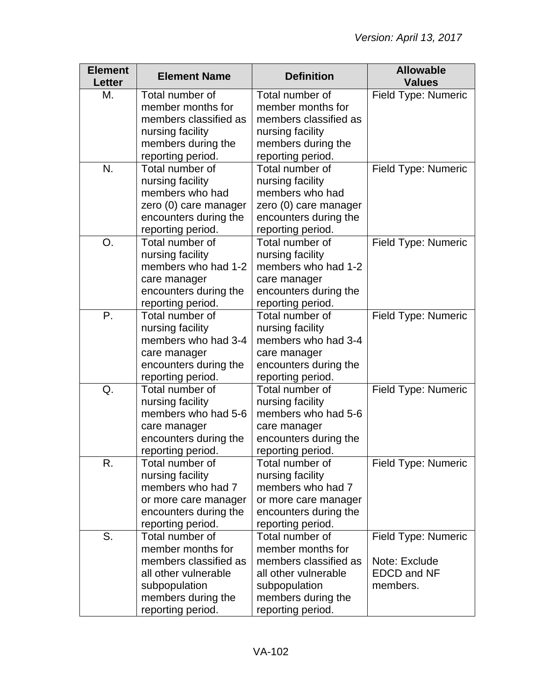| <b>Element</b><br><b>Letter</b> | <b>Element Name</b>   | <b>Definition</b>     | <b>Allowable</b><br><b>Values</b> |
|---------------------------------|-----------------------|-----------------------|-----------------------------------|
| М.                              | Total number of       | Total number of       | Field Type: Numeric               |
|                                 | member months for     | member months for     |                                   |
|                                 | members classified as | members classified as |                                   |
|                                 | nursing facility      | nursing facility      |                                   |
|                                 | members during the    | members during the    |                                   |
|                                 | reporting period.     | reporting period.     |                                   |
| N.                              | Total number of       | Total number of       | Field Type: Numeric               |
|                                 | nursing facility      | nursing facility      |                                   |
|                                 | members who had       | members who had       |                                   |
|                                 | zero (0) care manager | zero (0) care manager |                                   |
|                                 | encounters during the | encounters during the |                                   |
|                                 | reporting period.     | reporting period.     |                                   |
| O.                              | Total number of       | Total number of       | Field Type: Numeric               |
|                                 | nursing facility      | nursing facility      |                                   |
|                                 | members who had 1-2   | members who had 1-2   |                                   |
|                                 | care manager          | care manager          |                                   |
|                                 | encounters during the | encounters during the |                                   |
|                                 | reporting period.     | reporting period.     |                                   |
| P.                              | Total number of       | Total number of       | Field Type: Numeric               |
|                                 | nursing facility      | nursing facility      |                                   |
|                                 | members who had 3-4   | members who had 3-4   |                                   |
|                                 | care manager          | care manager          |                                   |
|                                 | encounters during the | encounters during the |                                   |
|                                 | reporting period.     | reporting period.     |                                   |
| Q.                              | Total number of       | Total number of       | Field Type: Numeric               |
|                                 | nursing facility      | nursing facility      |                                   |
|                                 | members who had 5-6   | members who had 5-6   |                                   |
|                                 | care manager          | care manager          |                                   |
|                                 | encounters during the | encounters during the |                                   |
|                                 | reporting period.     | reporting period.     |                                   |
| R.                              | Total number of       | Total number of       | <b>Field Type: Numeric</b>        |
|                                 | nursing facility      | nursing facility      |                                   |
|                                 | members who had 7     | members who had 7     |                                   |
|                                 | or more care manager  | or more care manager  |                                   |
|                                 | encounters during the | encounters during the |                                   |
|                                 | reporting period.     | reporting period.     |                                   |
| S.                              | Total number of       | Total number of       | Field Type: Numeric               |
|                                 | member months for     | member months for     |                                   |
|                                 | members classified as | members classified as | Note: Exclude                     |
|                                 | all other vulnerable  | all other vulnerable  | <b>EDCD and NF</b>                |
|                                 | subpopulation         | subpopulation         | members.                          |
|                                 | members during the    | members during the    |                                   |
|                                 | reporting period.     | reporting period.     |                                   |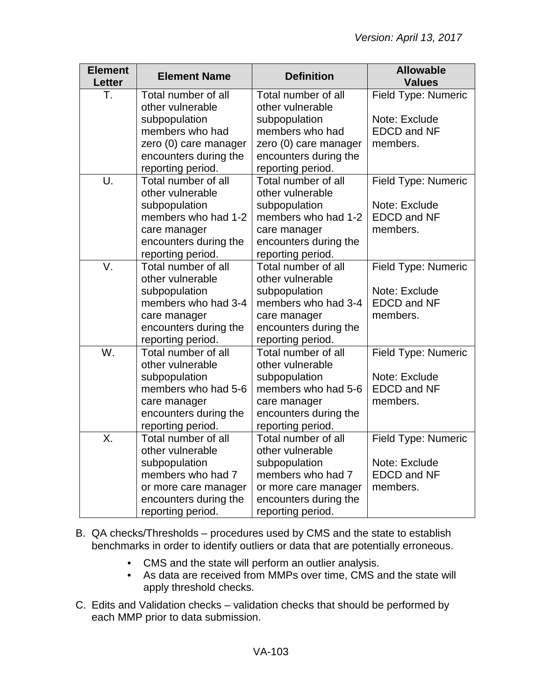| <b>Element</b><br>Letter | <b>Element Name</b>   | <b>Definition</b>     | <b>Allowable</b><br><b>Values</b> |
|--------------------------|-----------------------|-----------------------|-----------------------------------|
| Т.                       | Total number of all   | Total number of all   | Field Type: Numeric               |
|                          | other vulnerable      | other vulnerable      |                                   |
|                          | subpopulation         | subpopulation         | Note: Exclude                     |
|                          | members who had       | members who had       | <b>EDCD and NF</b>                |
|                          | zero (0) care manager | zero (0) care manager | members.                          |
|                          | encounters during the | encounters during the |                                   |
|                          | reporting period.     | reporting period.     |                                   |
| U.                       | Total number of all   | Total number of all   | Field Type: Numeric               |
|                          | other vulnerable      | other vulnerable      |                                   |
|                          | subpopulation         | subpopulation         | Note: Exclude                     |
|                          | members who had 1-2   | members who had 1-2   | <b>EDCD and NF</b>                |
|                          | care manager          | care manager          | members.                          |
|                          | encounters during the | encounters during the |                                   |
|                          | reporting period.     | reporting period.     |                                   |
| V.                       | Total number of all   | Total number of all   | Field Type: Numeric               |
|                          | other vulnerable      | other vulnerable      |                                   |
|                          | subpopulation         | subpopulation         | Note: Exclude                     |
|                          | members who had 3-4   | members who had 3-4   | <b>EDCD and NF</b>                |
|                          | care manager          | care manager          | members.                          |
|                          | encounters during the | encounters during the |                                   |
|                          | reporting period.     | reporting period.     |                                   |
| $\overline{W}$ .         | Total number of all   | Total number of all   | Field Type: Numeric               |
|                          | other vulnerable      | other vulnerable      |                                   |
|                          | subpopulation         | subpopulation         | Note: Exclude                     |
|                          | members who had 5-6   | members who had 5-6   | <b>EDCD and NF</b>                |
|                          | care manager          | care manager          | members.                          |
|                          | encounters during the | encounters during the |                                   |
|                          | reporting period.     | reporting period.     |                                   |
| $\overline{X}$ .         | Total number of all   | Total number of all   | Field Type: Numeric               |
|                          | other vulnerable      | other vulnerable      |                                   |
|                          | subpopulation         | subpopulation         | Note: Exclude                     |
|                          | members who had 7     | members who had 7     | <b>EDCD and NF</b>                |
|                          | or more care manager  | or more care manager  | members.                          |
|                          | encounters during the | encounters during the |                                   |
|                          | reporting period.     | reporting period.     |                                   |

- B. QA checks/Thresholds procedures used by CMS and the state to establish benchmarks in order to identify outliers or data that are potentially erroneous.
	- CMS and the state will perform an outlier analysis.
	- As data are received from MMPs over time, CMS and the state will apply threshold checks.
- C. Edits and Validation checks validation checks that should be performed by each MMP prior to data submission.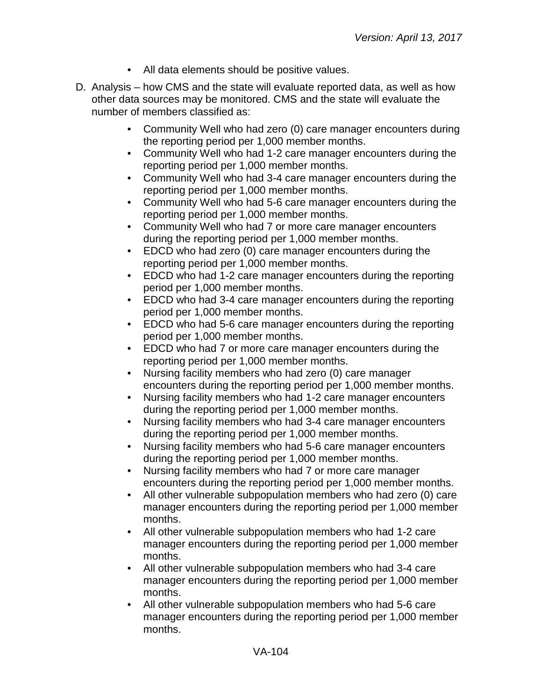- All data elements should be positive values.
- D. Analysis how CMS and the state will evaluate reported data, as well as how other data sources may be monitored. CMS and the state will evaluate the number of members classified as:
	- Community Well who had zero (0) care manager encounters during the reporting period per 1,000 member months.
	- Community Well who had 1-2 care manager encounters during the reporting period per 1,000 member months.
	- Community Well who had 3-4 care manager encounters during the reporting period per 1,000 member months.
	- Community Well who had 5-6 care manager encounters during the reporting period per 1,000 member months.
	- Community Well who had 7 or more care manager encounters during the reporting period per 1,000 member months.
	- EDCD who had zero (0) care manager encounters during the reporting period per 1,000 member months.
	- EDCD who had 1-2 care manager encounters during the reporting period per 1,000 member months.
	- EDCD who had 3-4 care manager encounters during the reporting period per 1,000 member months.
	- EDCD who had 5-6 care manager encounters during the reporting period per 1,000 member months.
	- EDCD who had 7 or more care manager encounters during the reporting period per 1,000 member months.
	- Nursing facility members who had zero (0) care manager encounters during the reporting period per 1,000 member months.
	- Nursing facility members who had 1-2 care manager encounters during the reporting period per 1,000 member months.
	- Nursing facility members who had 3-4 care manager encounters during the reporting period per 1,000 member months.
	- Nursing facility members who had 5-6 care manager encounters during the reporting period per 1,000 member months.
	- Nursing facility members who had 7 or more care manager encounters during the reporting period per 1,000 member months.
	- All other vulnerable subpopulation members who had zero (0) care manager encounters during the reporting period per 1,000 member months.
	- All other vulnerable subpopulation members who had 1-2 care manager encounters during the reporting period per 1,000 member months.
	- All other vulnerable subpopulation members who had 3-4 care manager encounters during the reporting period per 1,000 member months.
	- All other vulnerable subpopulation members who had 5-6 care manager encounters during the reporting period per 1,000 member months.